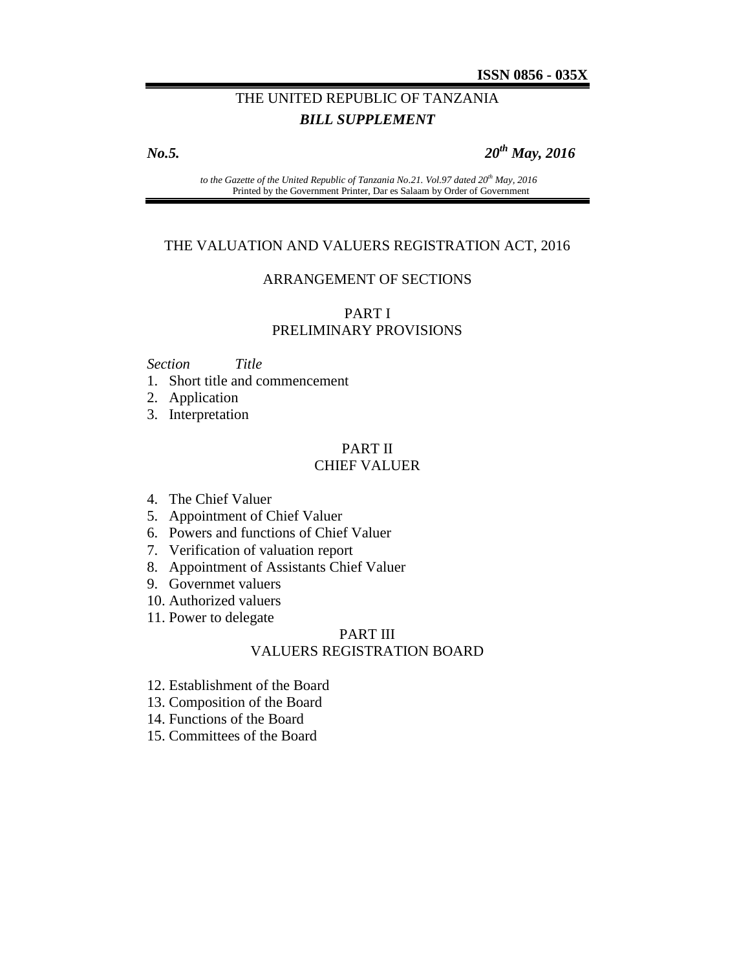# THE UNITED REPUBLIC OF TANZANIA *BILL SUPPLEMENT*

*No.5. 20th May, 2016*

*to the Gazette of the United Republic of Tanzania No.21. Vol.97 dated 20th May, 2016* Printed by the Government Printer, Dar es Salaam by Order of Government

#### THE VALUATION AND VALUERS REGISTRATION ACT, 2016

#### ARRANGEMENT OF SECTIONS

### PART I PRELIMINARY PROVISIONS

#### *Section Title*

1. Short title and commencement

2. Application

3. Interpretation

## PART II CHIEF VALUER

- 4. The Chief Valuer
- 5. Appointment of Chief Valuer
- 6. Powers and functions of Chief Valuer
- 7. Verification of valuation report
- 8. Appointment of Assistants Chief Valuer
- 9. Governmet valuers
- 10. Authorized valuers
- 11. Power to delegate

#### PART III VALUERS REGISTRATION BOARD

- 12. Establishment of the Board
- 13. Composition of the Board
- 14. Functions of the Board
- 15. Committees of the Board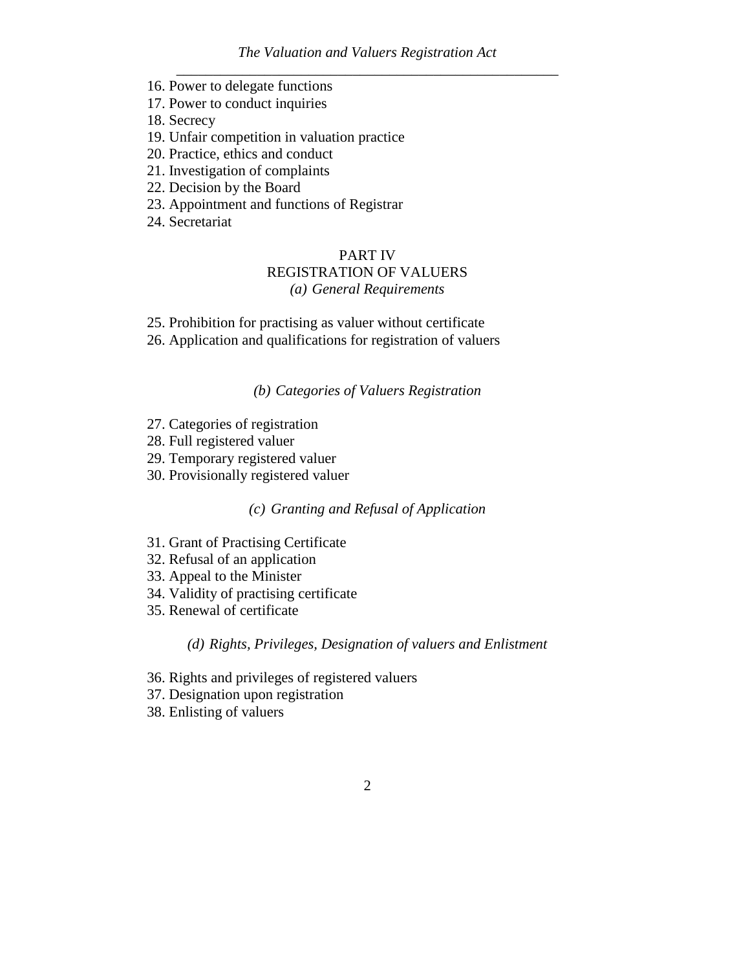- 16. Power to delegate functions
- 17. Power to conduct inquiries
- 18. Secrecy
- 19. Unfair competition in valuation practice
- 20. Practice, ethics and conduct
- 21. Investigation of complaints
- 22. Decision by the Board
- 23. Appointment and functions of Registrar
- 24. Secretariat

## PART IV

# REGISTRATION OF VALUERS

# *(a) General Requirements*

- 25. Prohibition for practising as valuer without certificate
- 26. Application and qualifications for registration of valuers

## *(b) Categories of Valuers Registration*

- 27. Categories of registration
- 28. Full registered valuer
- 29. Temporary registered valuer
- 30. Provisionally registered valuer

# *(c) Granting and Refusal of Application*

- 31. Grant of Practising Certificate
- 32. Refusal of an application
- 33. Appeal to the Minister
- 34. Validity of practising certificate
- 35. Renewal of certificate

#### *(d) Rights, Privileges, Designation of valuers and Enlistment*

- 36. Rights and privileges of registered valuers
- 37. Designation upon registration
- 38. Enlisting of valuers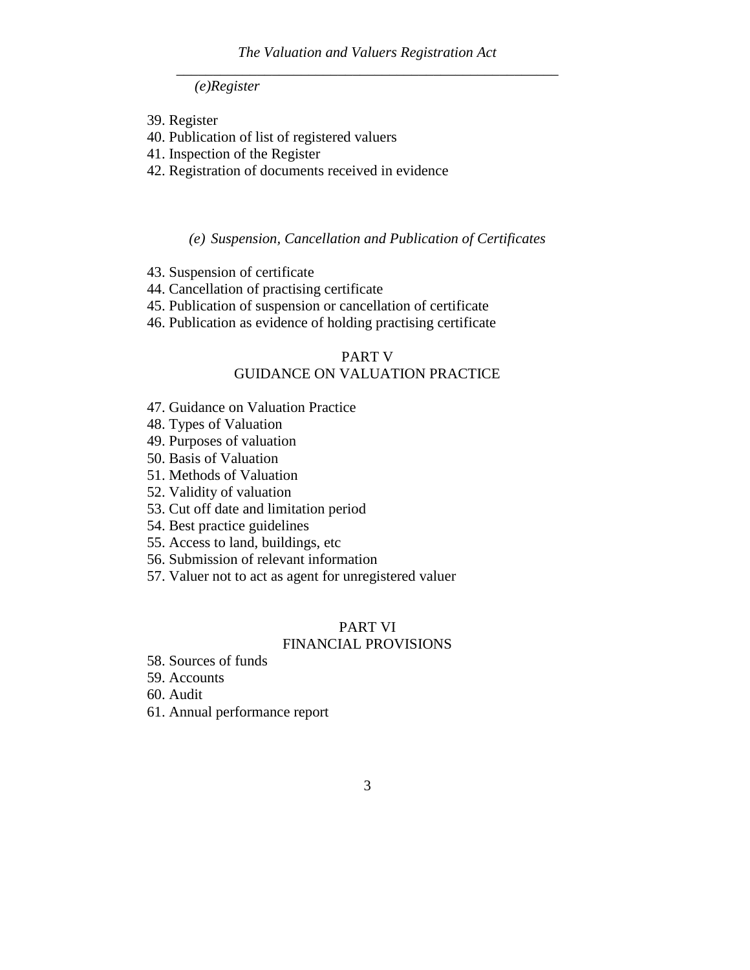*(e)Register*

- 39. Register
- 40. Publication of list of registered valuers
- 41. Inspection of the Register
- 42. Registration of documents received in evidence

*(e) Suspension, Cancellation and Publication of Certificates*

- 43. Suspension of certificate
- 44. Cancellation of practising certificate
- 45. Publication of suspension or cancellation of certificate
- 46. Publication as evidence of holding practising certificate

## PART V

# GUIDANCE ON VALUATION PRACTICE

- 47. Guidance on Valuation Practice
- 48. Types of Valuation
- 49. Purposes of valuation
- 50. Basis of Valuation
- 51. Methods of Valuation
- 52. Validity of valuation
- 53. Cut off date and limitation period
- 54. Best practice guidelines
- 55. Access to land, buildings, etc
- 56. Submission of relevant information
- 57. Valuer not to act as agent for unregistered valuer

# PART VI

#### FINANCIAL PROVISIONS

58. Sources of funds

59. Accounts

- 60. Audit
- 61. Annual performance report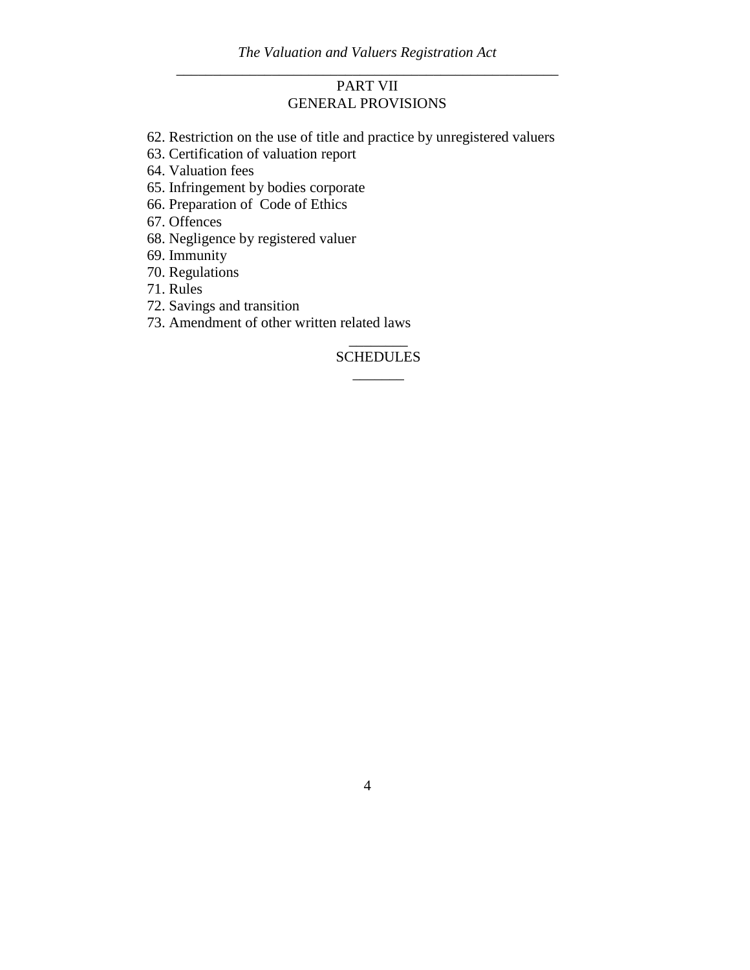# PART VII GENERAL PROVISIONS

- 62. Restriction on the use of title and practice by unregistered valuers
- 63. Certification of valuation report
- 64. Valuation fees
- 65. Infringement by bodies corporate
- 66. Preparation of Code of Ethics

67. Offences

- 68. Negligence by registered valuer
- 69. Immunity
- 70. Regulations

71. Rules

72. Savings and transition

73. Amendment of other written related laws

# $\overline{\phantom{a}}$  . The set of the set of the set of the set of the set of the set of the set of the set of the set of the set of the set of the set of the set of the set of the set of the set of the set of the set of the set o SCHEDULES \_\_\_\_\_\_\_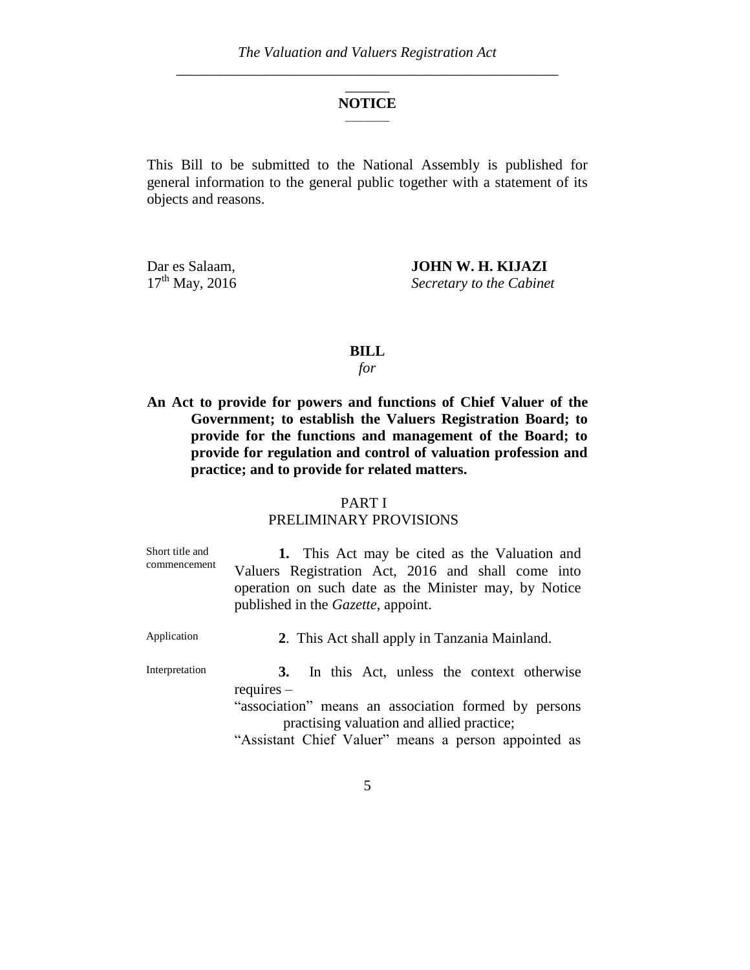#### \_\_\_\_\_\_ **NOTICE**  $\overline{\phantom{a}}$  , where  $\overline{\phantom{a}}$

This Bill to be submitted to the National Assembly is published for general information to the general public together with a statement of its objects and reasons.

Dar es Salaam,<br>17<sup>th</sup> May, 2016 **JOHN W. H. KIJAZI**<br>Secretary to the Cabinei **Secretary to the Cabinet** 

#### **BILL**

*for*

**An Act to provide for powers and functions of Chief Valuer of the Government; to establish the Valuers Registration Board; to provide for the functions and management of the Board; to provide for regulation and control of valuation profession and practice; and to provide for related matters.**

#### PART I

# PRELIMINARY PROVISIONS

| Short title and<br>commencement | 1. This Act may be cited as the Valuation and<br>Valuers Registration Act, 2016 and shall come into<br>operation on such date as the Minister may, by Notice<br>published in the <i>Gazette</i> , appoint.                          |
|---------------------------------|-------------------------------------------------------------------------------------------------------------------------------------------------------------------------------------------------------------------------------------|
| Application                     | 2. This Act shall apply in Tanzania Mainland.                                                                                                                                                                                       |
| Interpretation                  | In this Act, unless the context otherwise<br><b>3.</b><br>$requires -$<br>"association" means an association formed by persons<br>practising valuation and allied practice;<br>"Assistant Chief Valuer" means a person appointed as |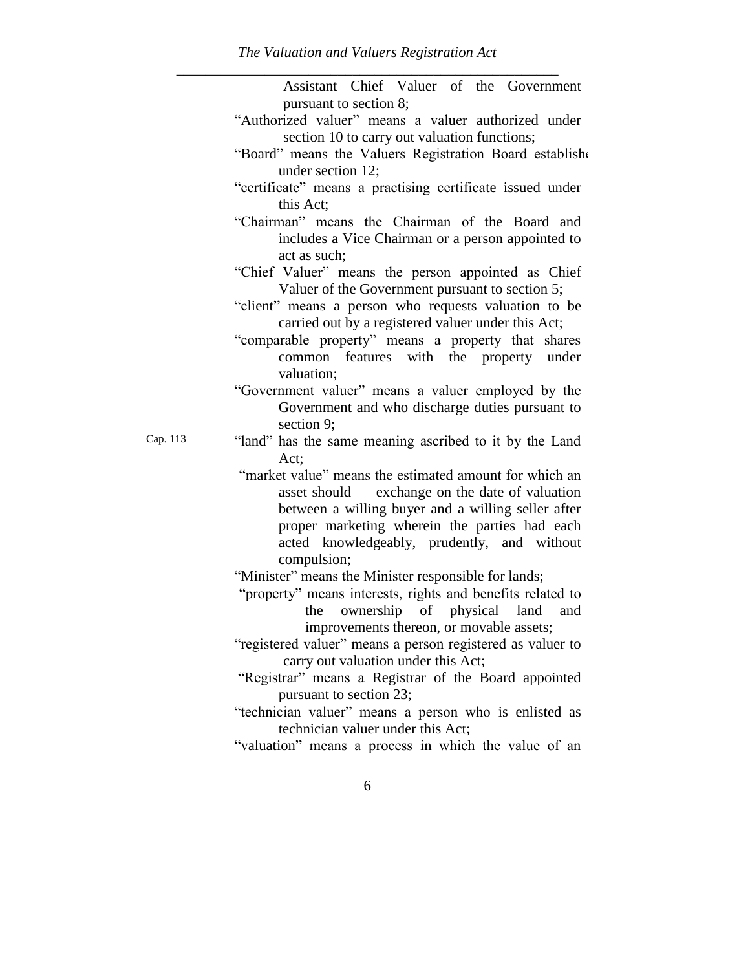|          | Assistant Chief Valuer of the Government                                                                                                                                                                                                                                                                                                                                                                                                                                                                                                                                                                                         |
|----------|----------------------------------------------------------------------------------------------------------------------------------------------------------------------------------------------------------------------------------------------------------------------------------------------------------------------------------------------------------------------------------------------------------------------------------------------------------------------------------------------------------------------------------------------------------------------------------------------------------------------------------|
|          | pursuant to section 8;                                                                                                                                                                                                                                                                                                                                                                                                                                                                                                                                                                                                           |
|          | "Authorized valuer" means a valuer authorized under<br>section 10 to carry out valuation functions;                                                                                                                                                                                                                                                                                                                                                                                                                                                                                                                              |
|          | "Board" means the Valuers Registration Board established<br>under section 12;                                                                                                                                                                                                                                                                                                                                                                                                                                                                                                                                                    |
|          | "certificate" means a practising certificate issued under<br>this Act;                                                                                                                                                                                                                                                                                                                                                                                                                                                                                                                                                           |
|          | "Chairman" means the Chairman of the Board and<br>includes a Vice Chairman or a person appointed to<br>act as such;                                                                                                                                                                                                                                                                                                                                                                                                                                                                                                              |
|          | "Chief Valuer" means the person appointed as Chief<br>Valuer of the Government pursuant to section 5;                                                                                                                                                                                                                                                                                                                                                                                                                                                                                                                            |
|          | "client" means a person who requests valuation to be<br>carried out by a registered valuer under this Act;                                                                                                                                                                                                                                                                                                                                                                                                                                                                                                                       |
|          | "comparable property" means a property that shares<br>common features with the property under<br>valuation;                                                                                                                                                                                                                                                                                                                                                                                                                                                                                                                      |
|          | "Government valuer" means a valuer employed by the<br>Government and who discharge duties pursuant to<br>section 9;                                                                                                                                                                                                                                                                                                                                                                                                                                                                                                              |
| Cap. 113 | "land" has the same meaning ascribed to it by the Land<br>Act;                                                                                                                                                                                                                                                                                                                                                                                                                                                                                                                                                                   |
|          | "market value" means the estimated amount for which an                                                                                                                                                                                                                                                                                                                                                                                                                                                                                                                                                                           |
|          |                                                                                                                                                                                                                                                                                                                                                                                                                                                                                                                                                                                                                                  |
|          |                                                                                                                                                                                                                                                                                                                                                                                                                                                                                                                                                                                                                                  |
|          |                                                                                                                                                                                                                                                                                                                                                                                                                                                                                                                                                                                                                                  |
|          | acted knowledgeably, prudently, and without                                                                                                                                                                                                                                                                                                                                                                                                                                                                                                                                                                                      |
|          |                                                                                                                                                                                                                                                                                                                                                                                                                                                                                                                                                                                                                                  |
|          |                                                                                                                                                                                                                                                                                                                                                                                                                                                                                                                                                                                                                                  |
|          |                                                                                                                                                                                                                                                                                                                                                                                                                                                                                                                                                                                                                                  |
|          |                                                                                                                                                                                                                                                                                                                                                                                                                                                                                                                                                                                                                                  |
|          |                                                                                                                                                                                                                                                                                                                                                                                                                                                                                                                                                                                                                                  |
|          |                                                                                                                                                                                                                                                                                                                                                                                                                                                                                                                                                                                                                                  |
|          |                                                                                                                                                                                                                                                                                                                                                                                                                                                                                                                                                                                                                                  |
|          |                                                                                                                                                                                                                                                                                                                                                                                                                                                                                                                                                                                                                                  |
|          |                                                                                                                                                                                                                                                                                                                                                                                                                                                                                                                                                                                                                                  |
|          | technician valuer under this Act;                                                                                                                                                                                                                                                                                                                                                                                                                                                                                                                                                                                                |
|          | exchange on the date of valuation<br>asset should<br>between a willing buyer and a willing seller after<br>proper marketing wherein the parties had each<br>compulsion;<br>"Minister" means the Minister responsible for lands;<br>"property" means interests, rights and benefits related to<br>the ownership of physical land and<br>improvements thereon, or movable assets;<br>"registered valuer" means a person registered as valuer to<br>carry out valuation under this Act;<br>"Registrar" means a Registrar of the Board appointed<br>pursuant to section 23;<br>"technician valuer" means a person who is enlisted as |

"valuation" means a process in which the value of an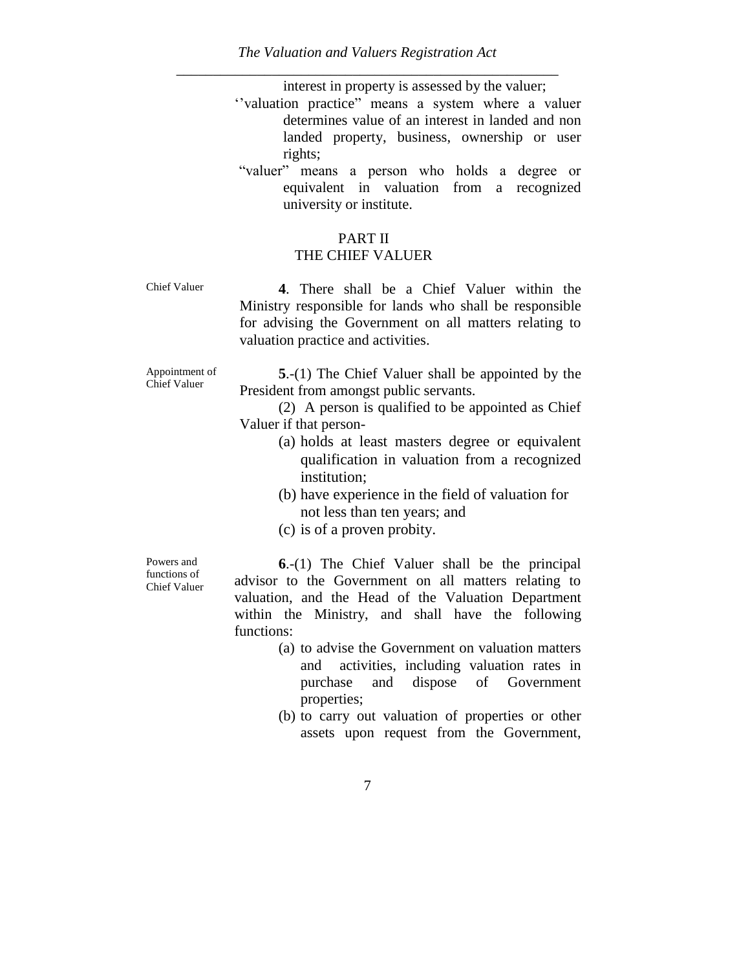interest in property is assessed by the valuer;

- "valuation practice" means a system where a valuer determines value of an interest in landed and non landed property, business, ownership or user rights;
- "valuer" means a person who holds a degree or equivalent in valuation from a recognized university or institute.

# PART II

# THE CHIEF VALUER

Chief Valuer **4**. There shall be a Chief Valuer within the Ministry responsible for lands who shall be responsible for advising the Government on all matters relating to valuation practice and activities.

Appointment of Chief Valuer

**5**.-(1) The Chief Valuer shall be appointed by the President from amongst public servants.

(2) A person is qualified to be appointed as Chief Valuer if that person-

- (a) holds at least masters degree or equivalent qualification in valuation from a recognized institution;
- (b) have experience in the field of valuation for not less than ten years; and
- (c) is of a proven probity.

Powers and functions of Chief Valuer

**6**.-(1) The Chief Valuer shall be the principal advisor to the Government on all matters relating to valuation, and the Head of the Valuation Department within the Ministry, and shall have the following functions:

- (a) to advise the Government on valuation matters and activities, including valuation rates in purchase and dispose of Government properties;
- (b) to carry out valuation of properties or other assets upon request from the Government,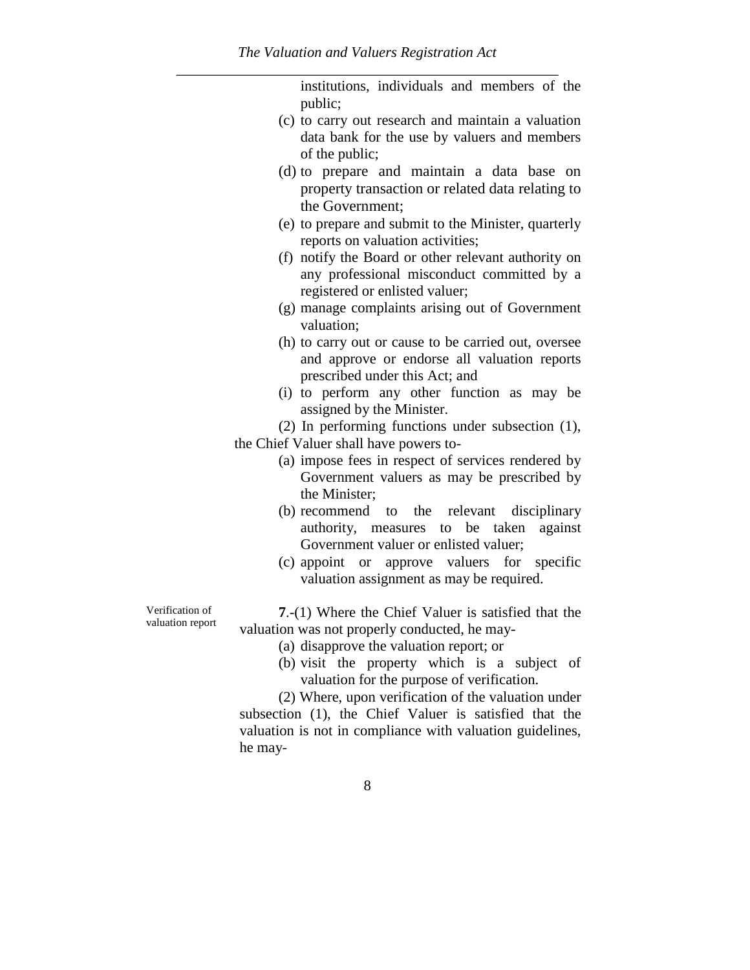|                                     | institutions, individuals and members of the<br>public;                                                                                                                                                                                                                                                                        |
|-------------------------------------|--------------------------------------------------------------------------------------------------------------------------------------------------------------------------------------------------------------------------------------------------------------------------------------------------------------------------------|
|                                     | (c) to carry out research and maintain a valuation<br>data bank for the use by valuers and members<br>of the public;                                                                                                                                                                                                           |
|                                     | (d) to prepare and maintain a data base on<br>property transaction or related data relating to<br>the Government;                                                                                                                                                                                                              |
|                                     | (e) to prepare and submit to the Minister, quarterly<br>reports on valuation activities;                                                                                                                                                                                                                                       |
|                                     | (f) notify the Board or other relevant authority on<br>any professional misconduct committed by a<br>registered or enlisted valuer;                                                                                                                                                                                            |
|                                     | (g) manage complaints arising out of Government<br>valuation;                                                                                                                                                                                                                                                                  |
|                                     | (h) to carry out or cause to be carried out, oversee<br>and approve or endorse all valuation reports<br>prescribed under this Act; and                                                                                                                                                                                         |
|                                     | (i) to perform any other function as may be<br>assigned by the Minister.                                                                                                                                                                                                                                                       |
|                                     | (2) In performing functions under subsection (1),<br>the Chief Valuer shall have powers to-                                                                                                                                                                                                                                    |
|                                     | (a) impose fees in respect of services rendered by<br>Government valuers as may be prescribed by<br>the Minister;                                                                                                                                                                                                              |
|                                     | (b) recommend to the relevant disciplinary<br>authority, measures to be taken<br>against<br>Government valuer or enlisted valuer;                                                                                                                                                                                              |
|                                     | (c) appoint or approve valuers for specific<br>valuation assignment as may be required.                                                                                                                                                                                                                                        |
| Verification of<br>valuation report | 7.-(1) Where the Chief Valuer is satisfied that the<br>valuation was not properly conducted, he may-                                                                                                                                                                                                                           |
|                                     | (a) disapprove the valuation report; or<br>(b) visit the property which is a subject of<br>valuation for the purpose of verification.<br>(2) Where, upon verification of the valuation under<br>subsection (1), the Chief Valuer is satisfied that the<br>valuation is not in compliance with valuation guidelines,<br>he may- |
|                                     |                                                                                                                                                                                                                                                                                                                                |

8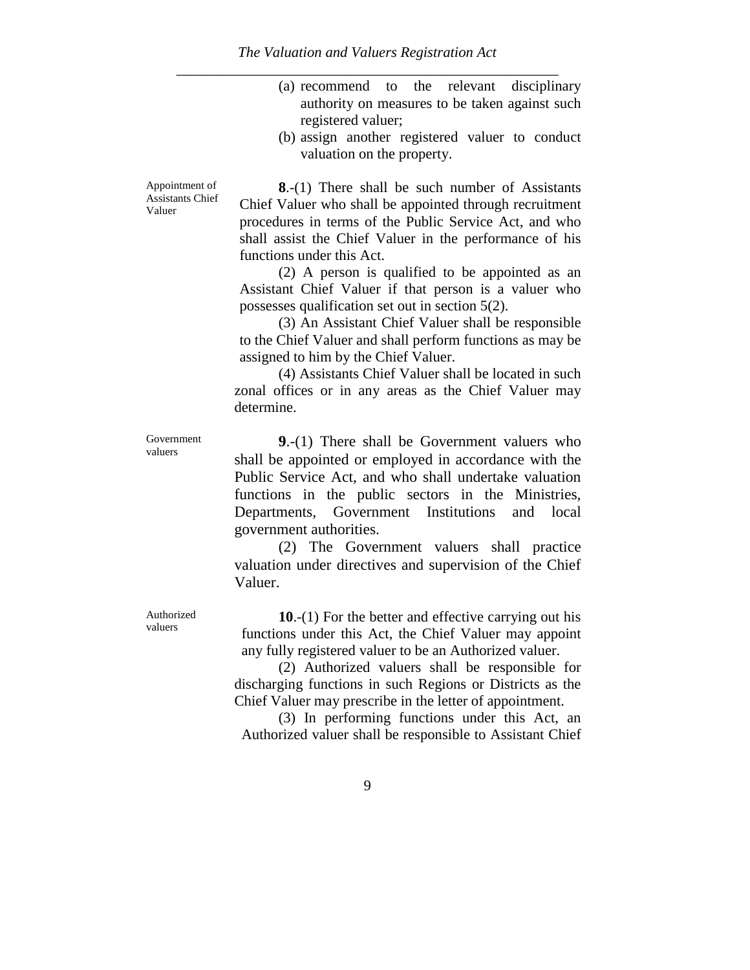- (a) recommend to the relevant disciplinary authority on measures to be taken against such registered valuer;
- (b) assign another registered valuer to conduct valuation on the property.

Appointment of Assistants Chief Valuer

**8**.-(1) There shall be such number of Assistants Chief Valuer who shall be appointed through recruitment procedures in terms of the Public Service Act, and who shall assist the Chief Valuer in the performance of his functions under this Act.

(2) A person is qualified to be appointed as an Assistant Chief Valuer if that person is a valuer who possesses qualification set out in section 5(2).

(3) An Assistant Chief Valuer shall be responsible to the Chief Valuer and shall perform functions as may be assigned to him by the Chief Valuer.

(4) Assistants Chief Valuer shall be located in such zonal offices or in any areas as the Chief Valuer may determine.

Government valuers

**9**.-(1) There shall be Government valuers who shall be appointed or employed in accordance with the Public Service Act, and who shall undertake valuation functions in the public sectors in the Ministries, Departments, Government Institutions and local government authorities.

(2) The Government valuers shall practice valuation under directives and supervision of the Chief Valuer.

**10**.-(1) For the better and effective carrying out his functions under this Act, the Chief Valuer may appoint any fully registered valuer to be an Authorized valuer.

(2) Authorized valuers shall be responsible for discharging functions in such Regions or Districts as the Chief Valuer may prescribe in the letter of appointment.

(3) In performing functions under this Act, an Authorized valuer shall be responsible to Assistant Chief

Authorized valuers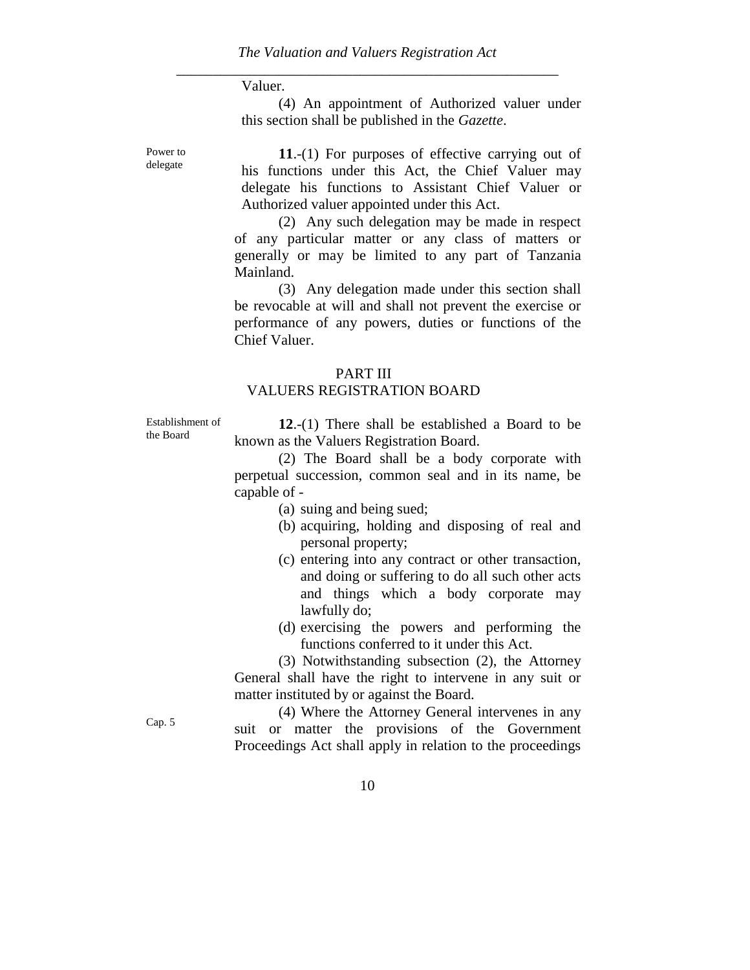#### Valuer.

(4) An appointment of Authorized valuer under this section shall be published in the *Gazette*.

Power to delegate

**11**.-(1) For purposes of effective carrying out of his functions under this Act, the Chief Valuer may delegate his functions to Assistant Chief Valuer or Authorized valuer appointed under this Act.

(2) Any such delegation may be made in respect of any particular matter or any class of matters or generally or may be limited to any part of Tanzania Mainland.

(3) Any delegation made under this section shall be revocable at will and shall not prevent the exercise or performance of any powers, duties or functions of the Chief Valuer.

#### PART III

#### VALUERS REGISTRATION BOARD

Establishment of the Board

**12**.-(1) There shall be established a Board to be known as the Valuers Registration Board.

(2) The Board shall be a body corporate with perpetual succession, common seal and in its name, be capable of -

- (a) suing and being sued;
- (b) acquiring, holding and disposing of real and personal property;
- (c) entering into any contract or other transaction, and doing or suffering to do all such other acts and things which a body corporate may lawfully do;
- (d) exercising the powers and performing the functions conferred to it under this Act.

(3) Notwithstanding subsection (2), the Attorney General shall have the right to intervene in any suit or matter instituted by or against the Board.

(4) Where the Attorney General intervenes in any suit or matter the provisions of the Government Proceedings Act shall apply in relation to the proceedings

Cap. 5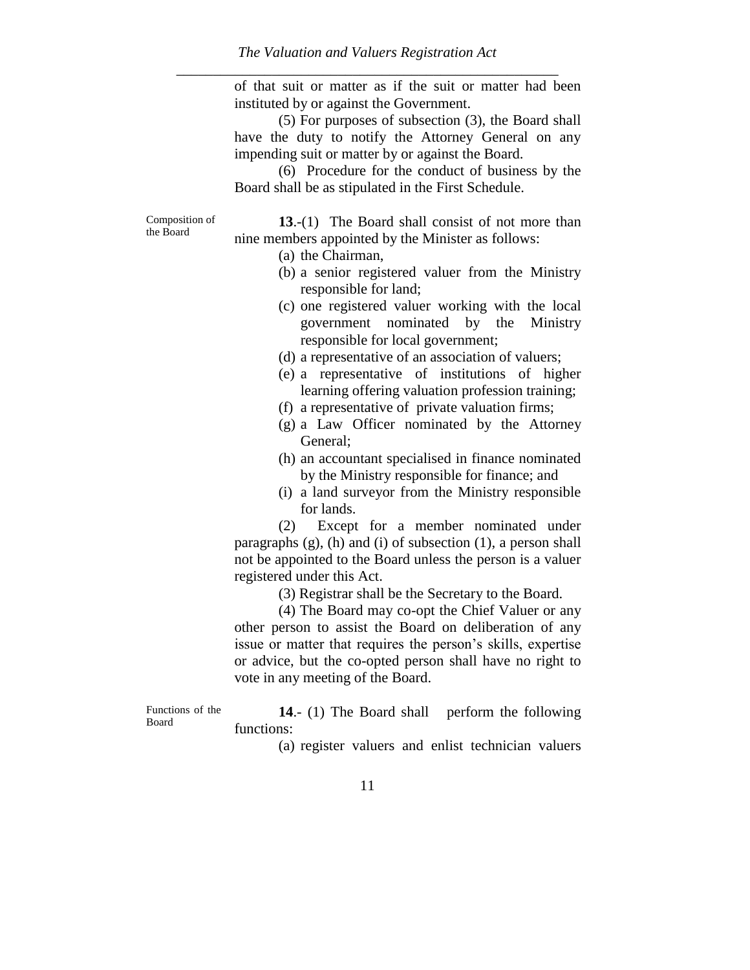of that suit or matter as if the suit or matter had been instituted by or against the Government.

(5) For purposes of subsection (3), the Board shall have the duty to notify the Attorney General on any impending suit or matter by or against the Board.

(6) Procedure for the conduct of business by the Board shall be as stipulated in the First Schedule.

Composition of the Board

**13**.-(1) The Board shall consist of not more than nine members appointed by the Minister as follows:

(a) the Chairman,

- (b) a senior registered valuer from the Ministry responsible for land;
- (c) one registered valuer working with the local government nominated by the Ministry responsible for local government;
- (d) a representative of an association of valuers;
- (e) a representative of institutions of higher learning offering valuation profession training;
- (f) a representative of private valuation firms;
- (g) a Law Officer nominated by the Attorney General;
- (h) an accountant specialised in finance nominated by the Ministry responsible for finance; and
- (i) a land surveyor from the Ministry responsible for lands.

(2) Except for a member nominated under paragraphs  $(g)$ ,  $(h)$  and  $(i)$  of subsection  $(1)$ , a person shall not be appointed to the Board unless the person is a valuer registered under this Act.

(3) Registrar shall be the Secretary to the Board.

(4) The Board may co-opt the Chief Valuer or any other person to assist the Board on deliberation of any issue or matter that requires the person"s skills, expertise or advice, but the co-opted person shall have no right to vote in any meeting of the Board.

Functions of the Board

**14.**- (1) The Board shall perform the following functions:

(a) register valuers and enlist technician valuers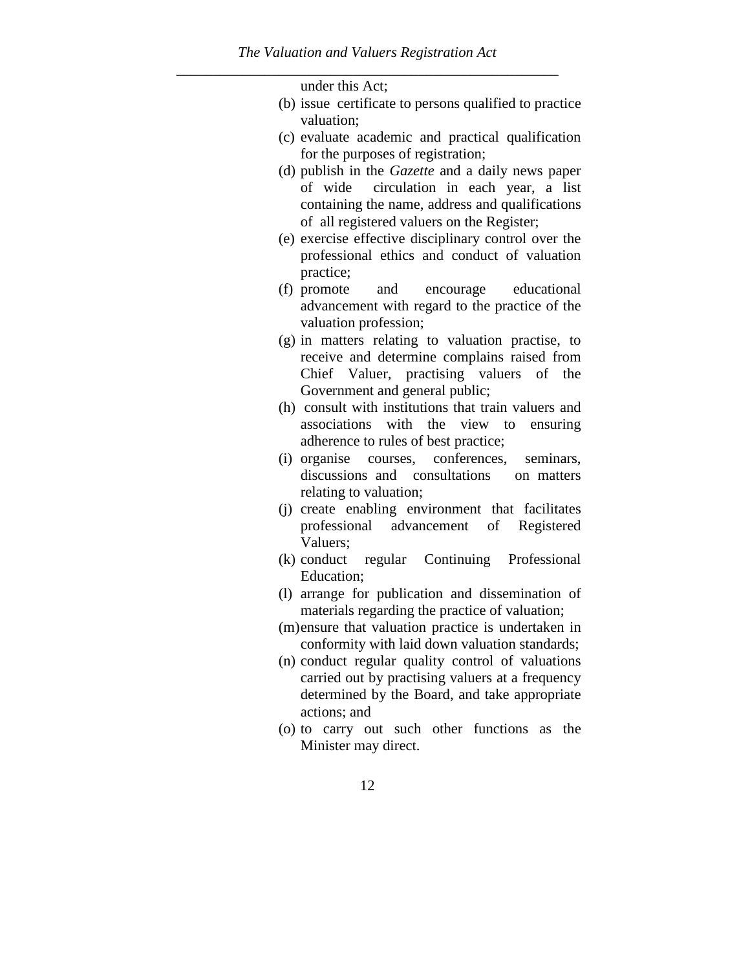under this Act;

- (b) issue certificate to persons qualified to practice valuation;
- (c) evaluate academic and practical qualification for the purposes of registration;
- (d) publish in the *Gazette* and a daily news paper of wide circulation in each year, a list containing the name, address and qualifications of all registered valuers on the Register;
- (e) exercise effective disciplinary control over the professional ethics and conduct of valuation practice;
- (f) promote and encourage educational advancement with regard to the practice of the valuation profession;
- (g) in matters relating to valuation practise, to receive and determine complains raised from Chief Valuer, practising valuers of the Government and general public;
- (h) consult with institutions that train valuers and associations with the view to ensuring adherence to rules of best practice;
- (i) organise courses, conferences, seminars, discussions and consultations on matters relating to valuation;
- (j) create enabling environment that facilitates professional advancement of Registered Valuers;
- (k) conduct regular Continuing Professional Education;
- (l) arrange for publication and dissemination of materials regarding the practice of valuation;
- (m)ensure that valuation practice is undertaken in conformity with laid down valuation standards;
- (n) conduct regular quality control of valuations carried out by practising valuers at a frequency determined by the Board, and take appropriate actions; and
- (o) to carry out such other functions as the Minister may direct.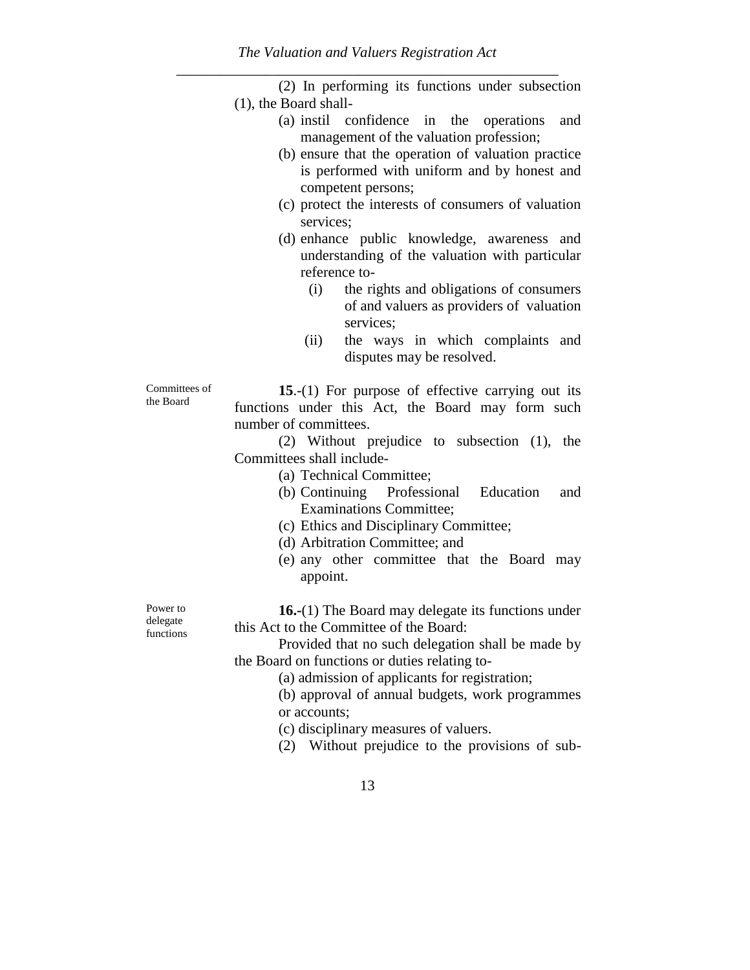|                            | (2) In performing its functions under subsection           |
|----------------------------|------------------------------------------------------------|
|                            | $(1)$ , the Board shall-                                   |
|                            | $(a)$ instil<br>confidence in the operations<br>and        |
|                            | management of the valuation profession;                    |
|                            | (b) ensure that the operation of valuation practice        |
|                            | is performed with uniform and by honest and                |
|                            | competent persons;                                         |
|                            | (c) protect the interests of consumers of valuation        |
|                            | services;                                                  |
|                            | (d) enhance public knowledge, awareness and                |
|                            | understanding of the valuation with particular             |
|                            | reference to-                                              |
|                            | the rights and obligations of consumers<br>(i)             |
|                            | of and valuers as providers of valuation                   |
|                            | services;                                                  |
|                            | the ways in which complaints and<br>(ii)                   |
|                            | disputes may be resolved.                                  |
|                            |                                                            |
| Committees of<br>the Board | 15.-(1) For purpose of effective carrying out its          |
|                            | functions under this Act, the Board may form such          |
|                            | number of committees.                                      |
|                            | (2) Without prejudice to subsection (1), the               |
|                            | Committees shall include-                                  |
|                            | (a) Technical Committee;                                   |
|                            | (b) Continuing Professional Education<br>and               |
|                            | <b>Examinations Committee;</b>                             |
|                            | (c) Ethics and Disciplinary Committee;                     |
|                            | (d) Arbitration Committee; and                             |
|                            | (e) any other committee that the Board may                 |
|                            | appoint.                                                   |
| Power to                   | <b>16.-</b> (1) The Board may delegate its functions under |
| delegate                   | this Act to the Committee of the Board:                    |
| functions                  | Provided that no such delegation shall be made by          |
|                            | the Board on functions or duties relating to-              |
|                            | (a) admission of applicants for registration;              |
|                            | (b) approval of annual budgets, work programmes            |
|                            | or accounts;                                               |
|                            | (c) disciplinary measures of valuers.                      |
|                            | (2) Without prejudice to the provisions of sub-            |
|                            |                                                            |

13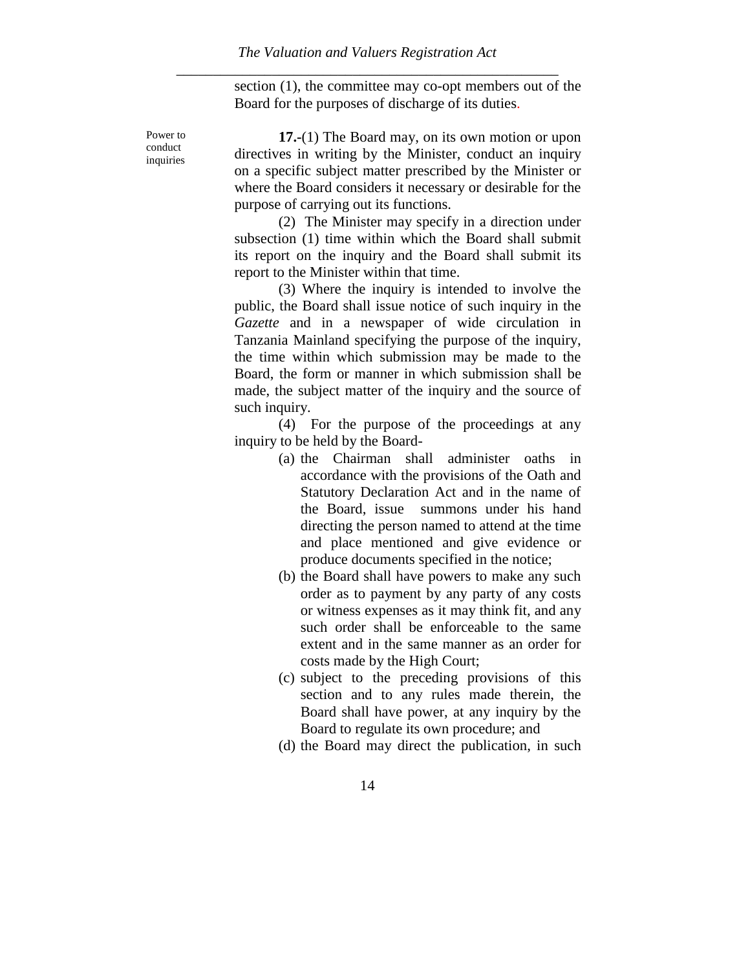section (1), the committee may co-opt members out of the Board for the purposes of discharge of its duties.

Power to conduct inquiries

**17.-**(1) The Board may, on its own motion or upon directives in writing by the Minister, conduct an inquiry on a specific subject matter prescribed by the Minister or where the Board considers it necessary or desirable for the purpose of carrying out its functions.

(2) The Minister may specify in a direction under subsection (1) time within which the Board shall submit its report on the inquiry and the Board shall submit its report to the Minister within that time.

(3) Where the inquiry is intended to involve the public, the Board shall issue notice of such inquiry in the *Gazette* and in a newspaper of wide circulation in Tanzania Mainland specifying the purpose of the inquiry, the time within which submission may be made to the Board, the form or manner in which submission shall be made, the subject matter of the inquiry and the source of such inquiry.

(4) For the purpose of the proceedings at any inquiry to be held by the Board-

- (a) the Chairman shall administer oaths in accordance with the provisions of the Oath and Statutory Declaration Act and in the name of the Board, issue summons under his hand directing the person named to attend at the time and place mentioned and give evidence or produce documents specified in the notice;
- (b) the Board shall have powers to make any such order as to payment by any party of any costs or witness expenses as it may think fit, and any such order shall be enforceable to the same extent and in the same manner as an order for costs made by the High Court;
- (c) subject to the preceding provisions of this section and to any rules made therein, the Board shall have power, at any inquiry by the Board to regulate its own procedure; and
- (d) the Board may direct the publication, in such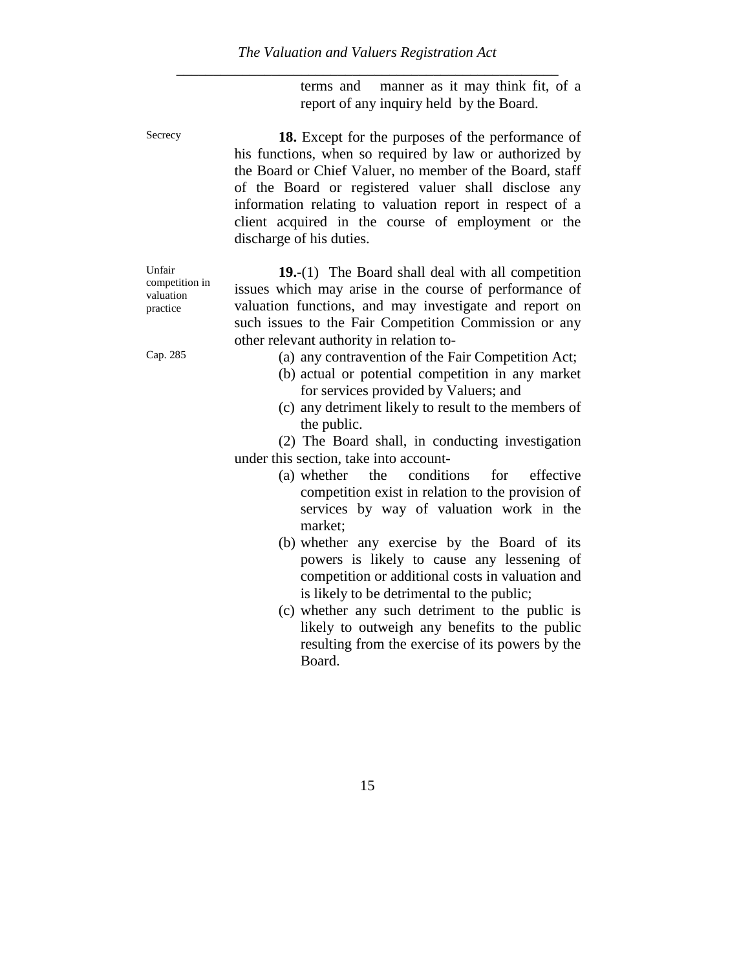terms and manner as it may think fit, of a report of any inquiry held by the Board.

Secrecy **18.** Except for the purposes of the performance of his functions, when so required by law or authorized by the Board or Chief Valuer, no member of the Board, staff of the Board or registered valuer shall disclose any information relating to valuation report in respect of a client acquired in the course of employment or the discharge of his duties.

> **19.-**(1) The Board shall deal with all competition issues which may arise in the course of performance of valuation functions, and may investigate and report on such issues to the Fair Competition Commission or any other relevant authority in relation to-

- Cap. 285 (a) any contravention of the Fair Competition Act;
	- (b) actual or potential competition in any market for services provided by Valuers; and
	- (c) any detriment likely to result to the members of the public.

(2) The Board shall, in conducting investigation under this section, take into account-

- (a) whether the conditions for effective competition exist in relation to the provision of services by way of valuation work in the market;
- (b) whether any exercise by the Board of its powers is likely to cause any lessening of competition or additional costs in valuation and is likely to be detrimental to the public;
- (c) whether any such detriment to the public is likely to outweigh any benefits to the public resulting from the exercise of its powers by the Board.

Unfair competition in valuation practice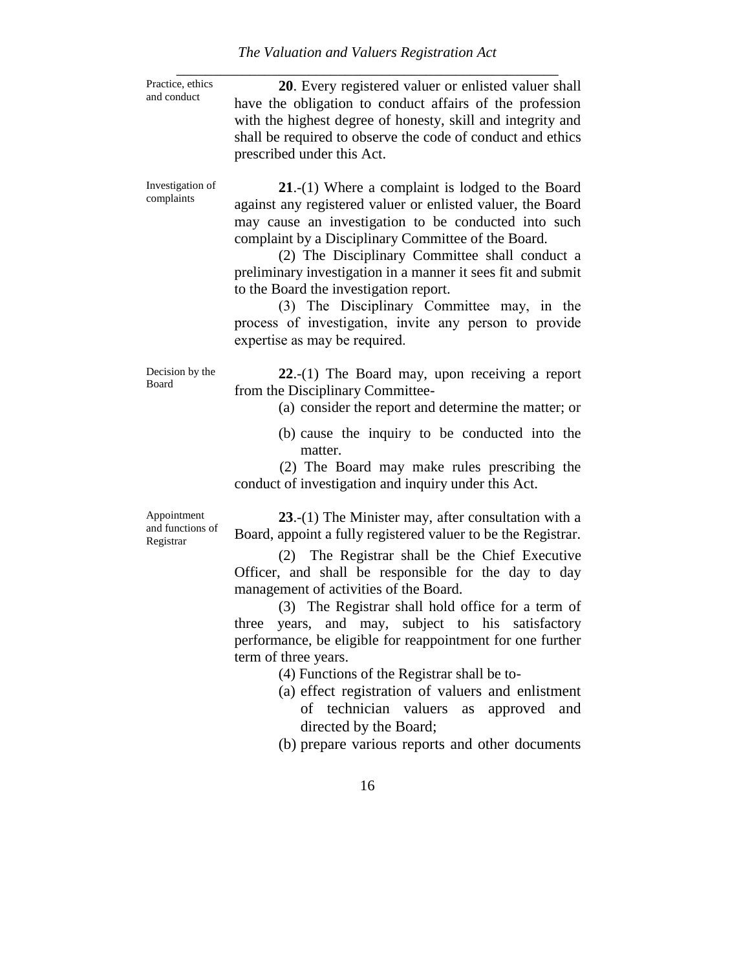| The Valuation and Valuers Registration Act |  |
|--------------------------------------------|--|
|--------------------------------------------|--|

| Practice, ethics<br>and conduct              | 20. Every registered valuer or enlisted valuer shall<br>have the obligation to conduct affairs of the profession<br>with the highest degree of honesty, skill and integrity and<br>shall be required to observe the code of conduct and ethics<br>prescribed under this Act.                                                                                                                                                                                                                                                                                                                                                                                                                                   |
|----------------------------------------------|----------------------------------------------------------------------------------------------------------------------------------------------------------------------------------------------------------------------------------------------------------------------------------------------------------------------------------------------------------------------------------------------------------------------------------------------------------------------------------------------------------------------------------------------------------------------------------------------------------------------------------------------------------------------------------------------------------------|
| Investigation of<br>complaints               | $21-(1)$ Where a complaint is lodged to the Board<br>against any registered valuer or enlisted valuer, the Board<br>may cause an investigation to be conducted into such<br>complaint by a Disciplinary Committee of the Board.<br>(2) The Disciplinary Committee shall conduct a<br>preliminary investigation in a manner it sees fit and submit<br>to the Board the investigation report.<br>(3) The Disciplinary Committee may, in the<br>process of investigation, invite any person to provide<br>expertise as may be required.                                                                                                                                                                           |
| Decision by the<br><b>Board</b>              | $22-(1)$ The Board may, upon receiving a report<br>from the Disciplinary Committee-<br>(a) consider the report and determine the matter; or<br>(b) cause the inquiry to be conducted into the<br>matter.<br>(2) The Board may make rules prescribing the<br>conduct of investigation and inquiry under this Act.                                                                                                                                                                                                                                                                                                                                                                                               |
| Appointment<br>and functions of<br>Registrar | 23.-(1) The Minister may, after consultation with a<br>Board, appoint a fully registered valuer to be the Registrar.<br>(2) The Registrar shall be the Chief Executive<br>Officer, and shall be responsible for the day to day<br>management of activities of the Board.<br>(3) The Registrar shall hold office for a term of<br>years, and may, subject to his satisfactory<br>three<br>performance, be eligible for reappointment for one further<br>term of three years.<br>(4) Functions of the Registrar shall be to-<br>(a) effect registration of valuers and enlistment<br>of technician valuers<br>as<br>approved<br>and<br>directed by the Board;<br>(b) prepare various reports and other documents |
|                                              | 16                                                                                                                                                                                                                                                                                                                                                                                                                                                                                                                                                                                                                                                                                                             |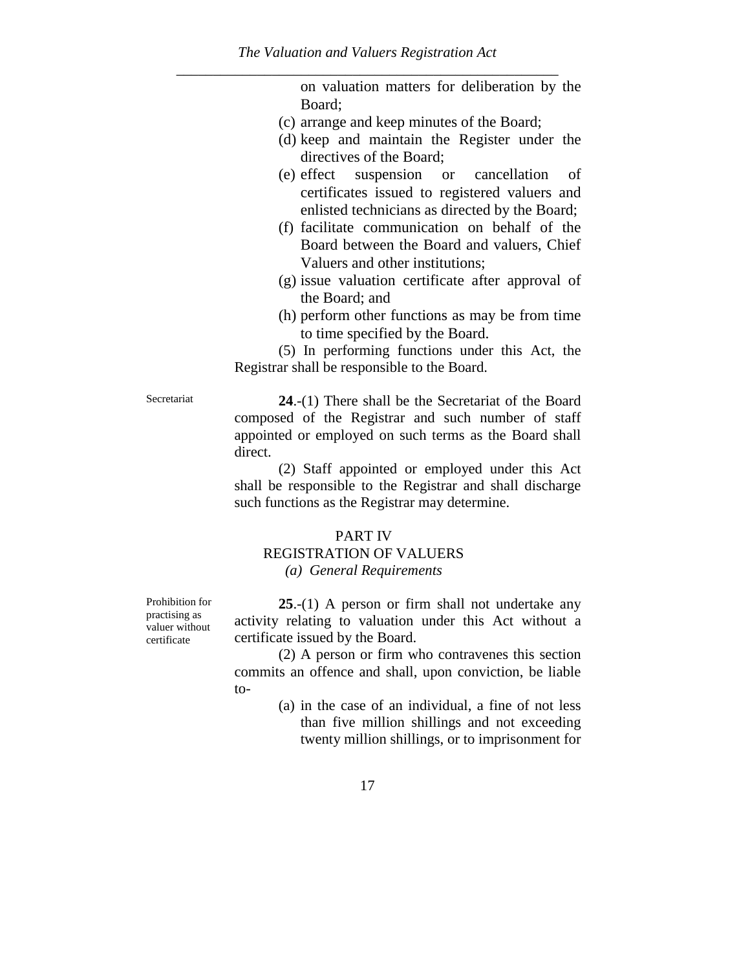on valuation matters for deliberation by the Board;

- (c) arrange and keep minutes of the Board;
- (d) keep and maintain the Register under the directives of the Board;
- (e) effect suspension or cancellation of certificates issued to registered valuers and enlisted technicians as directed by the Board;
- (f) facilitate communication on behalf of the Board between the Board and valuers, Chief Valuers and other institutions;
- (g) issue valuation certificate after approval of the Board; and
- (h) perform other functions as may be from time to time specified by the Board.

(5) In performing functions under this Act, the Registrar shall be responsible to the Board.

Secretariat **24.-(1)** There shall be the Secretariat of the Board composed of the Registrar and such number of staff appointed or employed on such terms as the Board shall direct.

> (2) Staff appointed or employed under this Act shall be responsible to the Registrar and shall discharge such functions as the Registrar may determine.

#### PART IV

### REGISTRATION OF VALUERS *(a) General Requirements*

**25**.-(1) A person or firm shall not undertake any activity relating to valuation under this Act without a certificate issued by the Board.

(2) A person or firm who contravenes this section commits an offence and shall, upon conviction, be liable to-

> (a) in the case of an individual, a fine of not less than five million shillings and not exceeding twenty million shillings, or to imprisonment for

Prohibition for practising as valuer without certificate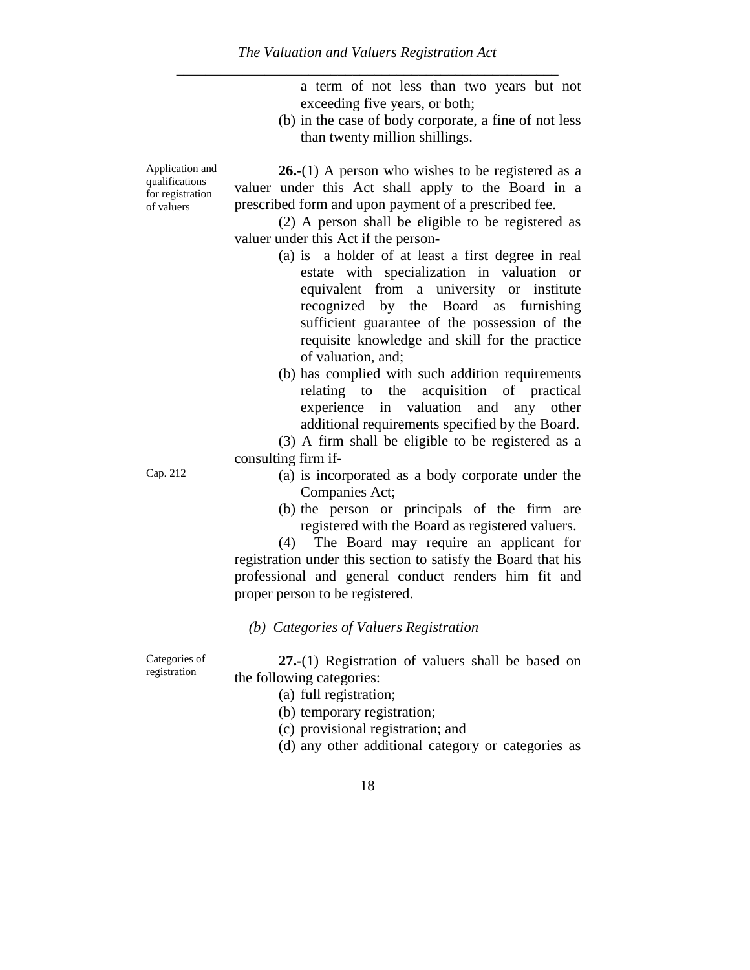a term of not less than two years but not exceeding five years, or both;

(b) in the case of body corporate, a fine of not less than twenty million shillings.

Application and qualifications for registration of valuers

**26.-**(1) A person who wishes to be registered as a valuer under this Act shall apply to the Board in a prescribed form and upon payment of a prescribed fee.

(2) A person shall be eligible to be registered as valuer under this Act if the person-

- (a) is a holder of at least a first degree in real estate with specialization in valuation or equivalent from a university or institute recognized by the Board as furnishing sufficient guarantee of the possession of the requisite knowledge and skill for the practice of valuation, and;
- (b) has complied with such addition requirements relating to the acquisition of practical experience in valuation and any other additional requirements specified by the Board.

(3) A firm shall be eligible to be registered as a consulting firm if-

- Cap. 212 (a) is incorporated as a body corporate under the Companies Act;
	- (b) the person or principals of the firm are registered with the Board as registered valuers.

(4) The Board may require an applicant for registration under this section to satisfy the Board that his professional and general conduct renders him fit and proper person to be registered.

#### *(b) Categories of Valuers Registration*

Categories of registration

**27.-**(1) Registration of valuers shall be based on the following categories:

- (a) full registration;
- (b) temporary registration;
- (c) provisional registration; and
- (d) any other additional category or categories as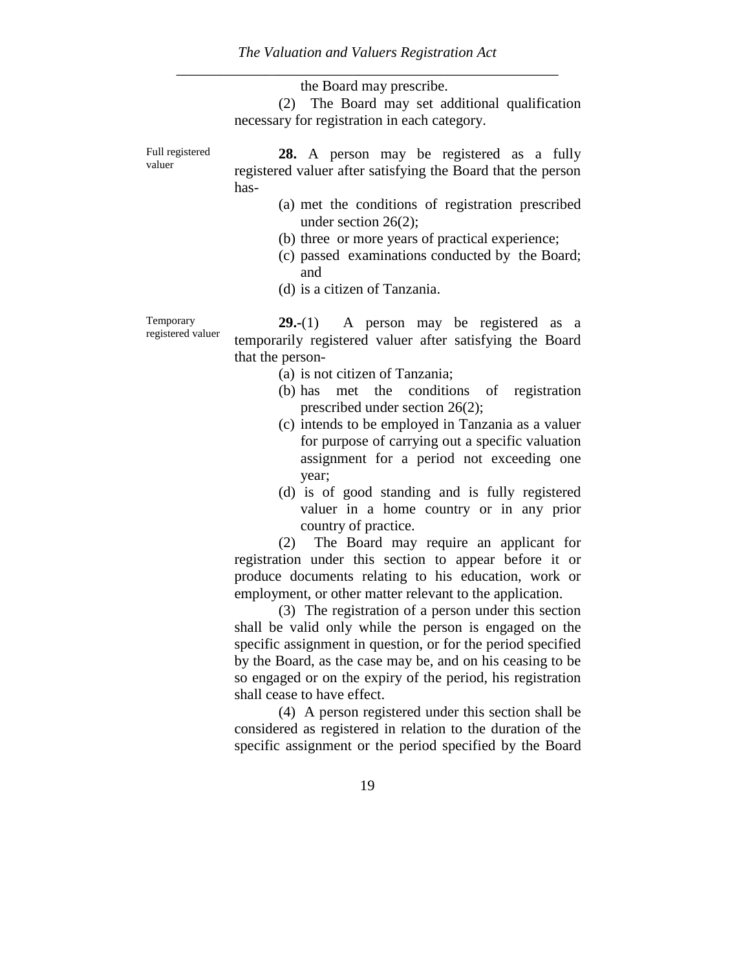|                                | the Board may prescribe.                                                                                                 |
|--------------------------------|--------------------------------------------------------------------------------------------------------------------------|
|                                | (2) The Board may set additional qualification                                                                           |
|                                | necessary for registration in each category.                                                                             |
| Full registered<br>valuer      | <b>28.</b> A person may be registered as a fully<br>registered valuer after satisfying the Board that the person<br>has- |
|                                | (a) met the conditions of registration prescribed<br>under section $26(2)$ ;                                             |
|                                | (b) three or more years of practical experience;<br>(c) passed examinations conducted by the Board;<br>and               |
|                                | (d) is a citizen of Tanzania.                                                                                            |
| Temporary<br>registered valuer | <b>29.-</b> (1) A person may be registered as a<br>tomponently nogistared velves often estisfying the Deepd              |

temporarily registered valuer after satisfying the Board that the person-

- (a) is not citizen of Tanzania;
- (b) has met the conditions of registration prescribed under section 26(2);
- (c) intends to be employed in Tanzania as a valuer for purpose of carrying out a specific valuation assignment for a period not exceeding one year;
- (d) is of good standing and is fully registered valuer in a home country or in any prior country of practice.

(2) The Board may require an applicant for registration under this section to appear before it or produce documents relating to his education, work or employment, or other matter relevant to the application.

(3) The registration of a person under this section shall be valid only while the person is engaged on the specific assignment in question, or for the period specified by the Board, as the case may be, and on his ceasing to be so engaged or on the expiry of the period, his registration shall cease to have effect.

(4) A person registered under this section shall be considered as registered in relation to the duration of the specific assignment or the period specified by the Board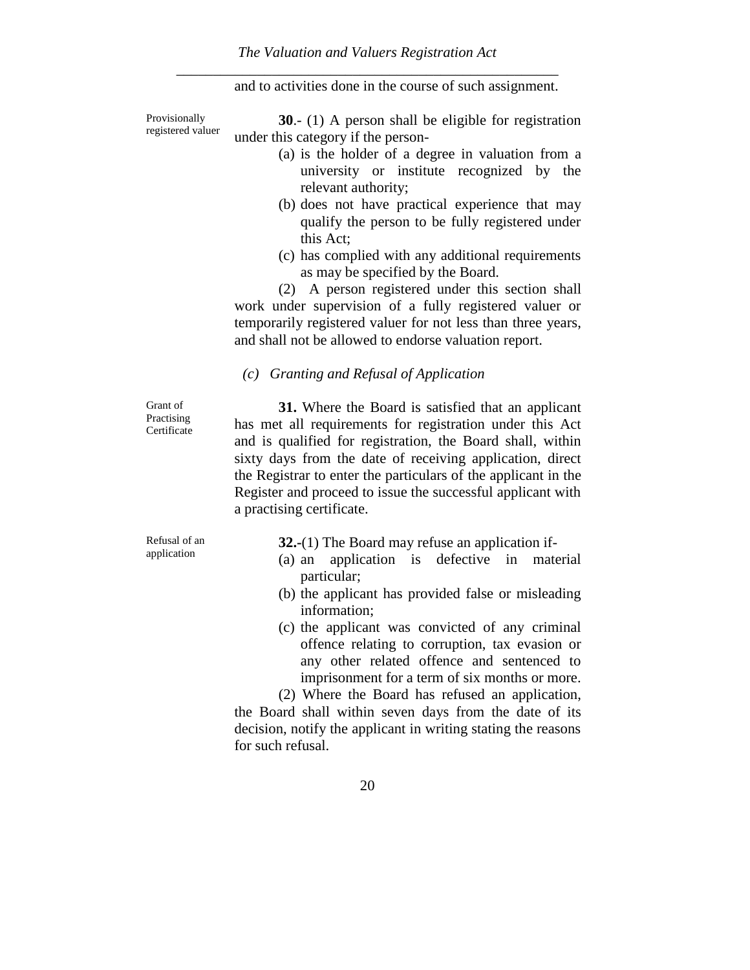and to activities done in the course of such assignment.

Provisionally registered valuer

**30**.- (1) A person shall be eligible for registration under this category if the person-

- (a) is the holder of a degree in valuation from a university or institute recognized by the relevant authority;
- (b) does not have practical experience that may qualify the person to be fully registered under this Act;
- (c) has complied with any additional requirements as may be specified by the Board.

(2) A person registered under this section shall work under supervision of a fully registered valuer or temporarily registered valuer for not less than three years, and shall not be allowed to endorse valuation report.

#### *(c) Granting and Refusal of Application*

Grant of Practising **Certificate** 

**31.** Where the Board is satisfied that an applicant has met all requirements for registration under this Act and is qualified for registration, the Board shall, within sixty days from the date of receiving application, direct the Registrar to enter the particulars of the applicant in the Register and proceed to issue the successful applicant with a practising certificate.

Refusal of an application

**32.-**(1) The Board may refuse an application if-

- (a) an application is defective in material particular;
- (b) the applicant has provided false or misleading information;
- (c) the applicant was convicted of any criminal offence relating to corruption, tax evasion or any other related offence and sentenced to imprisonment for a term of six months or more.

(2) Where the Board has refused an application, the Board shall within seven days from the date of its decision, notify the applicant in writing stating the reasons for such refusal.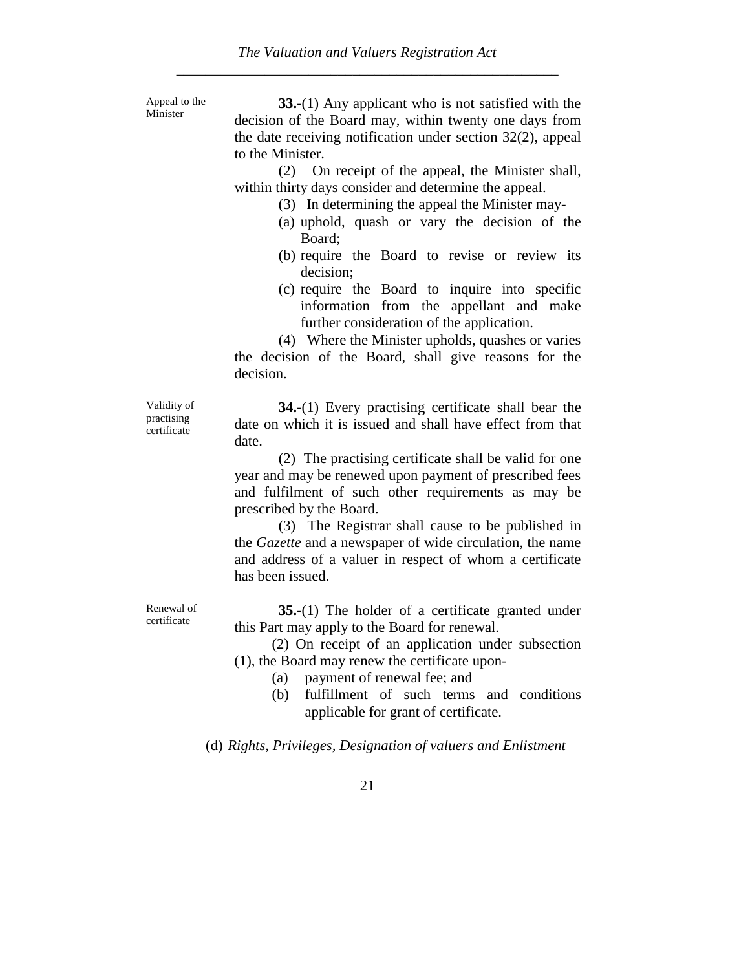Appeal to the Minister

**33.-**(1) Any applicant who is not satisfied with the decision of the Board may, within twenty one days from the date receiving notification under section 32(2), appeal to the Minister.

(2) On receipt of the appeal, the Minister shall, within thirty days consider and determine the appeal.

- (3) In determining the appeal the Minister may-
- (a) uphold, quash or vary the decision of the Board;
- (b) require the Board to revise or review its decision;
- (c) require the Board to inquire into specific information from the appellant and make further consideration of the application.

(4) Where the Minister upholds, quashes or varies the decision of the Board, shall give reasons for the decision.

Validity of practising certificate

**34.-**(1) Every practising certificate shall bear the date on which it is issued and shall have effect from that date.

(2) The practising certificate shall be valid for one year and may be renewed upon payment of prescribed fees and fulfilment of such other requirements as may be prescribed by the Board.

(3) The Registrar shall cause to be published in the *Gazette* and a newspaper of wide circulation, the name and address of a valuer in respect of whom a certificate has been issued.

**35.**-(1) The holder of a certificate granted under this Part may apply to the Board for renewal.

(2) On receipt of an application under subsection (1), the Board may renew the certificate upon-

- (a) payment of renewal fee; and
- (b) fulfillment of such terms and conditions applicable for grant of certificate.

(d) *Rights, Privileges, Designation of valuers and Enlistment*

Renewal of certificate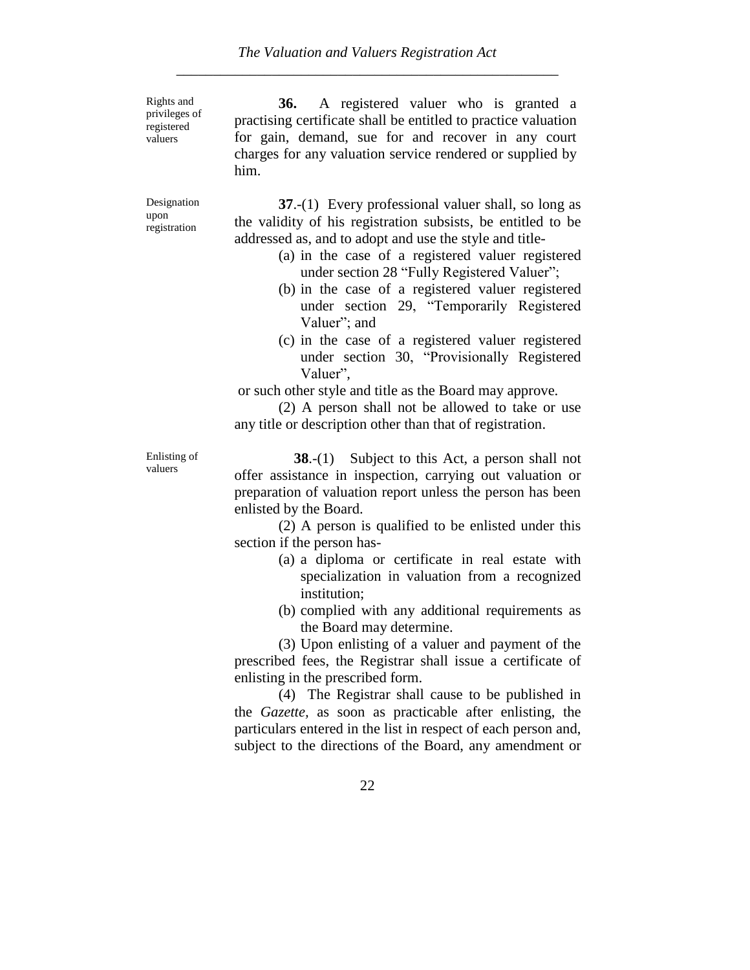Rights and privileges of registered valuers

**36.** A registered valuer who is granted a practising certificate shall be entitled to practice valuation for gain, demand, sue for and recover in any court charges for any valuation service rendered or supplied by him.

Designation upon registration

**37.**-(1) Every professional valuer shall, so long as the validity of his registration subsists, be entitled to be addressed as, and to adopt and use the style and title-

- (a) in the case of a registered valuer registered under section 28 "Fully Registered Valuer";
- (b) in the case of a registered valuer registered under section 29, "Temporarily Registered Valuer"; and
- (c) in the case of a registered valuer registered under section 30, "Provisionally Registered Valuer",

or such other style and title as the Board may approve.

(2) A person shall not be allowed to take or use any title or description other than that of registration.

Enlisting of valuers

**38.-(1)** Subject to this Act, a person shall not offer assistance in inspection, carrying out valuation or preparation of valuation report unless the person has been enlisted by the Board.

(2) A person is qualified to be enlisted under this section if the person has-

- (a) a diploma or certificate in real estate with specialization in valuation from a recognized institution;
- (b) complied with any additional requirements as the Board may determine.

(3) Upon enlisting of a valuer and payment of the prescribed fees, the Registrar shall issue a certificate of enlisting in the prescribed form.

(4) The Registrar shall cause to be published in the *Gazette,* as soon as practicable after enlisting, the particulars entered in the list in respect of each person and, subject to the directions of the Board, any amendment or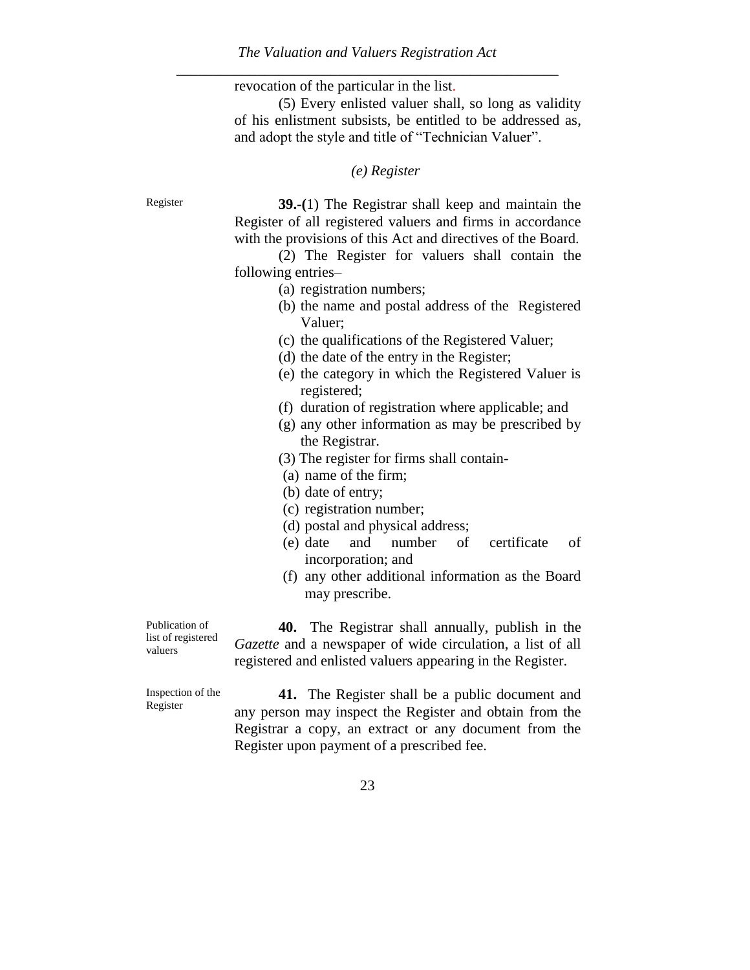revocation of the particular in the list.

(5) Every enlisted valuer shall, so long as validity of his enlistment subsists, be entitled to be addressed as, and adopt the style and title of "Technician Valuer".

#### *(e) Register*

Register **39.-(**1) The Registrar shall keep and maintain the Register of all registered valuers and firms in accordance with the provisions of this Act and directives of the Board.

> (2) The Register for valuers shall contain the following entries–

- (a) registration numbers;
- (b) the name and postal address of the Registered Valuer;
- (c) the qualifications of the Registered Valuer;
- (d) the date of the entry in the Register;
- (e) the category in which the Registered Valuer is registered;
- (f) duration of registration where applicable; and
- (g) any other information as may be prescribed by the Registrar.
- (3) The register for firms shall contain-
- (a) name of the firm;
- (b) date of entry;
- (c) registration number;
- (d) postal and physical address;
- (e) date and number of certificate of incorporation; and
- (f) any other additional information as the Board may prescribe.

Publication of list of registered valuers

**40.** The Registrar shall annually, publish in the *Gazette* and a newspaper of wide circulation, a list of all registered and enlisted valuers appearing in the Register.

Inspection of the Register

**41.** The Register shall be a public document and any person may inspect the Register and obtain from the Registrar a copy, an extract or any document from the Register upon payment of a prescribed fee.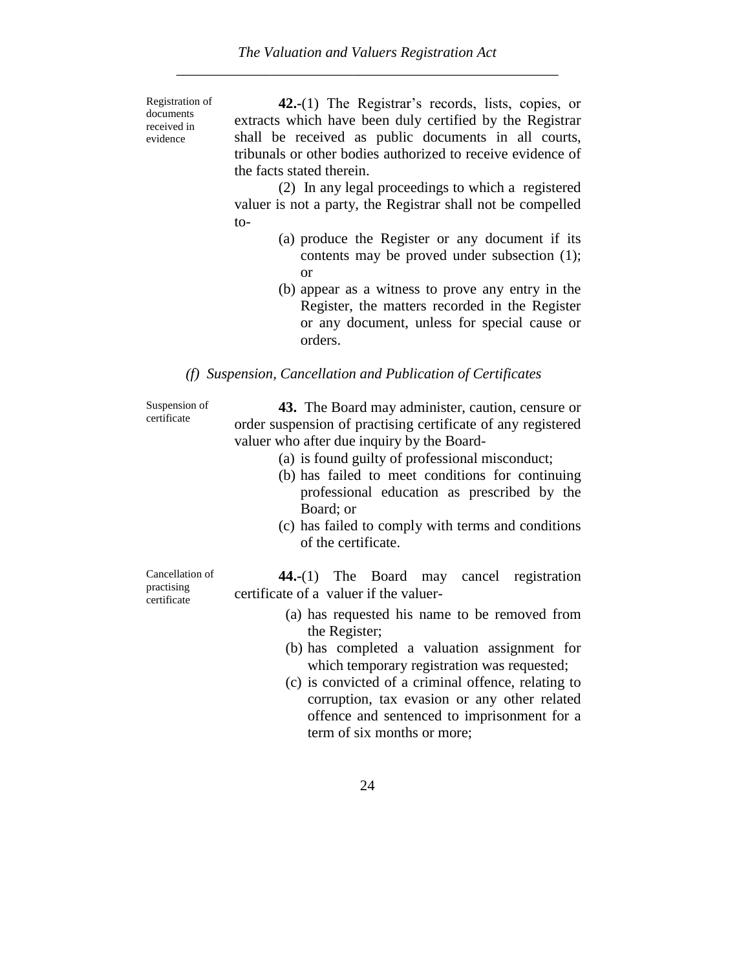Registration of documents received in evidence

**42.-**(1) The Registrar"s records, lists, copies, or extracts which have been duly certified by the Registrar shall be received as public documents in all courts, tribunals or other bodies authorized to receive evidence of the facts stated therein.

(2) In any legal proceedings to which a registered valuer is not a party, the Registrar shall not be compelled to-

- (a) produce the Register or any document if its contents may be proved under subsection (1); or
- (b) appear as a witness to prove any entry in the Register, the matters recorded in the Register or any document, unless for special cause or orders.

#### *(f) Suspension, Cancellation and Publication of Certificates*

Suspension of certificate

**43.** The Board may administer, caution, censure or order suspension of practising certificate of any registered valuer who after due inquiry by the Board-

- (a) is found guilty of professional misconduct;
- (b) has failed to meet conditions for continuing professional education as prescribed by the Board; or
- (c) has failed to comply with terms and conditions of the certificate.

Cancellation of practising certificate

**44.-**(1) The Board may cancel registration certificate of a valuer if the valuer-

- (a) has requested his name to be removed from the Register;
- (b) has completed a valuation assignment for which temporary registration was requested;
- (c) is convicted of a criminal offence, relating to corruption, tax evasion or any other related offence and sentenced to imprisonment for a term of six months or more;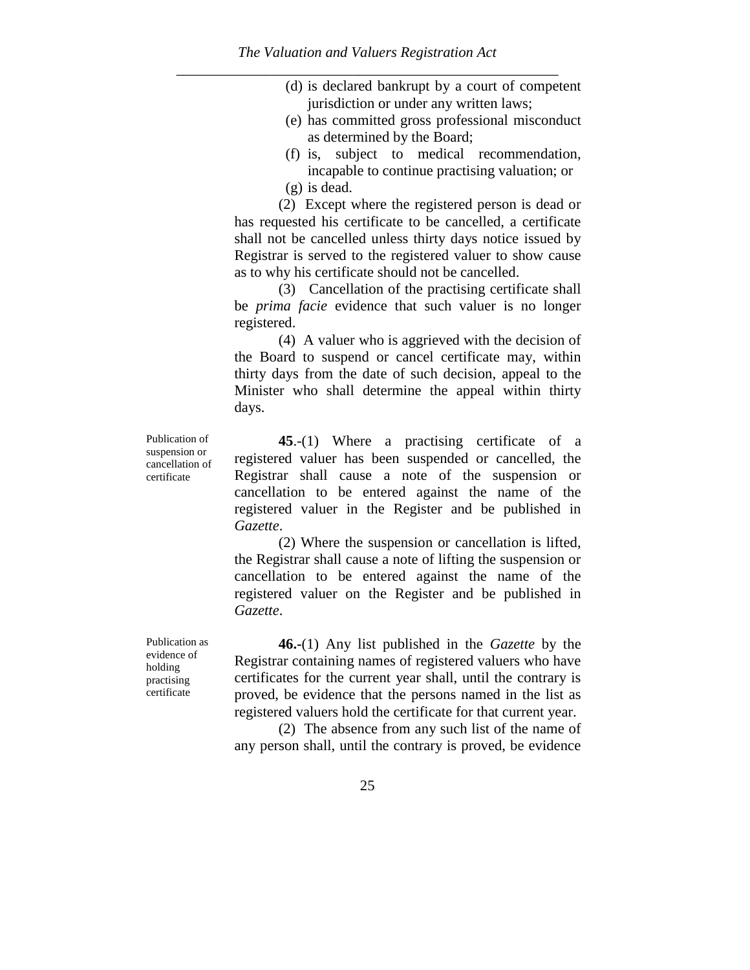- (d) is declared bankrupt by a court of competent jurisdiction or under any written laws;
- (e) has committed gross professional misconduct as determined by the Board;
- (f) is, subject to medical recommendation, incapable to continue practising valuation; or
- (g) is dead.

(2) Except where the registered person is dead or has requested his certificate to be cancelled, a certificate shall not be cancelled unless thirty days notice issued by Registrar is served to the registered valuer to show cause as to why his certificate should not be cancelled.

(3) Cancellation of the practising certificate shall be *prima facie* evidence that such valuer is no longer registered.

(4) A valuer who is aggrieved with the decision of the Board to suspend or cancel certificate may, within thirty days from the date of such decision, appeal to the Minister who shall determine the appeal within thirty days.

**45**.-(1) Where a practising certificate of a registered valuer has been suspended or cancelled, the Registrar shall cause a note of the suspension or cancellation to be entered against the name of the registered valuer in the Register and be published in *Gazette*.

(2) Where the suspension or cancellation is lifted, the Registrar shall cause a note of lifting the suspension or cancellation to be entered against the name of the registered valuer on the Register and be published in *Gazette*.

**46.-**(1) Any list published in the *Gazette* by the Registrar containing names of registered valuers who have certificates for the current year shall, until the contrary is proved, be evidence that the persons named in the list as registered valuers hold the certificate for that current year.

(2) The absence from any such list of the name of any person shall, until the contrary is proved, be evidence

Publication as evidence of holding practising

certificate

Publication of suspension or cancellation of certificate

25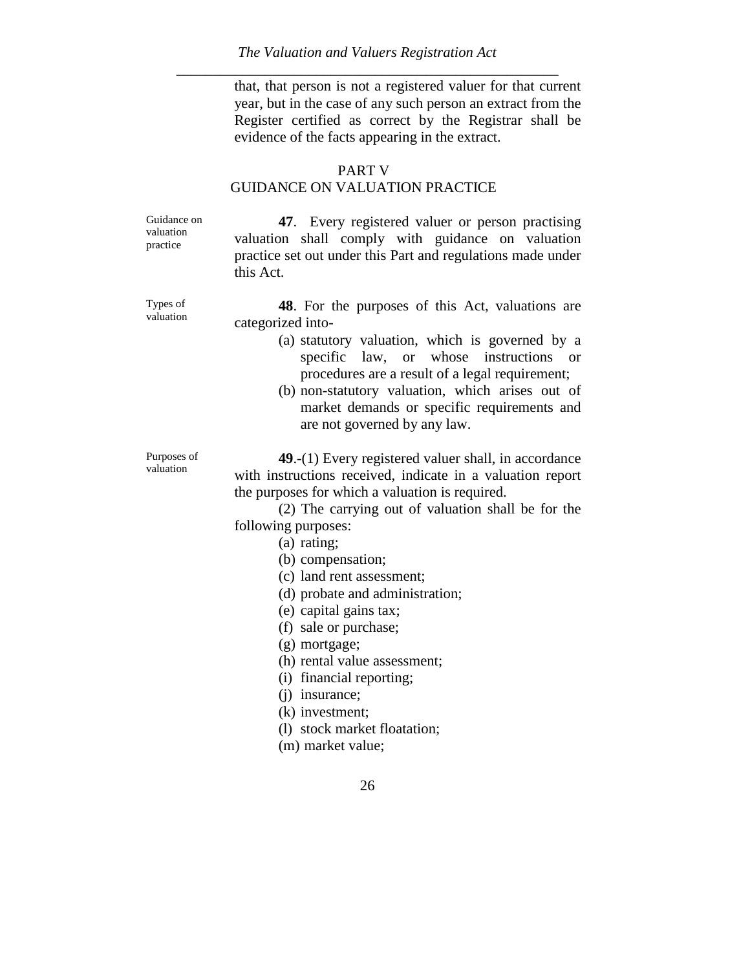that, that person is not a registered valuer for that current year, but in the case of any such person an extract from the Register certified as correct by the Registrar shall be evidence of the facts appearing in the extract.

#### PART V

## GUIDANCE ON VALUATION PRACTICE

Guidance on valuation practice

**47**. Every registered valuer or person practising valuation shall comply with guidance on valuation practice set out under this Part and regulations made under this Act.

Types of valuation

**48**. For the purposes of this Act, valuations are categorized into-

- (a) statutory valuation, which is governed by a specific law, or whose instructions or procedures are a result of a legal requirement;
- (b) non-statutory valuation, which arises out of market demands or specific requirements and are not governed by any law.

Purposes of valuation

**49**.-(1) Every registered valuer shall, in accordance with instructions received, indicate in a valuation report the purposes for which a valuation is required.

(2) The carrying out of valuation shall be for the following purposes:

- (a) rating;
- (b) compensation;
- (c) land rent assessment;
- (d) probate and administration;
- (e) capital gains tax;
- (f) sale or purchase;
- (g) mortgage;
- (h) rental value assessment;
- (i) financial reporting;
- (j) insurance;
- (k) investment;
- (l) stock market floatation;
- (m) market value;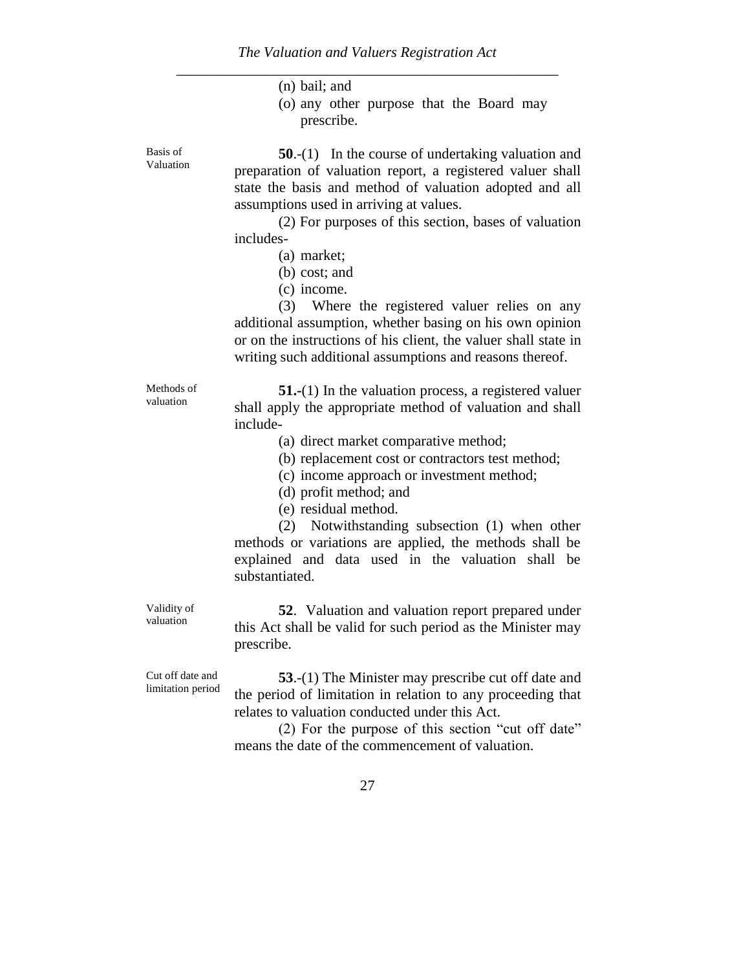|                                       | $(n)$ bail; and<br>(o) any other purpose that the Board may<br>prescribe.                                                                                                                                                                                                                                                                                                                                                                                                                                                                                                                 |
|---------------------------------------|-------------------------------------------------------------------------------------------------------------------------------------------------------------------------------------------------------------------------------------------------------------------------------------------------------------------------------------------------------------------------------------------------------------------------------------------------------------------------------------------------------------------------------------------------------------------------------------------|
| Basis of<br>Valuation                 | $50-(1)$ In the course of undertaking valuation and<br>preparation of valuation report, a registered valuer shall<br>state the basis and method of valuation adopted and all<br>assumptions used in arriving at values.<br>(2) For purposes of this section, bases of valuation<br>includes-<br>(a) market;<br>$(b)$ cost; and<br>(c) income.<br>(3) Where the registered valuer relies on any<br>additional assumption, whether basing on his own opinion<br>or on the instructions of his client, the valuer shall state in<br>writing such additional assumptions and reasons thereof. |
| Methods of<br>valuation               | <b>51.-</b> (1) In the valuation process, a registered valuer<br>shall apply the appropriate method of valuation and shall<br>include-<br>(a) direct market comparative method;<br>(b) replacement cost or contractors test method;<br>(c) income approach or investment method;<br>(d) profit method; and<br>(e) residual method.<br>(2) Notwithstanding subsection (1) when other<br>methods or variations are applied, the methods shall be<br>explained and data used in the valuation shall be<br>substantiated.                                                                     |
| Validity of<br>valuation              | 52. Valuation and valuation report prepared under<br>this Act shall be valid for such period as the Minister may<br>prescribe.                                                                                                                                                                                                                                                                                                                                                                                                                                                            |
| Cut off date and<br>limitation period | 53.-(1) The Minister may prescribe cut off date and<br>the period of limitation in relation to any proceeding that<br>relates to valuation conducted under this Act.<br>(2) For the purpose of this section "cut off date"<br>means the date of the commencement of valuation.                                                                                                                                                                                                                                                                                                            |
|                                       | 27                                                                                                                                                                                                                                                                                                                                                                                                                                                                                                                                                                                        |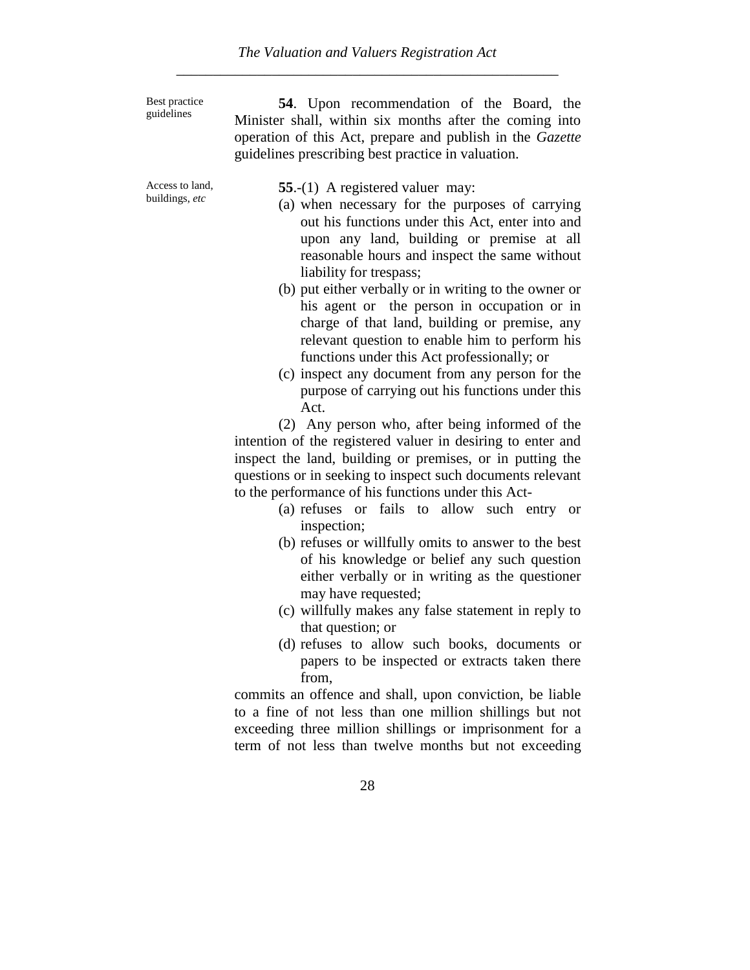Best practice guidelines

**54**. Upon recommendation of the Board, the Minister shall, within six months after the coming into operation of this Act, prepare and publish in the *Gazette* guidelines prescribing best practice in valuation.

Access to land, buildings, *etc*

**55**.-(1) A registered valuer may:

- (a) when necessary for the purposes of carrying out his functions under this Act, enter into and upon any land, building or premise at all reasonable hours and inspect the same without liability for trespass;
- (b) put either verbally or in writing to the owner or his agent or the person in occupation or in charge of that land, building or premise, any relevant question to enable him to perform his functions under this Act professionally; or
- (c) inspect any document from any person for the purpose of carrying out his functions under this Act.

(2) Any person who, after being informed of the intention of the registered valuer in desiring to enter and inspect the land, building or premises, or in putting the questions or in seeking to inspect such documents relevant to the performance of his functions under this Act-

- (a) refuses or fails to allow such entry or inspection;
- (b) refuses or willfully omits to answer to the best of his knowledge or belief any such question either verbally or in writing as the questioner may have requested;
- (c) willfully makes any false statement in reply to that question; or
- (d) refuses to allow such books, documents or papers to be inspected or extracts taken there from,

commits an offence and shall, upon conviction, be liable to a fine of not less than one million shillings but not exceeding three million shillings or imprisonment for a term of not less than twelve months but not exceeding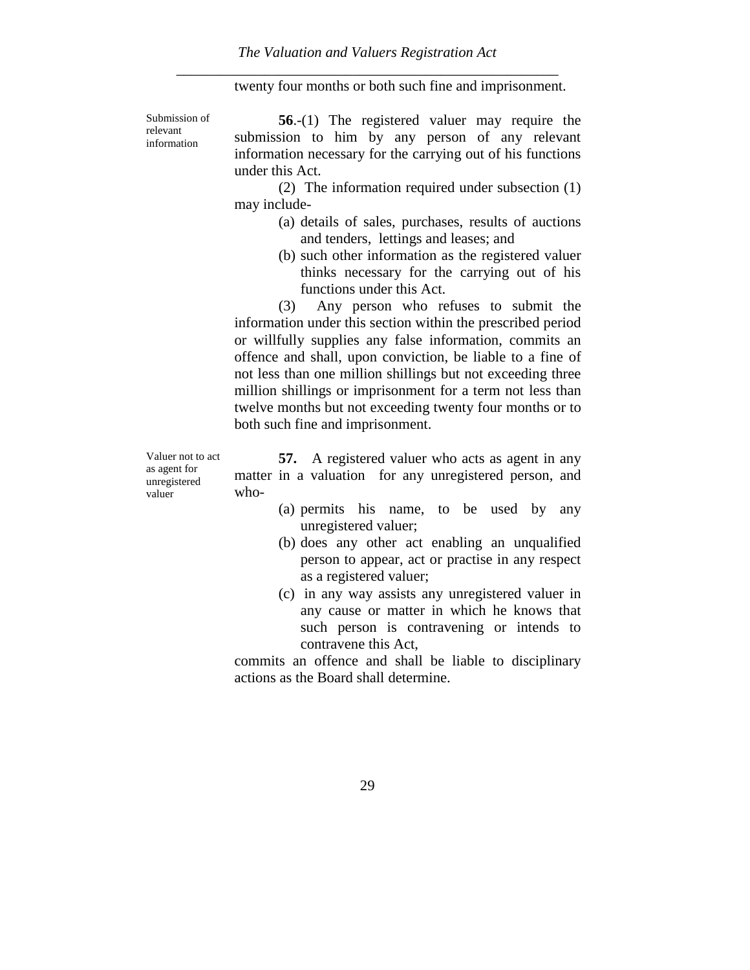twenty four months or both such fine and imprisonment.

Submission of relevant information

**56.**-(1) The registered valuer may require the submission to him by any person of any relevant information necessary for the carrying out of his functions under this Act.

(2) The information required under subsection (1) may include-

- (a) details of sales, purchases, results of auctions and tenders, lettings and leases; and
- (b) such other information as the registered valuer thinks necessary for the carrying out of his functions under this Act.

(3) Any person who refuses to submit the information under this section within the prescribed period or willfully supplies any false information, commits an offence and shall, upon conviction, be liable to a fine of not less than one million shillings but not exceeding three million shillings or imprisonment for a term not less than twelve months but not exceeding twenty four months or to both such fine and imprisonment.

Valuer not to act as agent for unregistered valuer

**57.** A registered valuer who acts as agent in any matter in a valuation for any unregistered person, and who-

- (a) permits his name, to be used by any unregistered valuer;
- (b) does any other act enabling an unqualified person to appear, act or practise in any respect as a registered valuer;
- (c) in any way assists any unregistered valuer in any cause or matter in which he knows that such person is contravening or intends to contravene this Act,

commits an offence and shall be liable to disciplinary actions as the Board shall determine.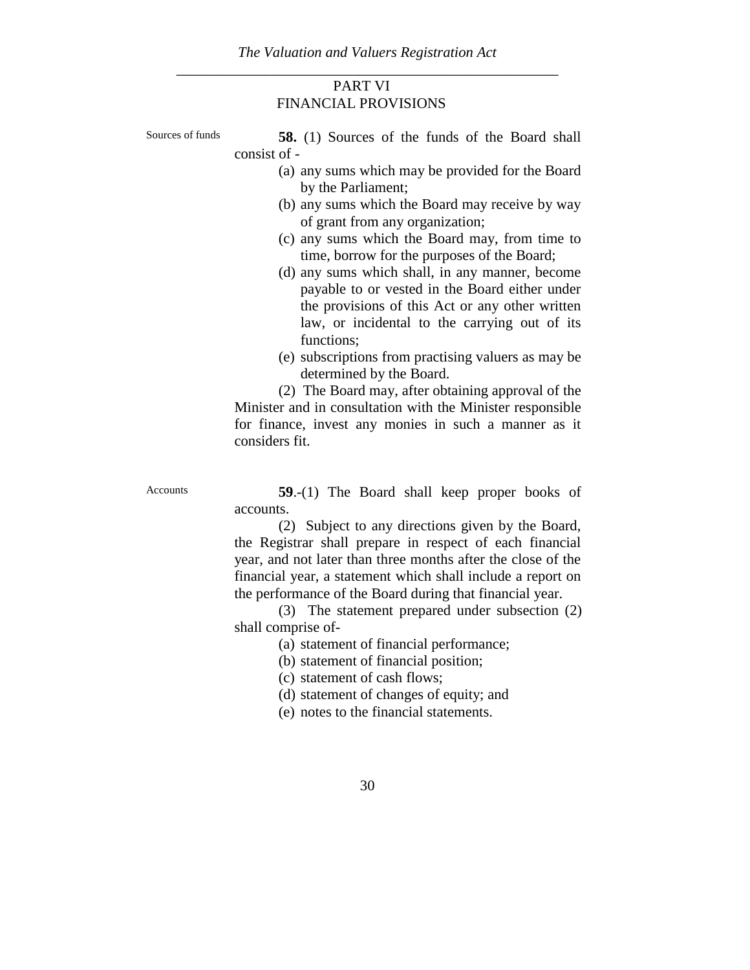## PART VI FINANCIAL PROVISIONS

- Sources of funds **58.** (1) Sources of the funds of the Board shall consist of -
	- (a) any sums which may be provided for the Board by the Parliament;
	- (b) any sums which the Board may receive by way of grant from any organization;
	- (c) any sums which the Board may, from time to time, borrow for the purposes of the Board;
	- (d) any sums which shall, in any manner, become payable to or vested in the Board either under the provisions of this Act or any other written law, or incidental to the carrying out of its functions:
	- (e) subscriptions from practising valuers as may be determined by the Board.

(2) The Board may, after obtaining approval of the Minister and in consultation with the Minister responsible for finance, invest any monies in such a manner as it considers fit.

Accounts **59**.-(1) The Board shall keep proper books of accounts.

> (2) Subject to any directions given by the Board, the Registrar shall prepare in respect of each financial year, and not later than three months after the close of the financial year, a statement which shall include a report on the performance of the Board during that financial year.

> (3) The statement prepared under subsection (2) shall comprise of-

> > (a) statement of financial performance;

(b) statement of financial position;

(c) statement of cash flows;

- (d) statement of changes of equity; and
- (e) notes to the financial statements.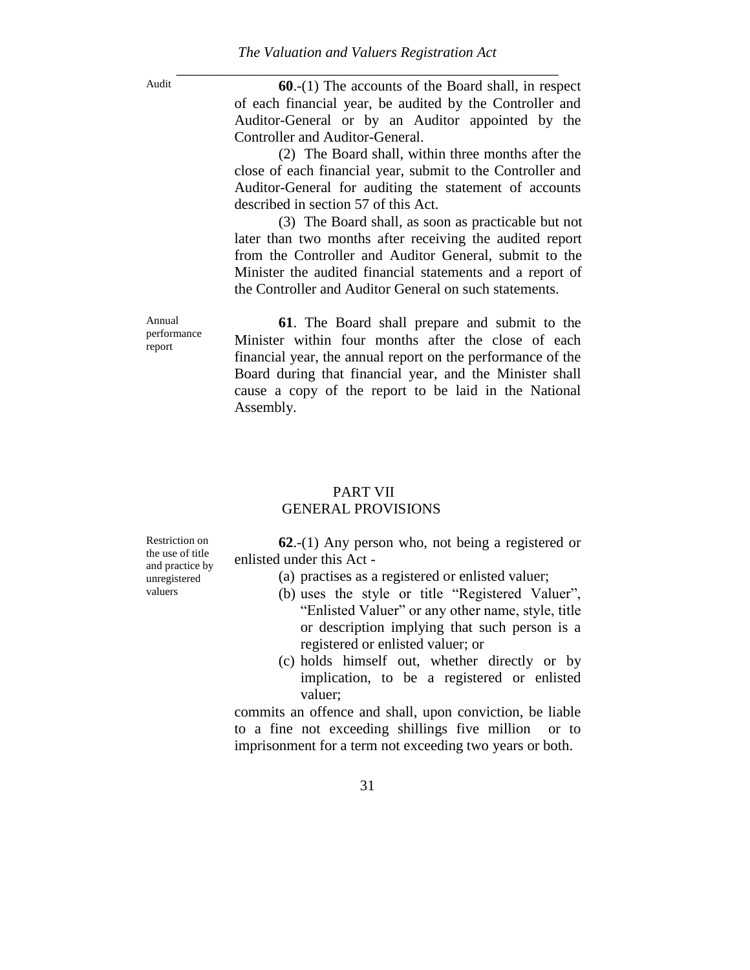Audit **60.-(1)** The accounts of the Board shall, in respect of each financial year, be audited by the Controller and Auditor-General or by an Auditor appointed by the Controller and Auditor-General.

> (2) The Board shall, within three months after the close of each financial year, submit to the Controller and Auditor-General for auditing the statement of accounts described in section 57 of this Act.

> (3) The Board shall, as soon as practicable but not later than two months after receiving the audited report from the Controller and Auditor General, submit to the Minister the audited financial statements and a report of the Controller and Auditor General on such statements.

> **61**. The Board shall prepare and submit to the Minister within four months after the close of each financial year, the annual report on the performance of the Board during that financial year, and the Minister shall cause a copy of the report to be laid in the National Assembly.

## PART VII GENERAL PROVISIONS

**62**.-(1) Any person who, not being a registered or enlisted under this Act -

- (a) practises as a registered or enlisted valuer;
- (b) uses the style or title "Registered Valuer", "Enlisted Valuer" or any other name, style, title or description implying that such person is a registered or enlisted valuer; or
- (c) holds himself out, whether directly or by implication, to be a registered or enlisted valuer;

commits an offence and shall, upon conviction, be liable to a fine not exceeding shillings five million or to imprisonment for a term not exceeding two years or both.

Restriction on the use of title and practice by unregistered valuers

Annual performance report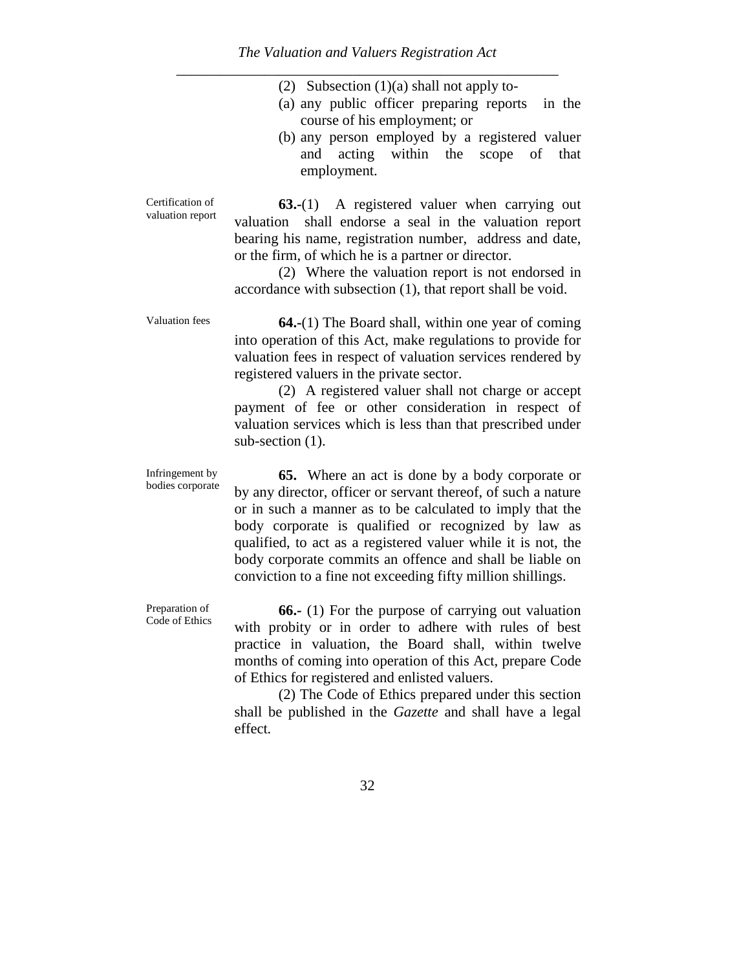|  |  |  |  | (2) Subsection $(1)(a)$ shall not apply to- |
|--|--|--|--|---------------------------------------------|
|--|--|--|--|---------------------------------------------|

- (a) any public officer preparing reports in the course of his employment; or
- (b) any person employed by a registered valuer and acting within the scope of that employment.

valuation report **63.-**(1) A registered valuer when carrying out valuation shall endorse a seal in the valuation report bearing his name, registration number, address and date, or the firm, of which he is a partner or director.

> (2) Where the valuation report is not endorsed in accordance with subsection (1), that report shall be void.

Certification of

Valuation fees **64.-**(1) The Board shall, within one year of coming into operation of this Act, make regulations to provide for valuation fees in respect of valuation services rendered by registered valuers in the private sector.

> (2) A registered valuer shall not charge or accept payment of fee or other consideration in respect of valuation services which is less than that prescribed under sub-section  $(1)$ .

Infringement by bodies corporate

**65.** Where an act is done by a body corporate or by any director, officer or servant thereof, of such a nature or in such a manner as to be calculated to imply that the body corporate is qualified or recognized by law as qualified, to act as a registered valuer while it is not, the body corporate commits an offence and shall be liable on conviction to a fine not exceeding fifty million shillings.

Preparation of Code of Ethics

**66.-** (1) For the purpose of carrying out valuation with probity or in order to adhere with rules of best practice in valuation, the Board shall, within twelve months of coming into operation of this Act, prepare Code of Ethics for registered and enlisted valuers.

(2) The Code of Ethics prepared under this section shall be published in the *Gazette* and shall have a legal effect*.*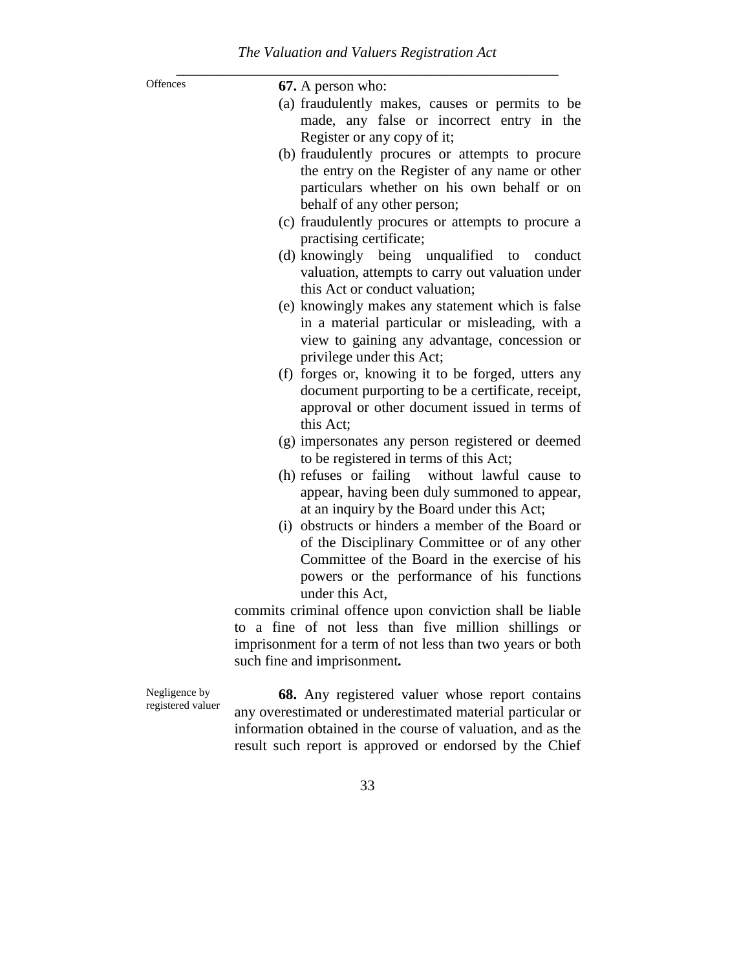| Offences          | 67. A person who:                                           |
|-------------------|-------------------------------------------------------------|
|                   | (a) fraudulently makes, causes or permits to be             |
|                   | made, any false or incorrect entry in the                   |
|                   | Register or any copy of it;                                 |
|                   | (b) fraudulently procures or attempts to procure            |
|                   | the entry on the Register of any name or other              |
|                   | particulars whether on his own behalf or on                 |
|                   | behalf of any other person;                                 |
|                   | (c) fraudulently procures or attempts to procure a          |
|                   | practising certificate;                                     |
|                   | (d) knowingly being unqualified to<br>conduct               |
|                   | valuation, attempts to carry out valuation under            |
|                   | this Act or conduct valuation;                              |
|                   | (e) knowingly makes any statement which is false            |
|                   | in a material particular or misleading, with a              |
|                   | view to gaining any advantage, concession or                |
|                   | privilege under this Act;                                   |
|                   | (f) forges or, knowing it to be forged, utters any          |
|                   | document purporting to be a certificate, receipt,           |
|                   | approval or other document issued in terms of<br>this Act;  |
|                   | (g) impersonates any person registered or deemed            |
|                   | to be registered in terms of this Act;                      |
|                   | (h) refuses or failing without lawful cause to              |
|                   | appear, having been duly summoned to appear,                |
|                   | at an inquiry by the Board under this Act;                  |
|                   | (i) obstructs or hinders a member of the Board or           |
|                   | of the Disciplinary Committee or of any other               |
|                   | Committee of the Board in the exercise of his               |
|                   | powers or the performance of his functions                  |
|                   | under this Act,                                             |
|                   | commits criminal offence upon conviction shall be liable    |
|                   | to a fine of not less than five million shillings or        |
|                   | imprisonment for a term of not less than two years or both  |
|                   | such fine and imprisonment.                                 |
| Negligence by     | 68. Any registered valuer whose report contains             |
| registered valuer | any overestimated or underestimated material particular or  |
|                   | information obtained in the course of valuation, and as the |

result such report is approved or endorsed by the Chief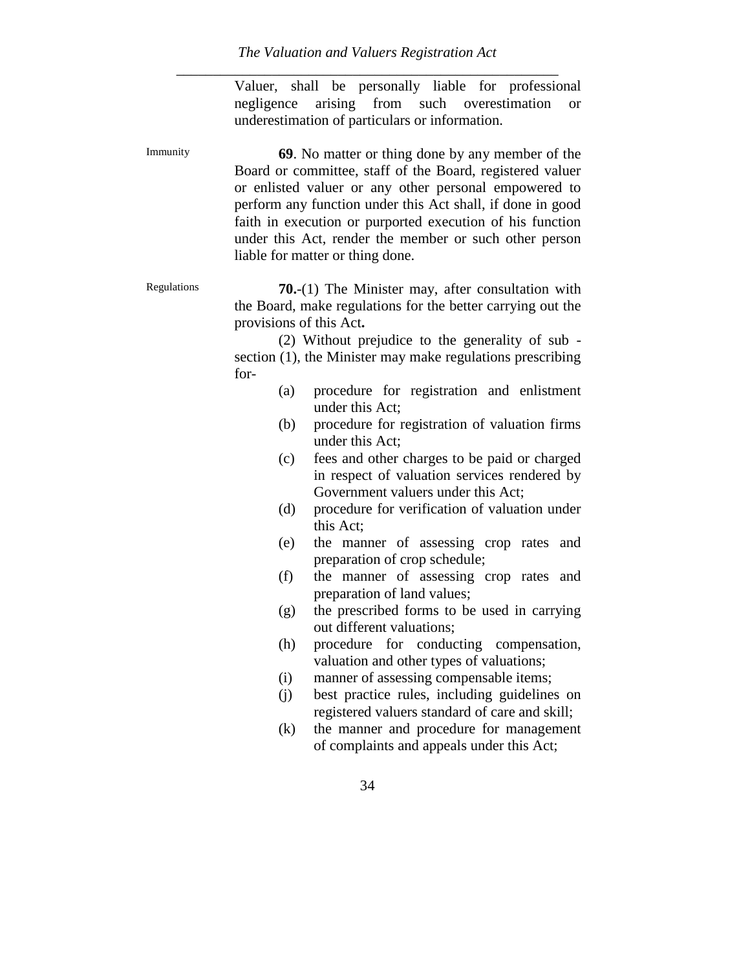Valuer, shall be personally liable for professional negligence arising from such overestimation or underestimation of particulars or information.

Immunity **69**. No matter or thing done by any member of the Board or committee, staff of the Board, registered valuer or enlisted valuer or any other personal empowered to perform any function under this Act shall, if done in good faith in execution or purported execution of his function under this Act, render the member or such other person liable for matter or thing done.

Regulations **70.**-(1) The Minister may, after consultation with the Board, make regulations for the better carrying out the provisions of this Act**.**

> (2) Without prejudice to the generality of sub section (1), the Minister may make regulations prescribing for-

- (a) procedure for registration and enlistment under this Act;
- (b) procedure for registration of valuation firms under this Act;
- (c) fees and other charges to be paid or charged in respect of valuation services rendered by Government valuers under this Act;
- (d) procedure for verification of valuation under this Act;
- (e) the manner of assessing crop rates and preparation of crop schedule;
- (f) the manner of assessing crop rates and preparation of land values;
- (g) the prescribed forms to be used in carrying out different valuations;
- (h) procedure for conducting compensation, valuation and other types of valuations;
- (i) manner of assessing compensable items;
- (j) best practice rules, including guidelines on registered valuers standard of care and skill;
- (k) the manner and procedure for management of complaints and appeals under this Act;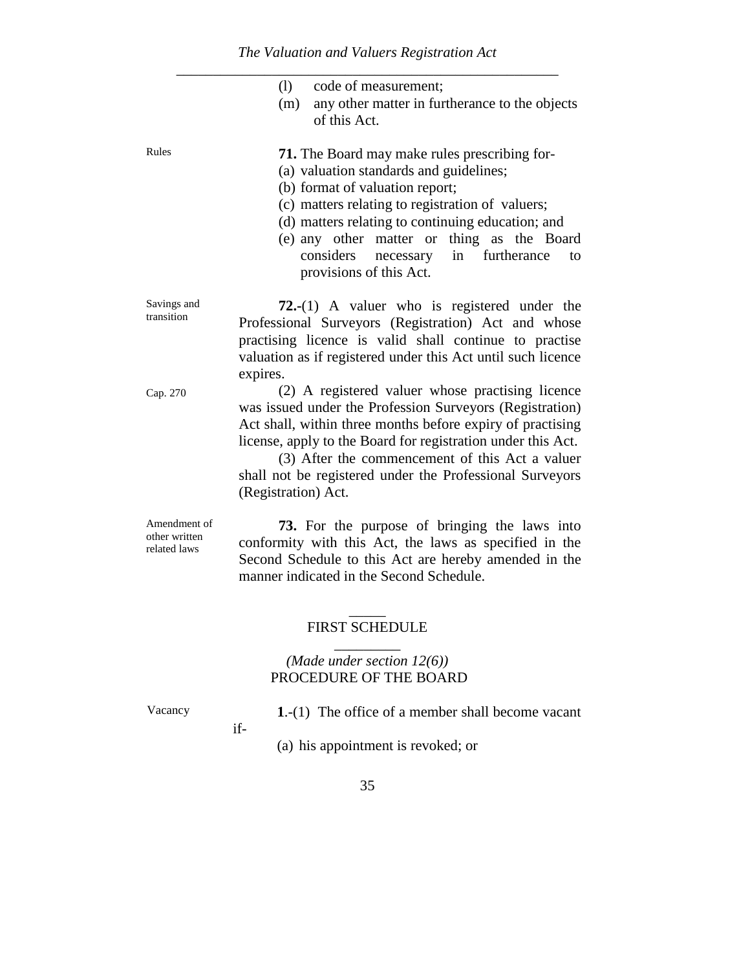|                                               | code of measurement;<br>(1)<br>(m)<br>any other matter in furtherance to the objects<br>of this Act.                                                                                                                                                                                                                                                                             |
|-----------------------------------------------|----------------------------------------------------------------------------------------------------------------------------------------------------------------------------------------------------------------------------------------------------------------------------------------------------------------------------------------------------------------------------------|
| Rules                                         | <b>71.</b> The Board may make rules prescribing for-<br>(a) valuation standards and guidelines;<br>(b) format of valuation report;<br>(c) matters relating to registration of valuers;<br>(d) matters relating to continuing education; and<br>(e) any other matter or thing as the Board<br>considers<br>furtherance<br>necessary<br>in<br>to<br>provisions of this Act.        |
| Savings and<br>transition                     | 72.- $(1)$ A valuer who is registered under the<br>Professional Surveyors (Registration) Act and whose<br>practising licence is valid shall continue to practise<br>valuation as if registered under this Act until such licence<br>expires.                                                                                                                                     |
| Cap. 270                                      | (2) A registered valuer whose practising licence<br>was issued under the Profession Surveyors (Registration)<br>Act shall, within three months before expiry of practising<br>license, apply to the Board for registration under this Act.<br>(3) After the commencement of this Act a valuer<br>shall not be registered under the Professional Surveyors<br>(Registration) Act. |
| Amendment of<br>other written<br>related laws | 73. For the purpose of bringing the laws into<br>conformity with this Act, the laws as specified in the<br>Second Schedule to this Act are hereby amended in the<br>manner indicated in the Second Schedule.                                                                                                                                                                     |
|                                               | <b>FIRST SCHEDULE</b>                                                                                                                                                                                                                                                                                                                                                            |
|                                               | (Made under section $12(6)$ )<br>PROCEDURE OF THE BOARD                                                                                                                                                                                                                                                                                                                          |
| Vacancy                                       | 1.- $(1)$ The office of a member shall become vacant<br>if-                                                                                                                                                                                                                                                                                                                      |

(a) his appointment is revoked; or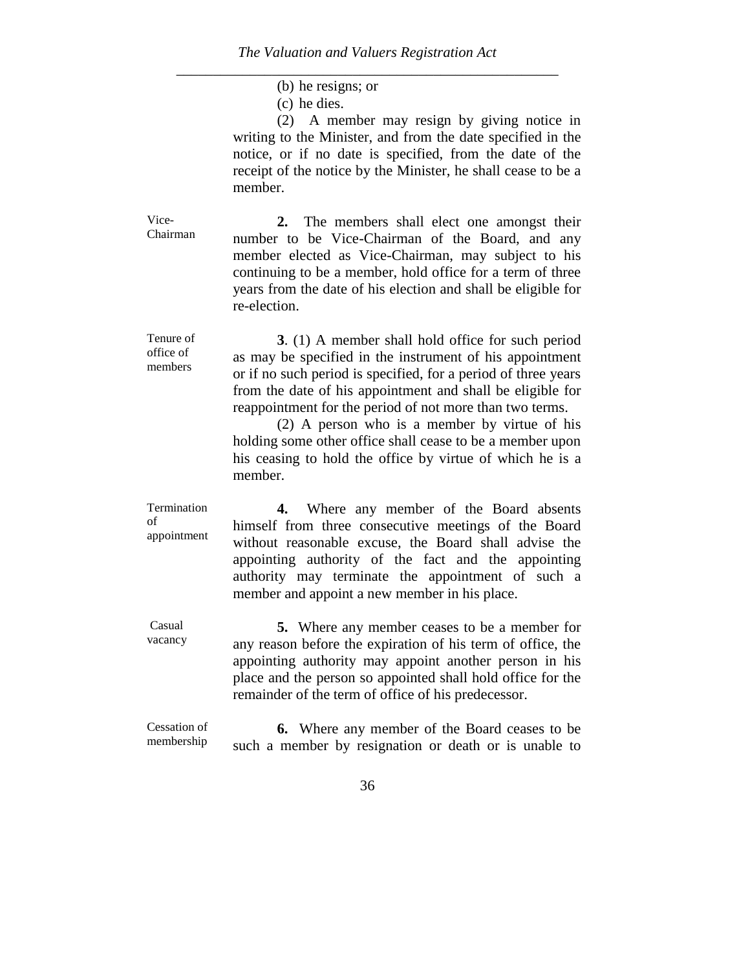(b) he resigns; or

(c) he dies.

(2) A member may resign by giving notice in writing to the Minister, and from the date specified in the notice, or if no date is specified, from the date of the receipt of the notice by the Minister, he shall cease to be a member.

Vice-Chairman **2.** The members shall elect one amongst their number to be Vice-Chairman of the Board, and any member elected as Vice-Chairman, may subject to his continuing to be a member, hold office for a term of three years from the date of his election and shall be eligible for re-election.

Tenure of office of members **3**. (1) A member shall hold office for such period as may be specified in the instrument of his appointment or if no such period is specified, for a period of three years from the date of his appointment and shall be eligible for reappointment for the period of not more than two terms.

> (2) A person who is a member by virtue of his holding some other office shall cease to be a member upon his ceasing to hold the office by virtue of which he is a member.

Termination of appointment **4.** Where any member of the Board absents himself from three consecutive meetings of the Board without reasonable excuse, the Board shall advise the appointing authority of the fact and the appointing authority may terminate the appointment of such a member and appoint a new member in his place.

Casual vacancy **5.** Where any member ceases to be a member for any reason before the expiration of his term of office, the appointing authority may appoint another person in his place and the person so appointed shall hold office for the remainder of the term of office of his predecessor.

Cessation of membership **6.** Where any member of the Board ceases to be such a member by resignation or death or is unable to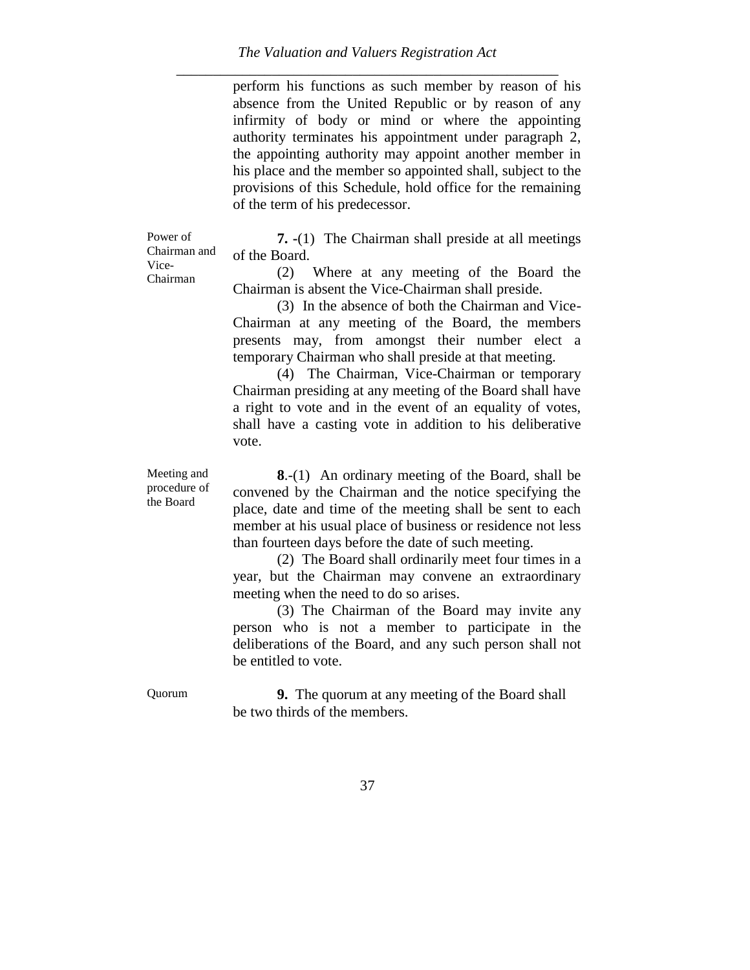perform his functions as such member by reason of his absence from the United Republic or by reason of any infirmity of body or mind or where the appointing authority terminates his appointment under paragraph 2, the appointing authority may appoint another member in his place and the member so appointed shall, subject to the provisions of this Schedule, hold office for the remaining of the term of his predecessor.

Power of Chairman and Vice-Chairman

**7. -**(1) The Chairman shall preside at all meetings of the Board.

(2) Where at any meeting of the Board the Chairman is absent the Vice-Chairman shall preside.

(3) In the absence of both the Chairman and Vice-Chairman at any meeting of the Board, the members presents may, from amongst their number elect a temporary Chairman who shall preside at that meeting.

(4) The Chairman, Vice-Chairman or temporary Chairman presiding at any meeting of the Board shall have a right to vote and in the event of an equality of votes, shall have a casting vote in addition to his deliberative vote.

Meeting and procedure of the Board

**8**.-(1) An ordinary meeting of the Board, shall be convened by the Chairman and the notice specifying the place, date and time of the meeting shall be sent to each member at his usual place of business or residence not less than fourteen days before the date of such meeting.

(2) The Board shall ordinarily meet four times in a year, but the Chairman may convene an extraordinary meeting when the need to do so arises.

(3) The Chairman of the Board may invite any person who is not a member to participate in the deliberations of the Board, and any such person shall not be entitled to vote.

Quorum **9.** The quorum at any meeting of the Board shall be two thirds of the members.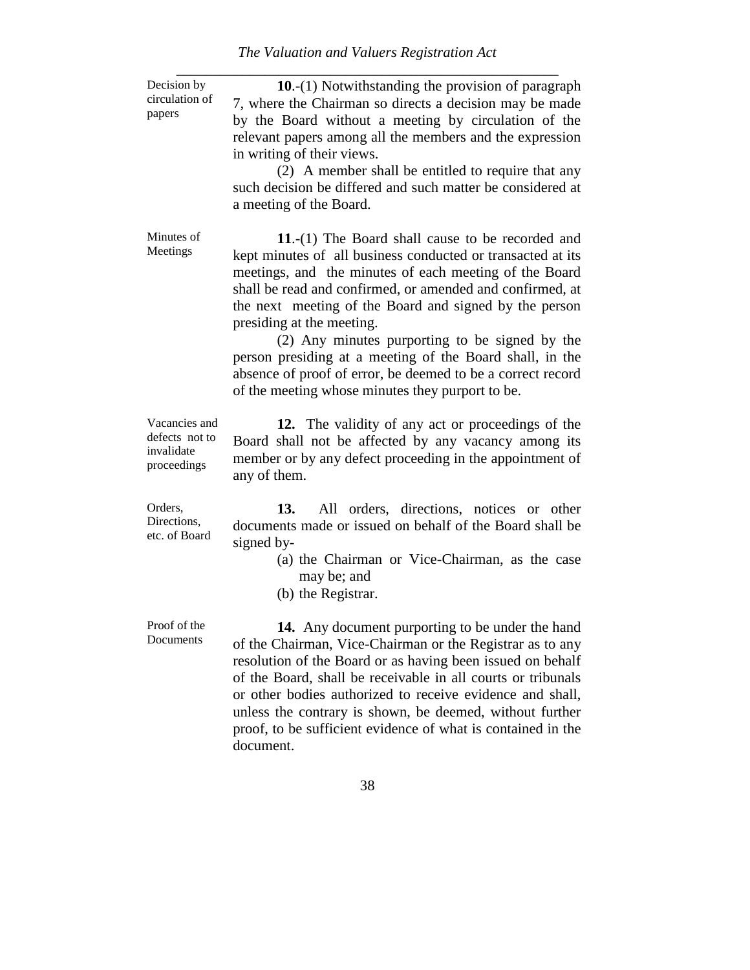| Decision by                                                  | 10.-(1) Notwithstanding the provision of paragraph                                                                                                                                                                                                                                                                                                                                                                                                                                                                                                                |
|--------------------------------------------------------------|-------------------------------------------------------------------------------------------------------------------------------------------------------------------------------------------------------------------------------------------------------------------------------------------------------------------------------------------------------------------------------------------------------------------------------------------------------------------------------------------------------------------------------------------------------------------|
| circulation of<br>papers                                     | 7, where the Chairman so directs a decision may be made<br>by the Board without a meeting by circulation of the<br>relevant papers among all the members and the expression<br>in writing of their views.<br>(2) A member shall be entitled to require that any<br>such decision be differed and such matter be considered at<br>a meeting of the Board.                                                                                                                                                                                                          |
| Minutes of<br>Meetings                                       | 11.- $(1)$ The Board shall cause to be recorded and<br>kept minutes of all business conducted or transacted at its<br>meetings, and the minutes of each meeting of the Board<br>shall be read and confirmed, or amended and confirmed, at<br>the next meeting of the Board and signed by the person<br>presiding at the meeting.<br>(2) Any minutes purporting to be signed by the<br>person presiding at a meeting of the Board shall, in the<br>absence of proof of error, be deemed to be a correct record<br>of the meeting whose minutes they purport to be. |
| Vacancies and<br>defects not to<br>invalidate<br>proceedings | 12. The validity of any act or proceedings of the<br>Board shall not be affected by any vacancy among its<br>member or by any defect proceeding in the appointment of<br>any of them.                                                                                                                                                                                                                                                                                                                                                                             |
| Orders,<br>Directions,<br>etc. of Board                      | 13.<br>All orders, directions, notices or other<br>documents made or issued on behalf of the Board shall be<br>signed by-<br>(a) the Chairman or Vice-Chairman, as the case<br>may be; and<br>(b) the Registrar.                                                                                                                                                                                                                                                                                                                                                  |
| Proof of the<br>Documents                                    | 14. Any document purporting to be under the hand<br>of the Chairman, Vice-Chairman or the Registrar as to any<br>resolution of the Board or as having been issued on behalf<br>of the Board, shall be receivable in all courts or tribunals<br>or other bodies authorized to receive evidence and shall,<br>unless the contrary is shown, be deemed, without further<br>proof, to be sufficient evidence of what is contained in the<br>document.                                                                                                                 |
|                                                              | 38                                                                                                                                                                                                                                                                                                                                                                                                                                                                                                                                                                |
|                                                              |                                                                                                                                                                                                                                                                                                                                                                                                                                                                                                                                                                   |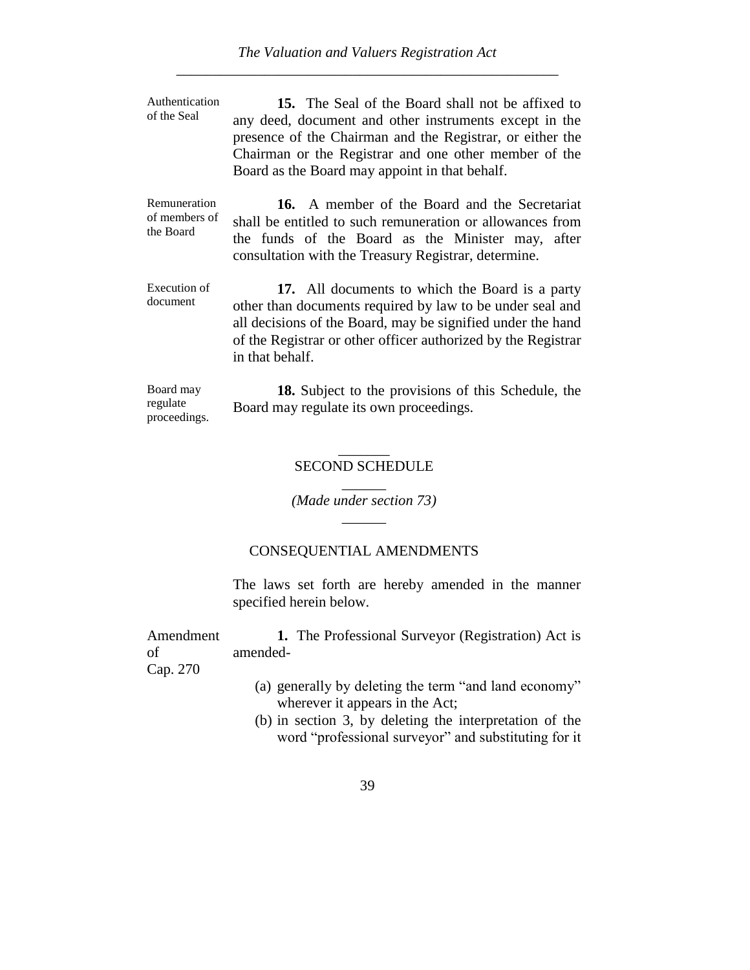Authentication of the Seal **15.** The Seal of the Board shall not be affixed to any deed, document and other instruments except in the presence of the Chairman and the Registrar, or either the Chairman or the Registrar and one other member of the Board as the Board may appoint in that behalf. Remuneration of members of the Board **16.** A member of the Board and the Secretariat shall be entitled to such remuneration or allowances from the funds of the Board as the Minister may, after consultation with the Treasury Registrar, determine. Execution of document **17.** All documents to which the Board is a party other than documents required by law to be under seal and all decisions of the Board, may be signified under the hand of the Registrar or other officer authorized by the Registrar in that behalf. Board may regulate **18.** Subject to the provisions of this Schedule, the Board may regulate its own proceedings.

### $\overline{\phantom{a}}$ SECOND SCHEDULE

 $\overline{\phantom{a}}$ *(Made under section 73)*  $\overline{\phantom{a}}$ 

#### CONSEQUENTIAL AMENDMENTS

The laws set forth are hereby amended in the manner specified herein below.

Amendment of **1.** The Professional Surveyor (Registration) Act is amended-

Cap. 270

proceedings.

- (a) generally by deleting the term "and land economy" wherever it appears in the Act;
- (b) in section 3, by deleting the interpretation of the word "professional surveyor" and substituting for it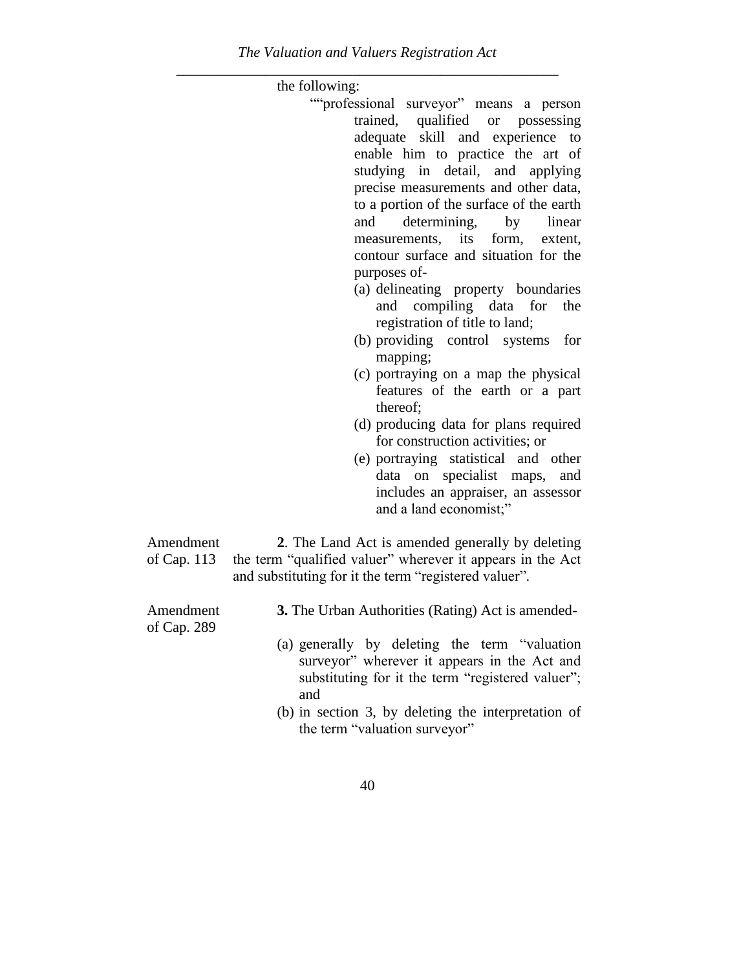\_\_\_\_\_\_\_\_\_\_\_\_\_\_\_\_\_\_\_\_\_\_\_\_\_\_\_\_\_\_\_\_\_\_\_\_\_\_\_\_\_\_\_\_\_\_\_\_\_\_\_\_ the following: ""professional surveyor" means a person trained, qualified or possessing adequate skill and experience to enable him to practice the art of studying in detail, and applying precise measurements and other data, to a portion of the surface of the earth and determining, by linear measurements, its form, extent, contour surface and situation for the purposes of- (a) delineating property boundaries and compiling data for the registration of title to land; (b) providing control systems for mapping; (c) portraying on a map the physical features of the earth or a part thereof; (d) producing data for plans required for construction activities; or (e) portraying statistical and other data on specialist maps, and includes an appraiser, an assessor and a land economist;" Amendment of Cap. 113 **2**. The Land Act is amended generally by deleting the term "qualified valuer" wherever it appears in the Act and substituting for it the term "registered valuer".

- Amendment of Cap. 289
- **3.** The Urban Authorities (Rating) Act is amended-
- (a) generally by deleting the term "valuation surveyor" wherever it appears in the Act and substituting for it the term "registered valuer"; and
- (b) in section 3, by deleting the interpretation of the term "valuation surveyor"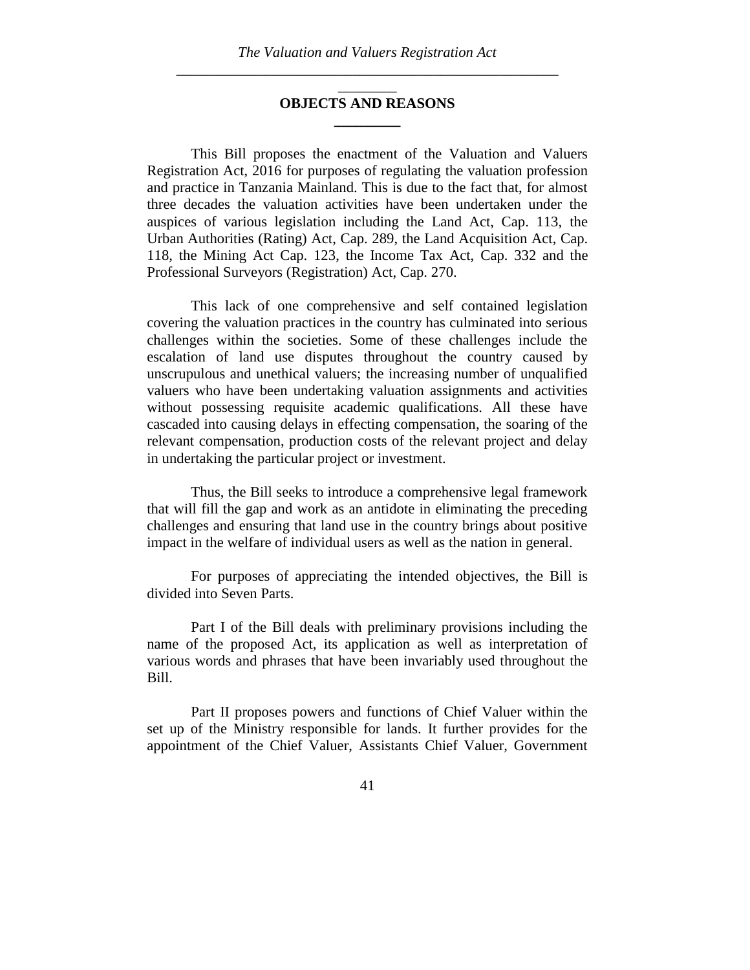# \_\_\_\_\_\_\_\_ **OBJECTS AND REASONS \_\_\_\_\_\_\_\_\_**

This Bill proposes the enactment of the Valuation and Valuers Registration Act, 2016 for purposes of regulating the valuation profession and practice in Tanzania Mainland. This is due to the fact that, for almost three decades the valuation activities have been undertaken under the auspices of various legislation including the Land Act, Cap. 113, the Urban Authorities (Rating) Act, Cap. 289, the Land Acquisition Act, Cap. 118, the Mining Act Cap. 123, the Income Tax Act, Cap. 332 and the Professional Surveyors (Registration) Act, Cap. 270.

This lack of one comprehensive and self contained legislation covering the valuation practices in the country has culminated into serious challenges within the societies. Some of these challenges include the escalation of land use disputes throughout the country caused by unscrupulous and unethical valuers; the increasing number of unqualified valuers who have been undertaking valuation assignments and activities without possessing requisite academic qualifications. All these have cascaded into causing delays in effecting compensation, the soaring of the relevant compensation, production costs of the relevant project and delay in undertaking the particular project or investment.

Thus, the Bill seeks to introduce a comprehensive legal framework that will fill the gap and work as an antidote in eliminating the preceding challenges and ensuring that land use in the country brings about positive impact in the welfare of individual users as well as the nation in general.

For purposes of appreciating the intended objectives, the Bill is divided into Seven Parts.

Part I of the Bill deals with preliminary provisions including the name of the proposed Act, its application as well as interpretation of various words and phrases that have been invariably used throughout the Bill.

Part II proposes powers and functions of Chief Valuer within the set up of the Ministry responsible for lands. It further provides for the appointment of the Chief Valuer, Assistants Chief Valuer, Government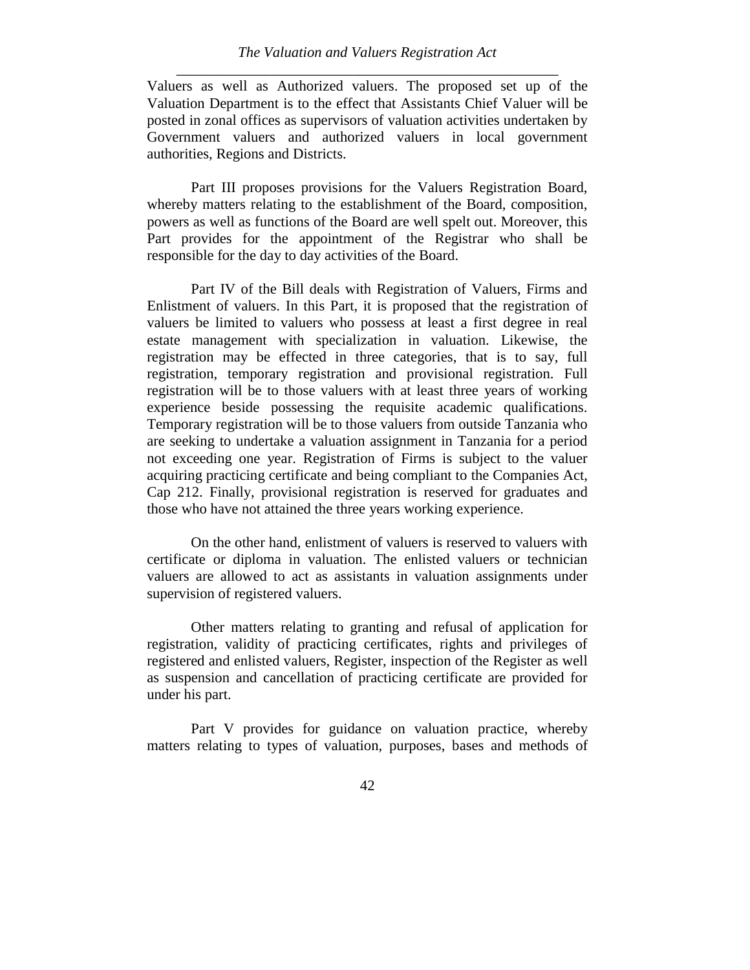Valuers as well as Authorized valuers. The proposed set up of the Valuation Department is to the effect that Assistants Chief Valuer will be posted in zonal offices as supervisors of valuation activities undertaken by Government valuers and authorized valuers in local government authorities, Regions and Districts.

Part III proposes provisions for the Valuers Registration Board, whereby matters relating to the establishment of the Board, composition, powers as well as functions of the Board are well spelt out. Moreover, this Part provides for the appointment of the Registrar who shall be responsible for the day to day activities of the Board.

Part IV of the Bill deals with Registration of Valuers, Firms and Enlistment of valuers. In this Part, it is proposed that the registration of valuers be limited to valuers who possess at least a first degree in real estate management with specialization in valuation. Likewise, the registration may be effected in three categories, that is to say, full registration, temporary registration and provisional registration. Full registration will be to those valuers with at least three years of working experience beside possessing the requisite academic qualifications. Temporary registration will be to those valuers from outside Tanzania who are seeking to undertake a valuation assignment in Tanzania for a period not exceeding one year. Registration of Firms is subject to the valuer acquiring practicing certificate and being compliant to the Companies Act, Cap 212. Finally, provisional registration is reserved for graduates and those who have not attained the three years working experience.

On the other hand, enlistment of valuers is reserved to valuers with certificate or diploma in valuation. The enlisted valuers or technician valuers are allowed to act as assistants in valuation assignments under supervision of registered valuers.

Other matters relating to granting and refusal of application for registration, validity of practicing certificates, rights and privileges of registered and enlisted valuers, Register, inspection of the Register as well as suspension and cancellation of practicing certificate are provided for under his part.

Part V provides for guidance on valuation practice, whereby matters relating to types of valuation, purposes, bases and methods of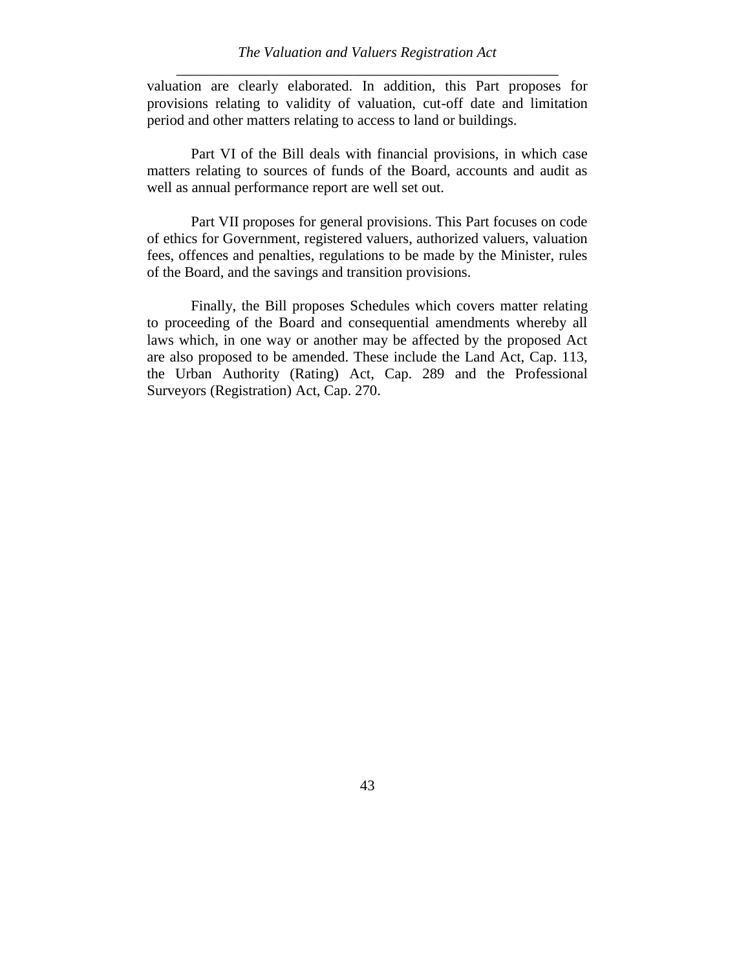valuation are clearly elaborated. In addition, this Part proposes for provisions relating to validity of valuation, cut-off date and limitation period and other matters relating to access to land or buildings.

Part VI of the Bill deals with financial provisions, in which case matters relating to sources of funds of the Board, accounts and audit as well as annual performance report are well set out.

Part VII proposes for general provisions. This Part focuses on code of ethics for Government, registered valuers, authorized valuers, valuation fees, offences and penalties, regulations to be made by the Minister, rules of the Board, and the savings and transition provisions.

Finally, the Bill proposes Schedules which covers matter relating to proceeding of the Board and consequential amendments whereby all laws which, in one way or another may be affected by the proposed Act are also proposed to be amended. These include the Land Act, Cap. 113, the Urban Authority (Rating) Act, Cap. 289 and the Professional Surveyors (Registration) Act, Cap. 270.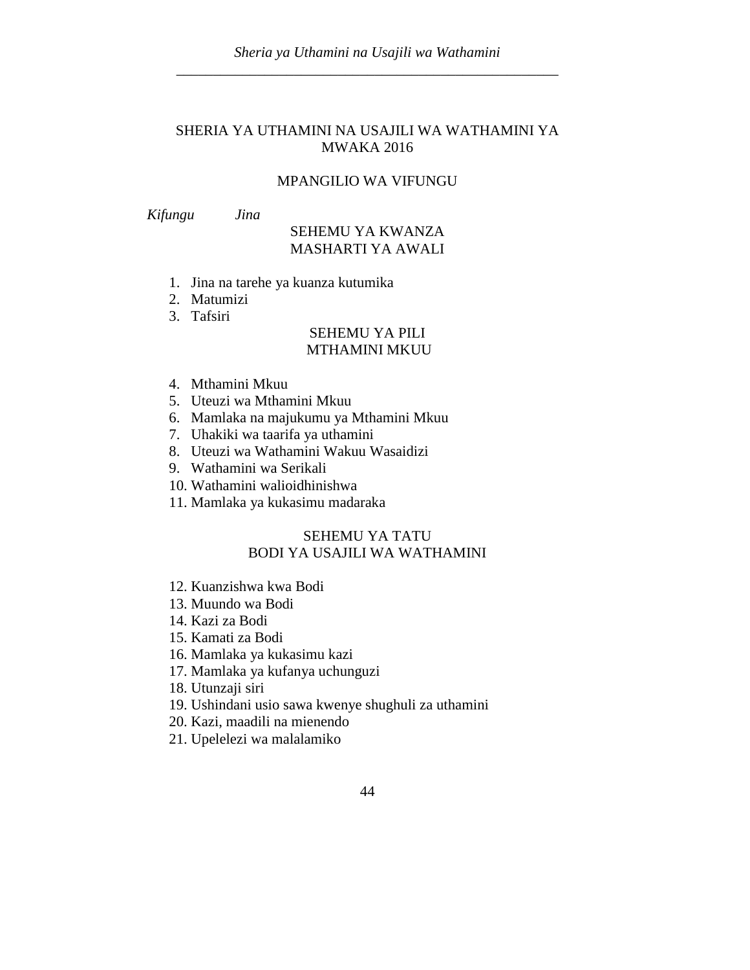## SHERIA YA UTHAMINI NA USAJILI WA WATHAMINI YA MWAKA 2016

#### MPANGILIO WA VIFUNGU

*Kifungu Jina*

## SEHEMU YA KWANZA MASHARTI YA AWALI

- 1. Jina na tarehe ya kuanza kutumika
- 2. Matumizi
- 3. Tafsiri

#### SEHEMU YA PILI MTHAMINI MKUU

- 4. Mthamini Mkuu
- 5. Uteuzi wa Mthamini Mkuu
- 6. Mamlaka na majukumu ya Mthamini Mkuu
- 7. Uhakiki wa taarifa ya uthamini
- 8. Uteuzi wa Wathamini Wakuu Wasaidizi
- 9. Wathamini wa Serikali
- 10. Wathamini walioidhinishwa
- 11. Mamlaka ya kukasimu madaraka

# SEHEMU YA TATU BODI YA USAJILI WA WATHAMINI

- 12. Kuanzishwa kwa Bodi
- 13. Muundo wa Bodi
- 14. Kazi za Bodi
- 15. Kamati za Bodi
- 16. Mamlaka ya kukasimu kazi
- 17. Mamlaka ya kufanya uchunguzi
- 18. Utunzaji siri
- 19. Ushindani usio sawa kwenye shughuli za uthamini
- 20. Kazi, maadili na mienendo
- 21. Upelelezi wa malalamiko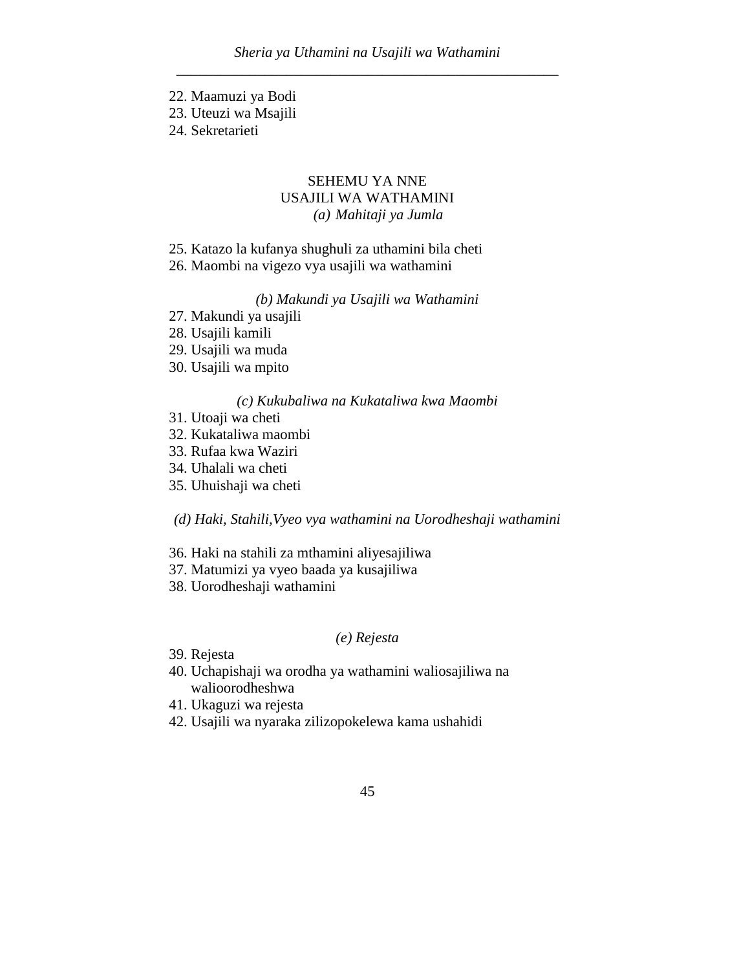- 22. Maamuzi ya Bodi
- 23. Uteuzi wa Msajili
- 24. Sekretarieti

# SEHEMU YA NNE USAJILI WA WATHAMINI *(a) Mahitaji ya Jumla*

- 25. Katazo la kufanya shughuli za uthamini bila cheti
- 26. Maombi na vigezo vya usajili wa wathamini

# *(b) Makundi ya Usajili wa Wathamini*

- 27. Makundi ya usajili
- 28. Usajili kamili
- 29. Usajili wa muda
- 30. Usajili wa mpito

#### *(c) Kukubaliwa na Kukataliwa kwa Maombi*

- 31. Utoaji wa cheti
- 32. Kukataliwa maombi
- 33. Rufaa kwa Waziri
- 34. Uhalali wa cheti
- 35. Uhuishaji wa cheti

*(d) Haki, Stahili,Vyeo vya wathamini na Uorodheshaji wathamini*

- 36. Haki na stahili za mthamini aliyesajiliwa
- 37. Matumizi ya vyeo baada ya kusajiliwa
- 38. Uorodheshaji wathamini

## *(e) Rejesta*

- 39. Rejesta
- 40. Uchapishaji wa orodha ya wathamini waliosajiliwa na walioorodheshwa
- 41. Ukaguzi wa rejesta
- 42. Usajili wa nyaraka zilizopokelewa kama ushahidi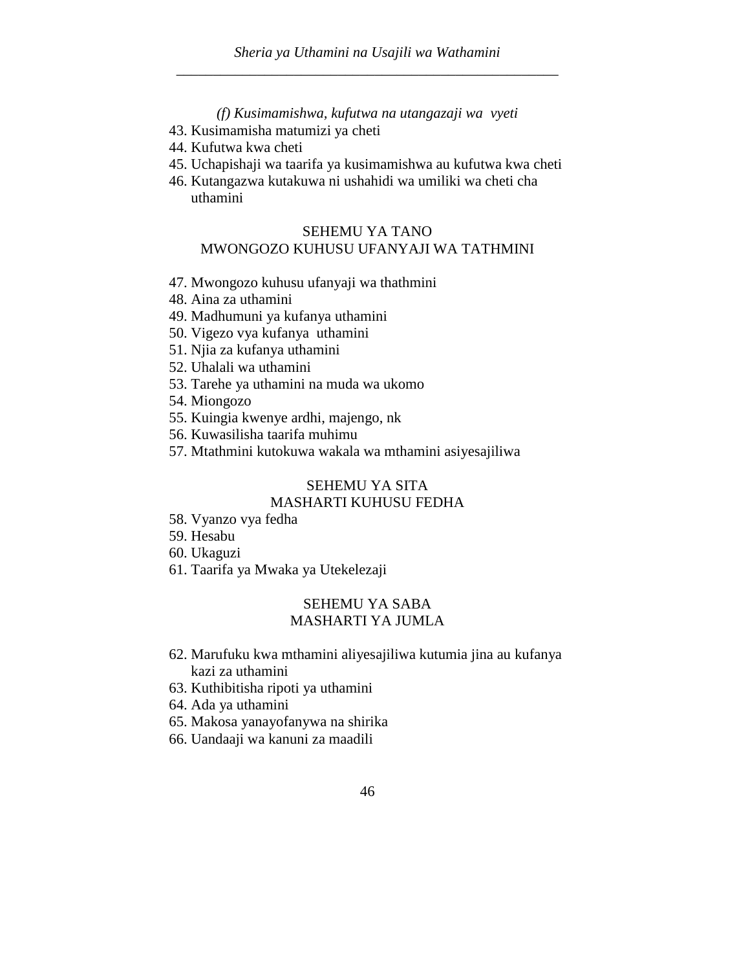*(f) Kusimamishwa, kufutwa na utangazaji wa vyeti*

- 43. Kusimamisha matumizi ya cheti
- 44. Kufutwa kwa cheti
- 45. Uchapishaji wa taarifa ya kusimamishwa au kufutwa kwa cheti
- 46. Kutangazwa kutakuwa ni ushahidi wa umiliki wa cheti cha uthamini

### SEHEMU YA TANO MWONGOZO KUHUSU UFANYAJI WA TATHMINI

- 47. Mwongozo kuhusu ufanyaji wa thathmini
- 48. Aina za uthamini
- 49. Madhumuni ya kufanya uthamini
- 50. Vigezo vya kufanya uthamini
- 51. Njia za kufanya uthamini
- 52. Uhalali wa uthamini
- 53. Tarehe ya uthamini na muda wa ukomo
- 54. Miongozo
- 55. Kuingia kwenye ardhi, majengo, nk
- 56. Kuwasilisha taarifa muhimu
- 57. Mtathmini kutokuwa wakala wa mthamini asiyesajiliwa

#### SEHEMU YA SITA

### MASHARTI KUHUSU FEDHA

- 58. Vyanzo vya fedha
- 59. Hesabu
- 60. Ukaguzi
- 61. Taarifa ya Mwaka ya Utekelezaji

# SEHEMU YA SABA MASHARTI YA JUMLA

- 62. Marufuku kwa mthamini aliyesajiliwa kutumia jina au kufanya kazi za uthamini
- 63. Kuthibitisha ripoti ya uthamini
- 64. Ada ya uthamini
- 65. Makosa yanayofanywa na shirika
- 66. Uandaaji wa kanuni za maadili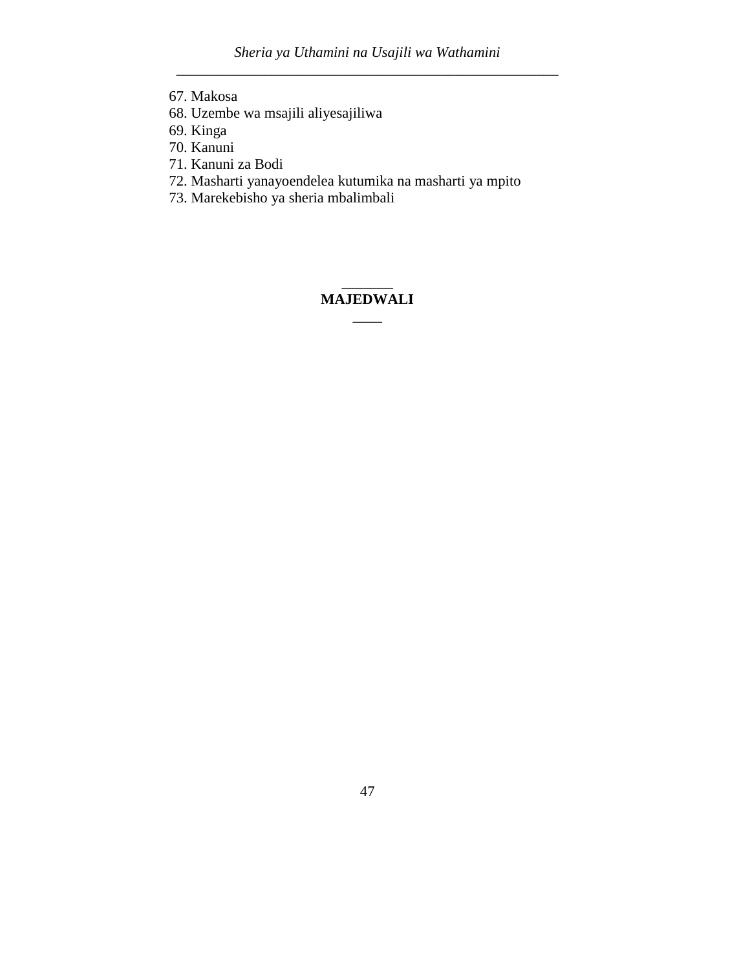- 67. Makosa
- 68. Uzembe wa msajili aliyesajiliwa
- 69. Kinga
- 70. Kanuni
- 71. Kanuni za Bodi
- 72. Masharti yanayoendelea kutumika na masharti ya mpito
- 73. Marekebisho ya sheria mbalimbali

# $\overline{\phantom{a}}$ **MAJEDWALI**  $\overline{\phantom{a}}$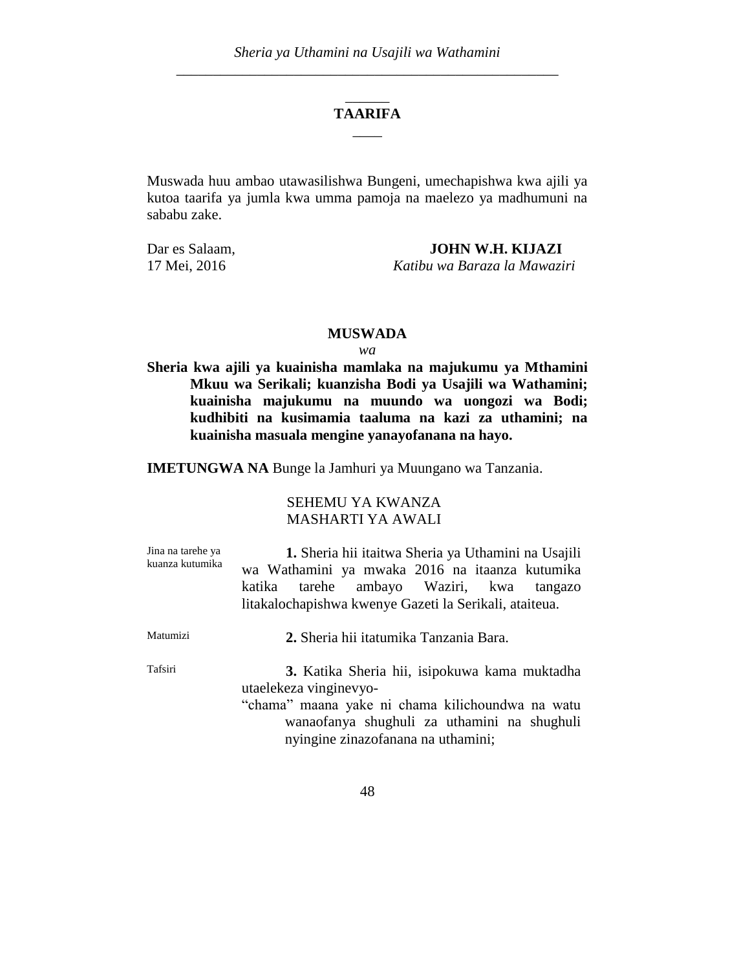# \_\_\_\_\_\_ **TAARIFA**  $\overline{\phantom{a}}$

Muswada huu ambao utawasilishwa Bungeni, umechapishwa kwa ajili ya kutoa taarifa ya jumla kwa umma pamoja na maelezo ya madhumuni na sababu zake.

Dar es Salaam, **JOHN W.H. KIJAZI** 17 Mei, 2016 *Katibu wa Baraza la Mawaziri*

#### **MUSWADA**

#### *wa*

**Sheria kwa ajili ya kuainisha mamlaka na majukumu ya Mthamini Mkuu wa Serikali; kuanzisha Bodi ya Usajili wa Wathamini; kuainisha majukumu na muundo wa uongozi wa Bodi; kudhibiti na kusimamia taaluma na kazi za uthamini; na kuainisha masuala mengine yanayofanana na hayo.**

**IMETUNGWA NA** Bunge la Jamhuri ya Muungano wa Tanzania.

## SEHEMU YA KWANZA MASHARTI YA AWALI

| Jina na tarehe ya | 1. Sheria hii itaitwa Sheria ya Uthamini na Usajili    |  |  |  |  |  |
|-------------------|--------------------------------------------------------|--|--|--|--|--|
| kuanza kutumika   | wa Wathamini ya mwaka 2016 na itaanza kutumika         |  |  |  |  |  |
|                   | tarehe ambayo Waziri, kwa<br>katika<br>tangazo         |  |  |  |  |  |
|                   | litakalochapishwa kwenye Gazeti la Serikali, ataiteua. |  |  |  |  |  |
| Matumizi          | 2. Sheria hii itatumika Tanzania Bara.                 |  |  |  |  |  |
| Tafsiri           | 3. Katika Sheria hii, isipokuwa kama muktadha          |  |  |  |  |  |
|                   | utaelekeza vinginevyo-                                 |  |  |  |  |  |
|                   | "chama" maana yake ni chama kilichoundwa na watu       |  |  |  |  |  |
|                   | wanaofanya shughuli za uthamini na shughuli            |  |  |  |  |  |
|                   | nyingine zinazofanana na uthamini;                     |  |  |  |  |  |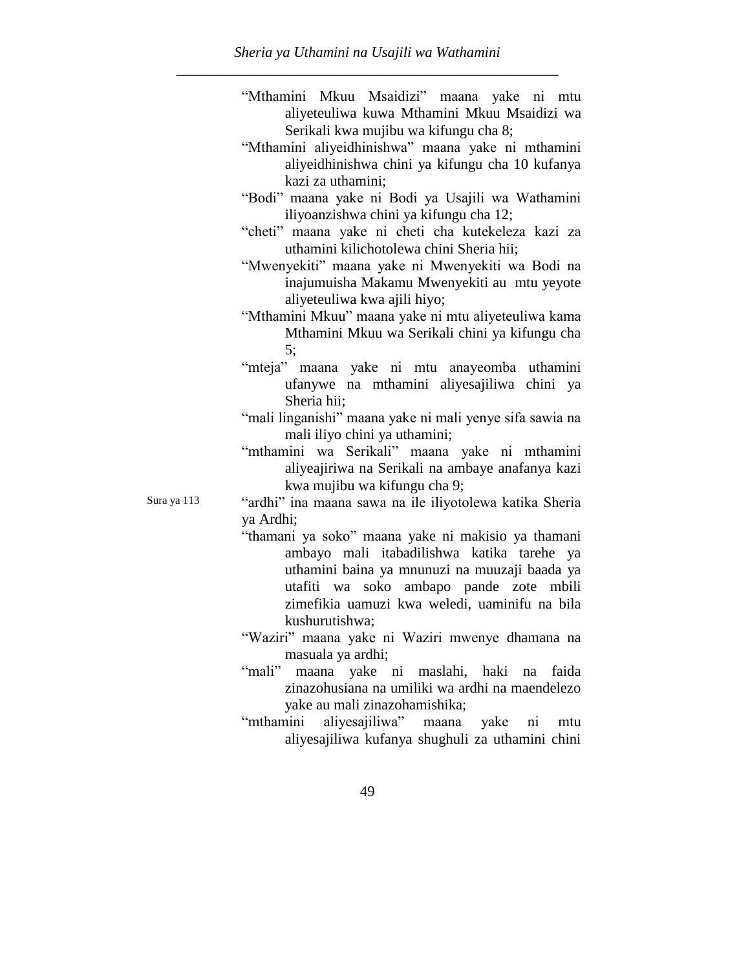- "Mthamini Mkuu Msaidizi" maana yake ni mtu aliyeteuliwa kuwa Mthamini Mkuu Msaidizi wa Serikali kwa mujibu wa kifungu cha 8;
- "Mthamini aliyeidhinishwa" maana yake ni mthamini aliyeidhinishwa chini ya kifungu cha 10 kufanya kazi za uthamini;
- "Bodi" maana yake ni Bodi ya Usajili wa Wathamini iliyoanzishwa chini ya kifungu cha 12;
- "cheti" maana yake ni cheti cha kutekeleza kazi za uthamini kilichotolewa chini Sheria hii;
- "Mwenyekiti" maana yake ni Mwenyekiti wa Bodi na inajumuisha Makamu Mwenyekiti au mtu yeyote aliyeteuliwa kwa ajili hiyo;
- "Mthamini Mkuu" maana yake ni mtu aliyeteuliwa kama Mthamini Mkuu wa Serikali chini ya kifungu cha 5;
- "mteja" maana yake ni mtu anayeomba uthamini ufanywe na mthamini aliyesajiliwa chini ya Sheria hii;
- "mali linganishi" maana yake ni mali yenye sifa sawia na mali iliyo chini ya uthamini;
- "mthamini wa Serikali" maana yake ni mthamini aliyeajiriwa na Serikali na ambaye anafanya kazi kwa mujibu wa kifungu cha 9;

Sura ya 113 "ardhi" ina maana sawa na ile iliyotolewa katika Sheria ya Ardhi;

- "thamani ya soko" maana yake ni makisio ya thamani ambayo mali itabadilishwa katika tarehe ya uthamini baina ya mnunuzi na muuzaji baada ya utafiti wa soko ambapo pande zote mbili zimefikia uamuzi kwa weledi, uaminifu na bila kushurutishwa;
- "Waziri" maana yake ni Waziri mwenye dhamana na masuala ya ardhi;
- "mali" maana yake ni maslahi, haki na faida zinazohusiana na umiliki wa ardhi na maendelezo yake au mali zinazohamishika;
- "mthamini aliyesajiliwa" maana yake ni mtu aliyesajiliwa kufanya shughuli za uthamini chini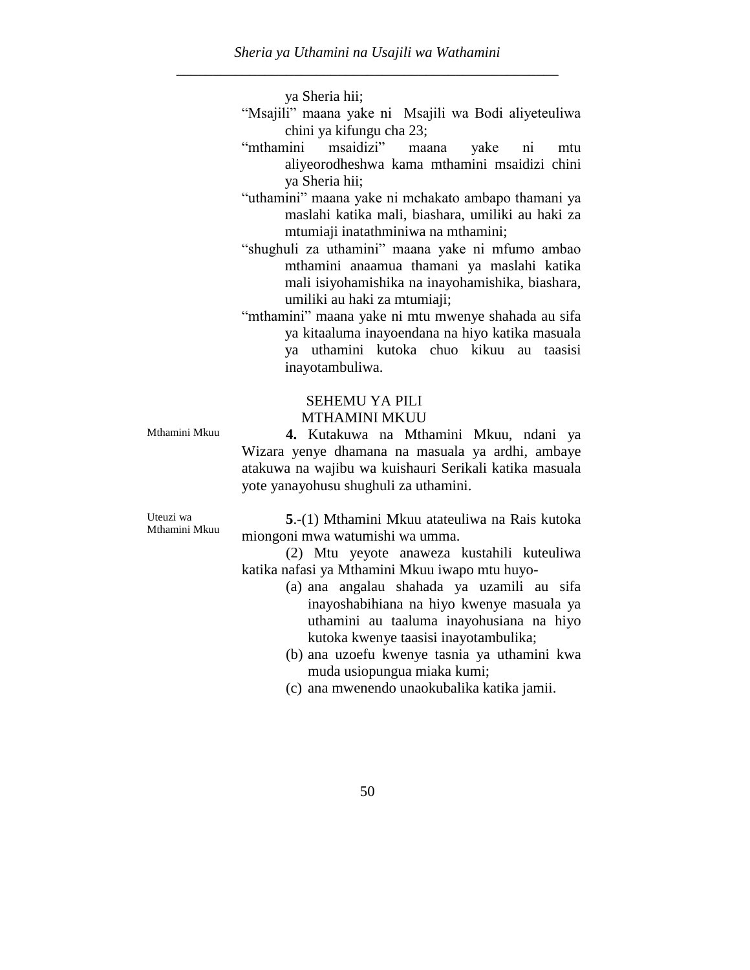ya Sheria hii;

- "Msajili" maana yake ni Msajili wa Bodi aliyeteuliwa chini ya kifungu cha 23;
- "mthamini msaidizi" maana yake ni mtu aliyeorodheshwa kama mthamini msaidizi chini ya Sheria hii;
- "uthamini" maana yake ni mchakato ambapo thamani ya maslahi katika mali, biashara, umiliki au haki za mtumiaji inatathminiwa na mthamini;
- "shughuli za uthamini" maana yake ni mfumo ambao mthamini anaamua thamani ya maslahi katika mali isiyohamishika na inayohamishika, biashara, umiliki au haki za mtumiaji;
- "mthamini" maana yake ni mtu mwenye shahada au sifa ya kitaaluma inayoendana na hiyo katika masuala ya uthamini kutoka chuo kikuu au taasisi inayotambuliwa.

#### SEHEMU YA PILI MTHAMINI MKUU

Mthamini Mkuu **4.** Kutakuwa na Mthamini Mkuu, ndani ya Wizara yenye dhamana na masuala ya ardhi, ambaye atakuwa na wajibu wa kuishauri Serikali katika masuala yote yanayohusu shughuli za uthamini.

Uteuzi wa Mthamini Mkuu

**5**.-(1) Mthamini Mkuu atateuliwa na Rais kutoka miongoni mwa watumishi wa umma.

(2) Mtu yeyote anaweza kustahili kuteuliwa katika nafasi ya Mthamini Mkuu iwapo mtu huyo-

- (a) ana angalau shahada ya uzamili au sifa inayoshabihiana na hiyo kwenye masuala ya uthamini au taaluma inayohusiana na hiyo kutoka kwenye taasisi inayotambulika;
- (b) ana uzoefu kwenye tasnia ya uthamini kwa muda usiopungua miaka kumi;
- (c) ana mwenendo unaokubalika katika jamii.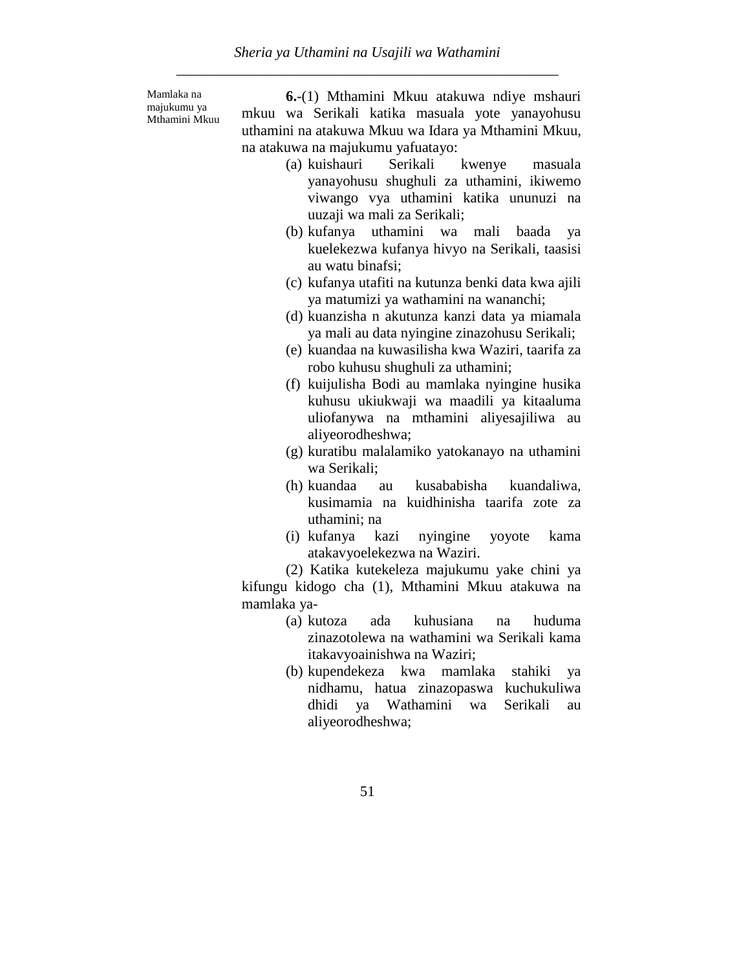Mamlaka na majukumu ya Mthamini Mkuu

**6.**-(1) Mthamini Mkuu atakuwa ndiye mshauri mkuu wa Serikali katika masuala yote yanayohusu uthamini na atakuwa Mkuu wa Idara ya Mthamini Mkuu, na atakuwa na majukumu yafuatayo:

- (a) kuishauri Serikali kwenye masuala yanayohusu shughuli za uthamini, ikiwemo viwango vya uthamini katika ununuzi na uuzaji wa mali za Serikali;
- (b) kufanya uthamini wa mali baada ya kuelekezwa kufanya hivyo na Serikali, taasisi au watu binafsi;
- (c) kufanya utafiti na kutunza benki data kwa ajili ya matumizi ya wathamini na wananchi;
- (d) kuanzisha n akutunza kanzi data ya miamala ya mali au data nyingine zinazohusu Serikali;
- (e) kuandaa na kuwasilisha kwa Waziri, taarifa za robo kuhusu shughuli za uthamini;
- (f) kuijulisha Bodi au mamlaka nyingine husika kuhusu ukiukwaji wa maadili ya kitaaluma uliofanywa na mthamini aliyesajiliwa au aliyeorodheshwa;
- (g) kuratibu malalamiko yatokanayo na uthamini wa Serikali;
- (h) kuandaa au kusababisha kuandaliwa, kusimamia na kuidhinisha taarifa zote za uthamini; na
- (i) kufanya kazi nyingine yoyote kama atakavyoelekezwa na Waziri.

(2) Katika kutekeleza majukumu yake chini ya kifungu kidogo cha (1), Mthamini Mkuu atakuwa na mamlaka ya-

- (a) kutoza ada kuhusiana na huduma zinazotolewa na wathamini wa Serikali kama itakavyoainishwa na Waziri;
- (b) kupendekeza kwa mamlaka stahiki ya nidhamu, hatua zinazopaswa kuchukuliwa dhidi ya Wathamini wa Serikali au aliyeorodheshwa;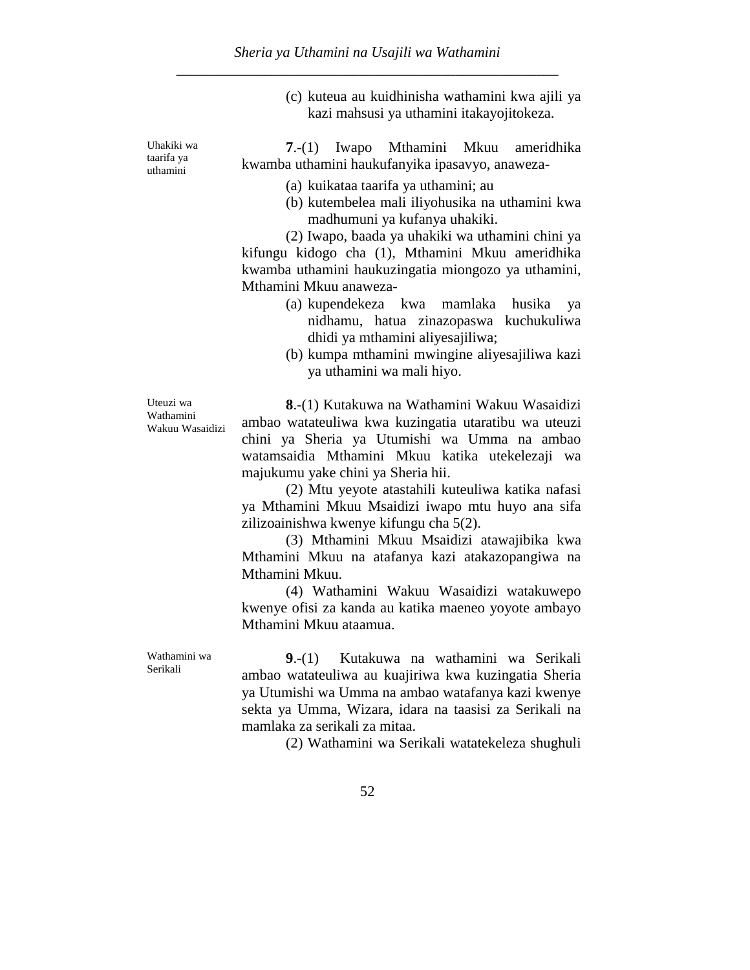(c) kuteua au kuidhinisha wathamini kwa ajili ya kazi mahsusi ya uthamini itakayojitokeza.

**7**.-(1) Iwapo Mthamini Mkuu ameridhika kwamba uthamini haukufanyika ipasavyo, anaweza-

- (a) kuikataa taarifa ya uthamini; au
- (b) kutembelea mali iliyohusika na uthamini kwa madhumuni ya kufanya uhakiki.

(2) Iwapo, baada ya uhakiki wa uthamini chini ya kifungu kidogo cha (1), Mthamini Mkuu ameridhika kwamba uthamini haukuzingatia miongozo ya uthamini, Mthamini Mkuu anaweza-

- (a) kupendekeza kwa mamlaka husika ya nidhamu, hatua zinazopaswa kuchukuliwa dhidi ya mthamini aliyesajiliwa;
- (b) kumpa mthamini mwingine aliyesajiliwa kazi ya uthamini wa mali hiyo.

Uteuzi wa Wathamini Wakuu Wasaidizi

Wathamini wa Serikali

**8**.-(1) Kutakuwa na Wathamini Wakuu Wasaidizi ambao watateuliwa kwa kuzingatia utaratibu wa uteuzi chini ya Sheria ya Utumishi wa Umma na ambao watamsaidia Mthamini Mkuu katika utekelezaji wa majukumu yake chini ya Sheria hii.

(2) Mtu yeyote atastahili kuteuliwa katika nafasi ya Mthamini Mkuu Msaidizi iwapo mtu huyo ana sifa zilizoainishwa kwenye kifungu cha 5(2).

(3) Mthamini Mkuu Msaidizi atawajibika kwa Mthamini Mkuu na atafanya kazi atakazopangiwa na Mthamini Mkuu.

(4) Wathamini Wakuu Wasaidizi watakuwepo kwenye ofisi za kanda au katika maeneo yoyote ambayo Mthamini Mkuu ataamua.

**9**.-(1) Kutakuwa na wathamini wa Serikali ambao watateuliwa au kuajiriwa kwa kuzingatia Sheria ya Utumishi wa Umma na ambao watafanya kazi kwenye sekta ya Umma, Wizara, idara na taasisi za Serikali na mamlaka za serikali za mitaa.

(2) Wathamini wa Serikali watatekeleza shughuli

52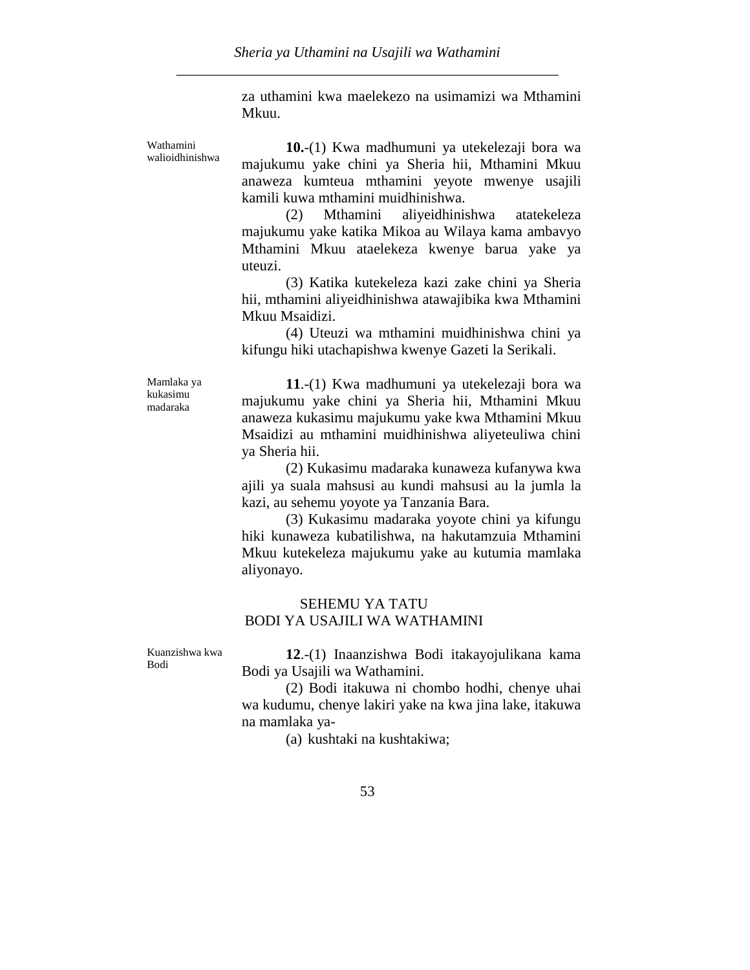za uthamini kwa maelekezo na usimamizi wa Mthamini Mkuu.

Wathamini walioidhinishwa

**10.**-(1) Kwa madhumuni ya utekelezaji bora wa majukumu yake chini ya Sheria hii, Mthamini Mkuu anaweza kumteua mthamini yeyote mwenye usajili kamili kuwa mthamini muidhinishwa.

(2) Mthamini aliyeidhinishwa atatekeleza majukumu yake katika Mikoa au Wilaya kama ambavyo Mthamini Mkuu ataelekeza kwenye barua yake ya uteuzi.

(3) Katika kutekeleza kazi zake chini ya Sheria hii, mthamini aliyeidhinishwa atawajibika kwa Mthamini Mkuu Msaidizi.

(4) Uteuzi wa mthamini muidhinishwa chini ya kifungu hiki utachapishwa kwenye Gazeti la Serikali.

Mamlaka ya kukasimu madaraka

**11**.-(1) Kwa madhumuni ya utekelezaji bora wa majukumu yake chini ya Sheria hii, Mthamini Mkuu anaweza kukasimu majukumu yake kwa Mthamini Mkuu Msaidizi au mthamini muidhinishwa aliyeteuliwa chini ya Sheria hii.

(2) Kukasimu madaraka kunaweza kufanywa kwa ajili ya suala mahsusi au kundi mahsusi au la jumla la kazi, au sehemu yoyote ya Tanzania Bara.

(3) Kukasimu madaraka yoyote chini ya kifungu hiki kunaweza kubatilishwa, na hakutamzuia Mthamini Mkuu kutekeleza majukumu yake au kutumia mamlaka aliyonayo.

# SEHEMU YA TATU BODI YA USAJILI WA WATHAMINI

Kuanzishwa kwa Bodi

**12**.-(1) Inaanzishwa Bodi itakayojulikana kama Bodi ya Usajili wa Wathamini.

(2) Bodi itakuwa ni chombo hodhi, chenye uhai wa kudumu, chenye lakiri yake na kwa jina lake, itakuwa na mamlaka ya-

(a) kushtaki na kushtakiwa;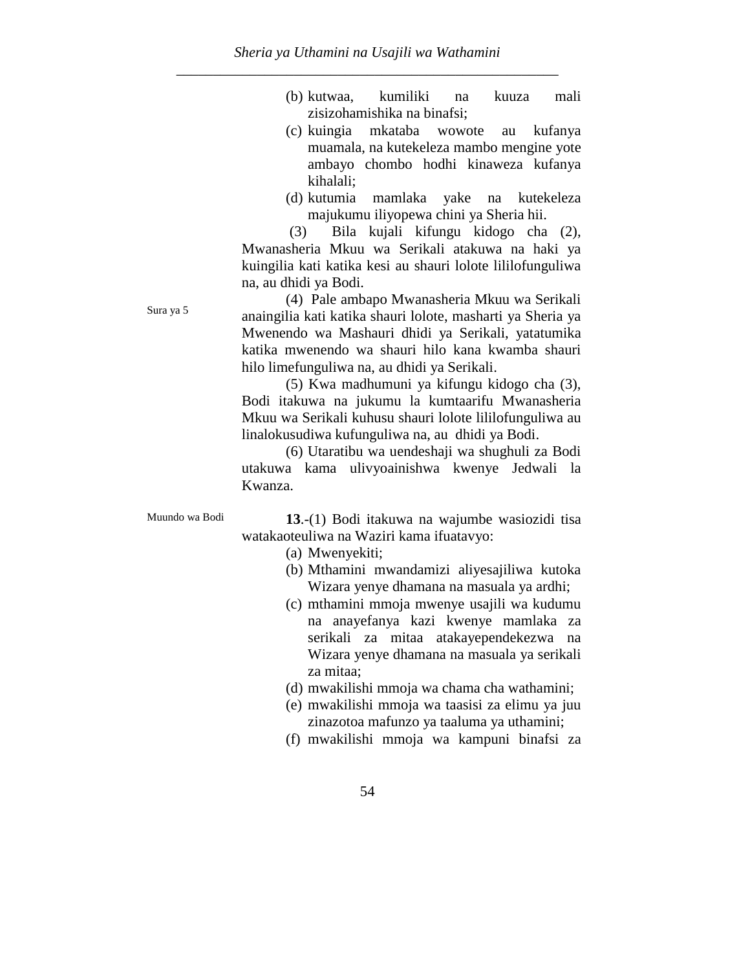- (b) kutwaa, kumiliki na kuuza mali zisizohamishika na binafsi;
- (c) kuingia mkataba wowote au kufanya muamala, na kutekeleza mambo mengine yote ambayo chombo hodhi kinaweza kufanya kihalali;
- (d) kutumia mamlaka yake na kutekeleza majukumu iliyopewa chini ya Sheria hii.

(3) Bila kujali kifungu kidogo cha (2), Mwanasheria Mkuu wa Serikali atakuwa na haki ya kuingilia kati katika kesi au shauri lolote lililofunguliwa na, au dhidi ya Bodi.

(4) Pale ambapo Mwanasheria Mkuu wa Serikali anaingilia kati katika shauri lolote, masharti ya Sheria ya Mwenendo wa Mashauri dhidi ya Serikali, yatatumika katika mwenendo wa shauri hilo kana kwamba shauri hilo limefunguliwa na, au dhidi ya Serikali.

(5) Kwa madhumuni ya kifungu kidogo cha (3), Bodi itakuwa na jukumu la kumtaarifu Mwanasheria Mkuu wa Serikali kuhusu shauri lolote lililofunguliwa au linalokusudiwa kufunguliwa na, au dhidi ya Bodi.

(6) Utaratibu wa uendeshaji wa shughuli za Bodi utakuwa kama ulivyoainishwa kwenye Jedwali la Kwanza.

Sura ya 5

Muundo wa Bodi **13**.-(1) Bodi itakuwa na wajumbe wasiozidi tisa watakaoteuliwa na Waziri kama ifuatavyo:

- (a) Mwenyekiti;
- (b) Mthamini mwandamizi aliyesajiliwa kutoka Wizara yenye dhamana na masuala ya ardhi;
- (c) mthamini mmoja mwenye usajili wa kudumu na anayefanya kazi kwenye mamlaka za serikali za mitaa atakayependekezwa na Wizara yenye dhamana na masuala ya serikali za mitaa;
- (d) mwakilishi mmoja wa chama cha wathamini;
- (e) mwakilishi mmoja wa taasisi za elimu ya juu zinazotoa mafunzo ya taaluma ya uthamini;
- (f) mwakilishi mmoja wa kampuni binafsi za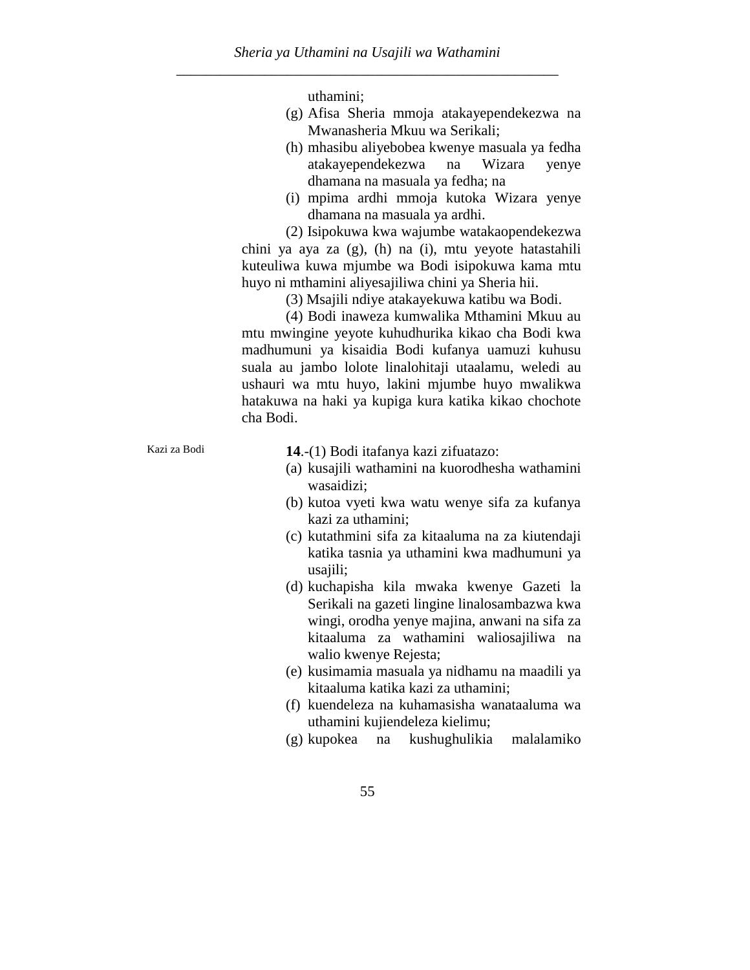uthamini;

- (g) Afisa Sheria mmoja atakayependekezwa na Mwanasheria Mkuu wa Serikali;
- (h) mhasibu aliyebobea kwenye masuala ya fedha atakayependekezwa na Wizara yenye dhamana na masuala ya fedha; na
- (i) mpima ardhi mmoja kutoka Wizara yenye dhamana na masuala ya ardhi.

(2) Isipokuwa kwa wajumbe watakaopendekezwa chini ya aya za (g), (h) na (i), mtu yeyote hatastahili kuteuliwa kuwa mjumbe wa Bodi isipokuwa kama mtu huyo ni mthamini aliyesajiliwa chini ya Sheria hii.

(3) Msajili ndiye atakayekuwa katibu wa Bodi.

(4) Bodi inaweza kumwalika Mthamini Mkuu au mtu mwingine yeyote kuhudhurika kikao cha Bodi kwa madhumuni ya kisaidia Bodi kufanya uamuzi kuhusu suala au jambo lolote linalohitaji utaalamu, weledi au ushauri wa mtu huyo, lakini mjumbe huyo mwalikwa hatakuwa na haki ya kupiga kura katika kikao chochote cha Bodi.

Kazi za Bodi **14**.-(1) Bodi itafanya kazi zifuatazo:

- (a) kusajili wathamini na kuorodhesha wathamini wasaidizi;
- (b) kutoa vyeti kwa watu wenye sifa za kufanya kazi za uthamini;
- (c) kutathmini sifa za kitaaluma na za kiutendaji katika tasnia ya uthamini kwa madhumuni ya usajili;
- (d) kuchapisha kila mwaka kwenye Gazeti la Serikali na gazeti lingine linalosambazwa kwa wingi, orodha yenye majina, anwani na sifa za kitaaluma za wathamini waliosajiliwa na walio kwenye Rejesta;
- (e) kusimamia masuala ya nidhamu na maadili ya kitaaluma katika kazi za uthamini;
- (f) kuendeleza na kuhamasisha wanataaluma wa uthamini kujiendeleza kielimu;
- (g) kupokea na kushughulikia malalamiko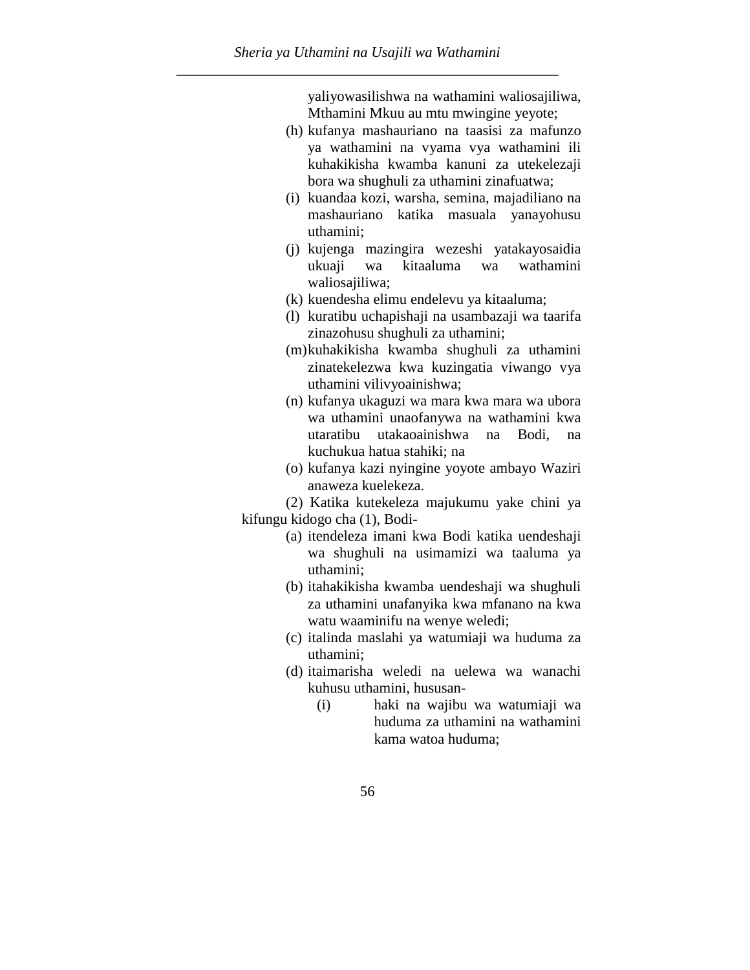yaliyowasilishwa na wathamini waliosajiliwa, Mthamini Mkuu au mtu mwingine yeyote;

- (h) kufanya mashauriano na taasisi za mafunzo ya wathamini na vyama vya wathamini ili kuhakikisha kwamba kanuni za utekelezaji bora wa shughuli za uthamini zinafuatwa;
- (i) kuandaa kozi, warsha, semina, majadiliano na mashauriano katika masuala yanayohusu uthamini;
- (j) kujenga mazingira wezeshi yatakayosaidia ukuaji wa kitaaluma wa wathamini waliosajiliwa;
- (k) kuendesha elimu endelevu ya kitaaluma;
- (l) kuratibu uchapishaji na usambazaji wa taarifa zinazohusu shughuli za uthamini;
- (m)kuhakikisha kwamba shughuli za uthamini zinatekelezwa kwa kuzingatia viwango vya uthamini vilivyoainishwa;
- (n) kufanya ukaguzi wa mara kwa mara wa ubora wa uthamini unaofanywa na wathamini kwa utaratibu utakaoainishwa na Bodi, na kuchukua hatua stahiki; na
- (o) kufanya kazi nyingine yoyote ambayo Waziri anaweza kuelekeza.

(2) Katika kutekeleza majukumu yake chini ya kifungu kidogo cha (1), Bodi-

- (a) itendeleza imani kwa Bodi katika uendeshaji wa shughuli na usimamizi wa taaluma ya uthamini;
- (b) itahakikisha kwamba uendeshaji wa shughuli za uthamini unafanyika kwa mfanano na kwa watu waaminifu na wenye weledi;
- (c) italinda maslahi ya watumiaji wa huduma za uthamini;
- (d) itaimarisha weledi na uelewa wa wanachi kuhusu uthamini, hususan-
	- (i) haki na wajibu wa watumiaji wa huduma za uthamini na wathamini kama watoa huduma;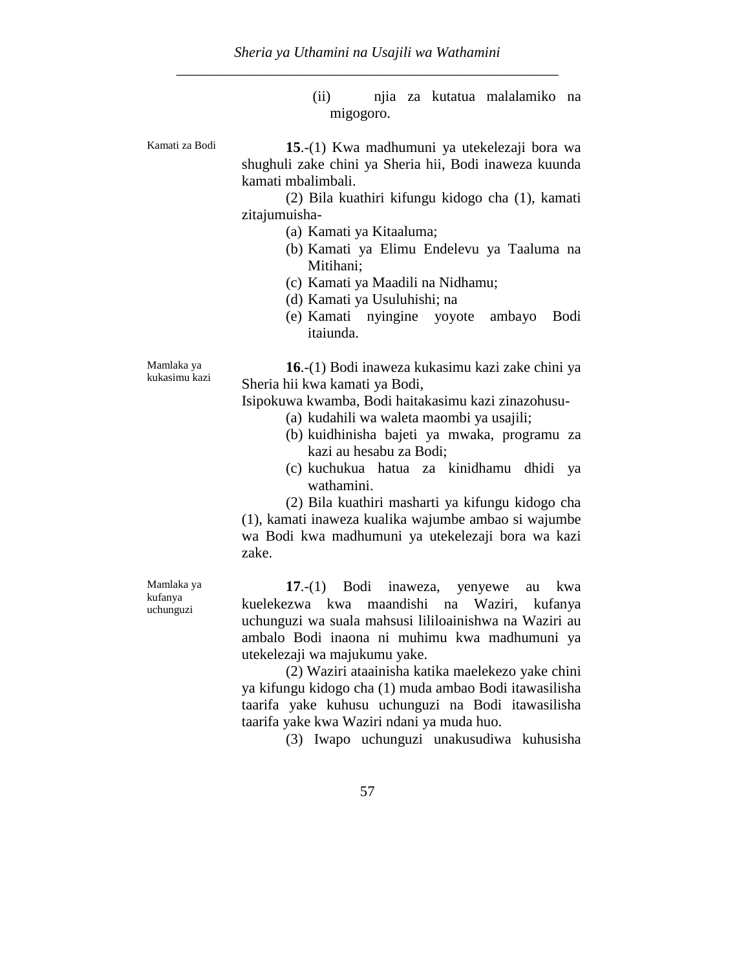(ii) njia za kutatua malalamiko na migogoro.

Kamati za Bodi **15**.-(1) Kwa madhumuni ya utekelezaji bora wa shughuli zake chini ya Sheria hii, Bodi inaweza kuunda kamati mbalimbali.

> (2) Bila kuathiri kifungu kidogo cha (1), kamati zitajumuisha-

- (a) Kamati ya Kitaaluma;
- (b) Kamati ya Elimu Endelevu ya Taaluma na Mitihani;
- (c) Kamati ya Maadili na Nidhamu;
- (d) Kamati ya Usuluhishi; na
- (e) Kamati nyingine yoyote ambayo Bodi itaiunda.

**16**.-(1) Bodi inaweza kukasimu kazi zake chini ya Sheria hii kwa kamati ya Bodi,

Isipokuwa kwamba, Bodi haitakasimu kazi zinazohusu-

- (a) kudahili wa waleta maombi ya usajili;
- (b) kuidhinisha bajeti ya mwaka, programu za kazi au hesabu za Bodi;
- (c) kuchukua hatua za kinidhamu dhidi ya wathamini.

(2) Bila kuathiri masharti ya kifungu kidogo cha (1), kamati inaweza kualika wajumbe ambao si wajumbe wa Bodi kwa madhumuni ya utekelezaji bora wa kazi zake.

**17**.-(1) Bodi inaweza, yenyewe au kwa kuelekezwa kwa maandishi na Waziri, kufanya uchunguzi wa suala mahsusi lililoainishwa na Waziri au ambalo Bodi inaona ni muhimu kwa madhumuni ya utekelezaji wa majukumu yake.

(2) Waziri ataainisha katika maelekezo yake chini ya kifungu kidogo cha (1) muda ambao Bodi itawasilisha taarifa yake kuhusu uchunguzi na Bodi itawasilisha taarifa yake kwa Waziri ndani ya muda huo.

(3) Iwapo uchunguzi unakusudiwa kuhusisha

Mamlaka ya kukasimu kazi

Mamlaka ya kufanya uchunguzi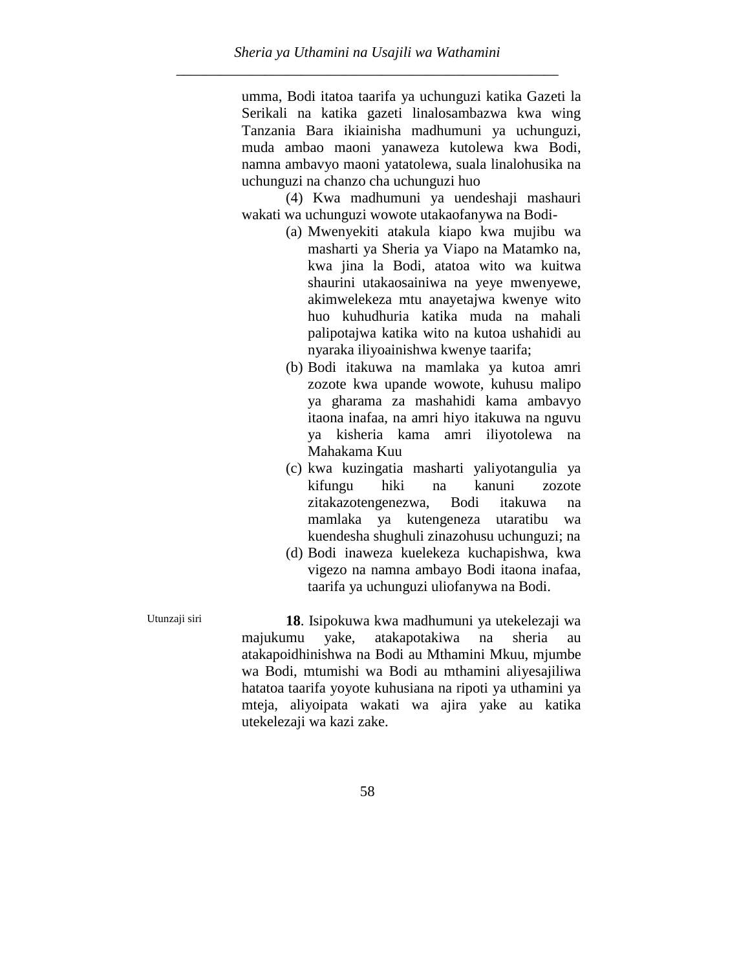umma, Bodi itatoa taarifa ya uchunguzi katika Gazeti la Serikali na katika gazeti linalosambazwa kwa wing Tanzania Bara ikiainisha madhumuni ya uchunguzi, muda ambao maoni yanaweza kutolewa kwa Bodi, namna ambavyo maoni yatatolewa, suala linalohusika na uchunguzi na chanzo cha uchunguzi huo

(4) Kwa madhumuni ya uendeshaji mashauri wakati wa uchunguzi wowote utakaofanywa na Bodi-

- (a) Mwenyekiti atakula kiapo kwa mujibu wa masharti ya Sheria ya Viapo na Matamko na, kwa jina la Bodi, atatoa wito wa kuitwa shaurini utakaosainiwa na yeye mwenyewe, akimwelekeza mtu anayetajwa kwenye wito huo kuhudhuria katika muda na mahali palipotajwa katika wito na kutoa ushahidi au nyaraka iliyoainishwa kwenye taarifa;
- (b) Bodi itakuwa na mamlaka ya kutoa amri zozote kwa upande wowote, kuhusu malipo ya gharama za mashahidi kama ambavyo itaona inafaa, na amri hiyo itakuwa na nguvu ya kisheria kama amri iliyotolewa na Mahakama Kuu
- (c) kwa kuzingatia masharti yaliyotangulia ya kifungu hiki na kanuni zozote zitakazotengenezwa, Bodi itakuwa na mamlaka ya kutengeneza utaratibu wa kuendesha shughuli zinazohusu uchunguzi; na
- (d) Bodi inaweza kuelekeza kuchapishwa, kwa vigezo na namna ambayo Bodi itaona inafaa, taarifa ya uchunguzi uliofanywa na Bodi.

Utunzaji siri **18**. Isipokuwa kwa madhumuni ya utekelezaji wa majukumu yake, atakapotakiwa na sheria au atakapoidhinishwa na Bodi au Mthamini Mkuu, mjumbe wa Bodi, mtumishi wa Bodi au mthamini aliyesajiliwa hatatoa taarifa yoyote kuhusiana na ripoti ya uthamini ya mteja, aliyoipata wakati wa ajira yake au katika utekelezaji wa kazi zake.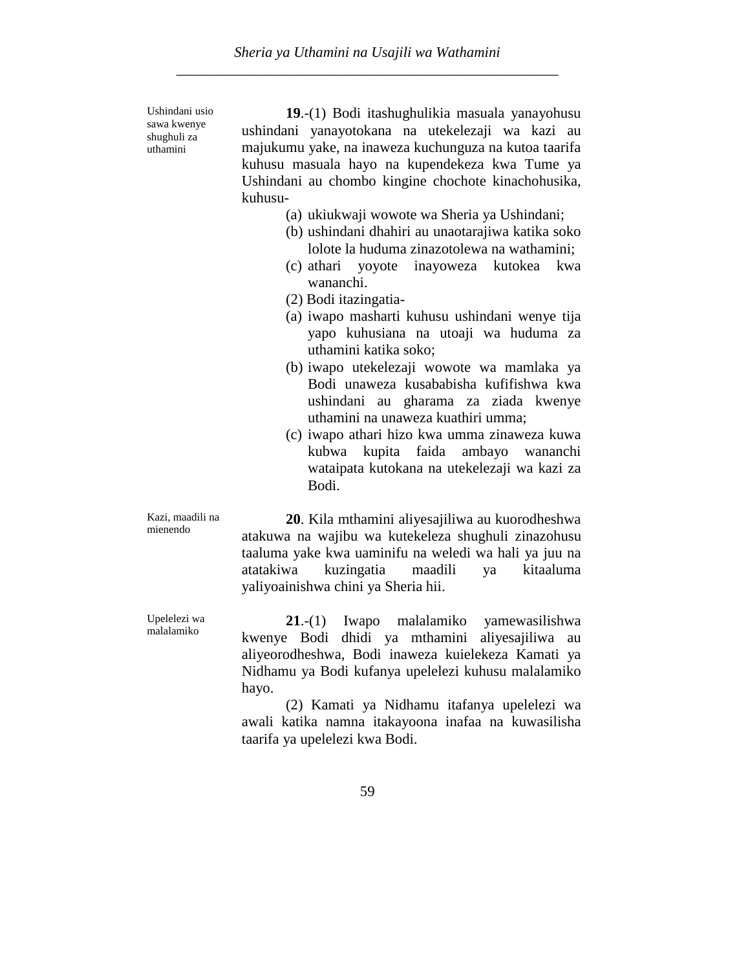Ushindani usio sawa kwenye shughuli za uthamini

**19**.-(1) Bodi itashughulikia masuala yanayohusu ushindani yanayotokana na utekelezaji wa kazi au majukumu yake, na inaweza kuchunguza na kutoa taarifa kuhusu masuala hayo na kupendekeza kwa Tume ya Ushindani au chombo kingine chochote kinachohusika, kuhusu-

- (a) ukiukwaji wowote wa Sheria ya Ushindani;
- (b) ushindani dhahiri au unaotarajiwa katika soko lolote la huduma zinazotolewa na wathamini;
- (c) athari yoyote inayoweza kutokea kwa wananchi.
- (2) Bodi itazingatia-
- (a) iwapo masharti kuhusu ushindani wenye tija yapo kuhusiana na utoaji wa huduma za uthamini katika soko;
- (b) iwapo utekelezaji wowote wa mamlaka ya Bodi unaweza kusababisha kufifishwa kwa ushindani au gharama za ziada kwenye uthamini na unaweza kuathiri umma;
- (c) iwapo athari hizo kwa umma zinaweza kuwa kubwa kupita faida ambayo wananchi wataipata kutokana na utekelezaji wa kazi za Bodi.

Kazi, maadili na mienendo

Upelelezi wa malalamiko

**20**. Kila mthamini aliyesajiliwa au kuorodheshwa atakuwa na wajibu wa kutekeleza shughuli zinazohusu taaluma yake kwa uaminifu na weledi wa hali ya juu na atatakiwa kuzingatia maadili ya kitaaluma yaliyoainishwa chini ya Sheria hii.

**21**.-(1) Iwapo malalamiko yamewasilishwa kwenye Bodi dhidi ya mthamini aliyesajiliwa au aliyeorodheshwa, Bodi inaweza kuielekeza Kamati ya Nidhamu ya Bodi kufanya upelelezi kuhusu malalamiko hayo.

(2) Kamati ya Nidhamu itafanya upelelezi wa awali katika namna itakayoona inafaa na kuwasilisha taarifa ya upelelezi kwa Bodi.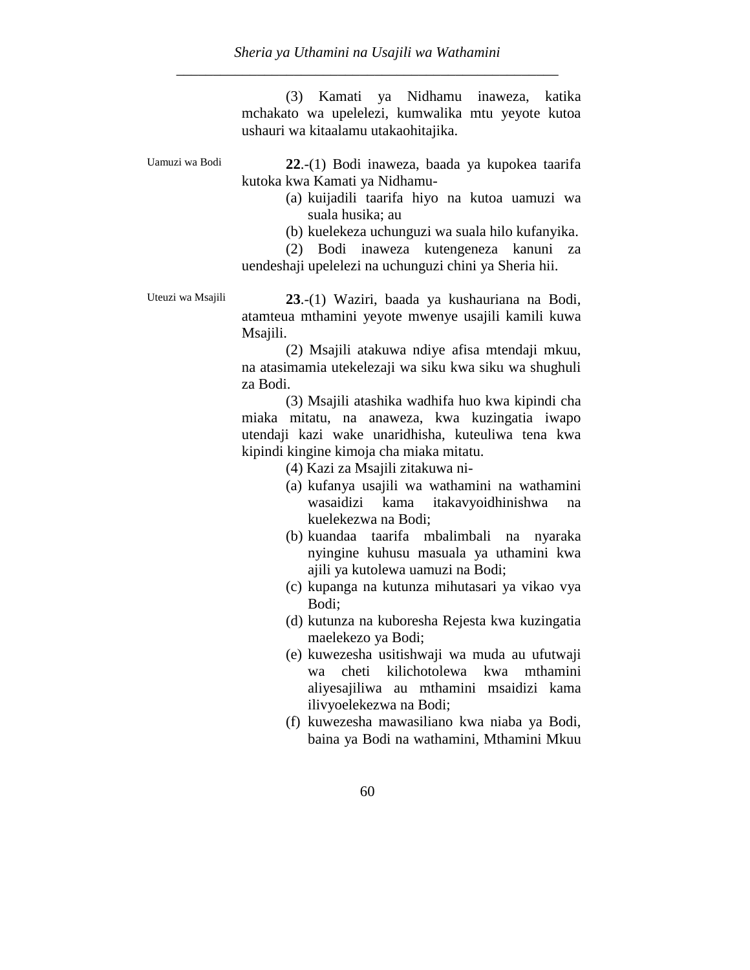*Sheria ya Uthamini na Usajili wa Wathamini* \_\_\_\_\_\_\_\_\_\_\_\_\_\_\_\_\_\_\_\_\_\_\_\_\_\_\_\_\_\_\_\_\_\_\_\_\_\_\_\_\_\_\_\_\_\_\_\_\_\_\_\_

> (3) Kamati ya Nidhamu inaweza, katika mchakato wa upelelezi, kumwalika mtu yeyote kutoa ushauri wa kitaalamu utakaohitajika.

Uamuzi wa Bodi **22**.-(1) Bodi inaweza, baada ya kupokea taarifa kutoka kwa Kamati ya Nidhamu-

> (a) kuijadili taarifa hiyo na kutoa uamuzi wa suala husika; au

> (b) kuelekeza uchunguzi wa suala hilo kufanyika.

(2) Bodi inaweza kutengeneza kanuni za uendeshaji upelelezi na uchunguzi chini ya Sheria hii.

Uteuzi wa Msajili **23**.-(1) Waziri, baada ya kushauriana na Bodi, atamteua mthamini yeyote mwenye usajili kamili kuwa Msajili.

> (2) Msajili atakuwa ndiye afisa mtendaji mkuu, na atasimamia utekelezaji wa siku kwa siku wa shughuli za Bodi.

> (3) Msajili atashika wadhifa huo kwa kipindi cha miaka mitatu, na anaweza, kwa kuzingatia iwapo utendaji kazi wake unaridhisha, kuteuliwa tena kwa kipindi kingine kimoja cha miaka mitatu.

> > (4) Kazi za Msajili zitakuwa ni-

- (a) kufanya usajili wa wathamini na wathamini wasaidizi kama itakavyoidhinishwa na kuelekezwa na Bodi;
- (b) kuandaa taarifa mbalimbali na nyaraka nyingine kuhusu masuala ya uthamini kwa ajili ya kutolewa uamuzi na Bodi;
- (c) kupanga na kutunza mihutasari ya vikao vya Bodi;
- (d) kutunza na kuboresha Rejesta kwa kuzingatia maelekezo ya Bodi;
- (e) kuwezesha usitishwaji wa muda au ufutwaji wa cheti kilichotolewa kwa mthamini aliyesajiliwa au mthamini msaidizi kama ilivyoelekezwa na Bodi;
- (f) kuwezesha mawasiliano kwa niaba ya Bodi, baina ya Bodi na wathamini, Mthamini Mkuu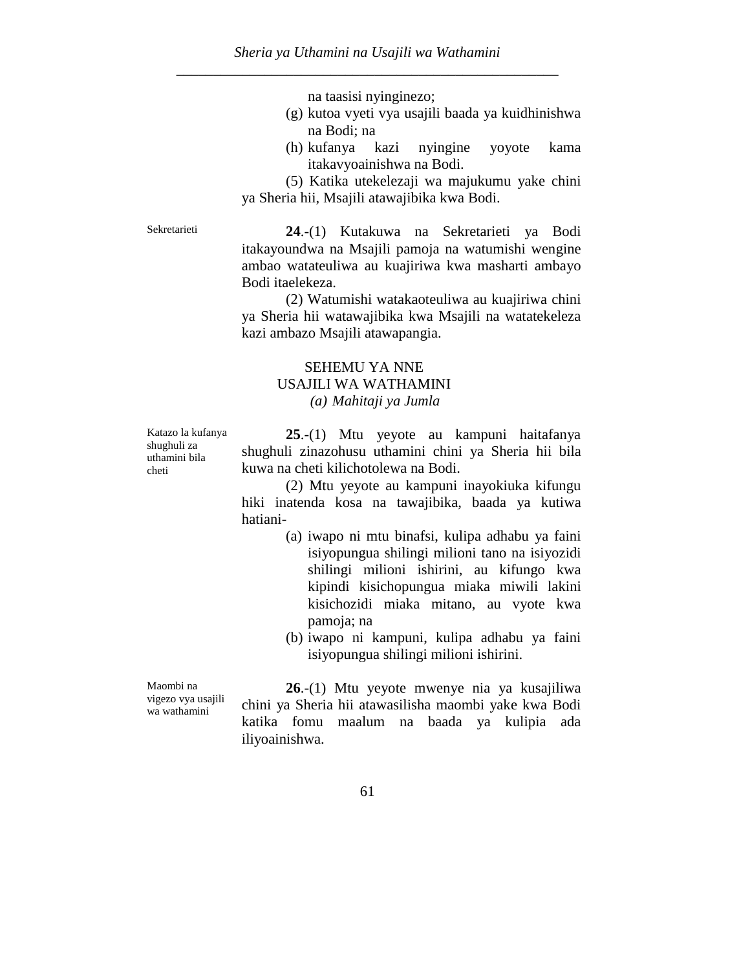na taasisi nyinginezo;

- (g) kutoa vyeti vya usajili baada ya kuidhinishwa na Bodi; na
- (h) kufanya kazi nyingine yoyote kama itakavyoainishwa na Bodi.

(5) Katika utekelezaji wa majukumu yake chini ya Sheria hii, Msajili atawajibika kwa Bodi.

Sekretarieti **24**.-(1) Kutakuwa na Sekretarieti ya Bodi itakayoundwa na Msajili pamoja na watumishi wengine ambao watateuliwa au kuajiriwa kwa masharti ambayo Bodi itaelekeza.

> (2) Watumishi watakaoteuliwa au kuajiriwa chini ya Sheria hii watawajibika kwa Msajili na watatekeleza kazi ambazo Msajili atawapangia.

### SEHEMU YA NNE USAJILI WA WATHAMINI *(a) Mahitaji ya Jumla*

Katazo la kufanya shughuli za uthamini bila cheti

**25**.-(1) Mtu yeyote au kampuni haitafanya shughuli zinazohusu uthamini chini ya Sheria hii bila kuwa na cheti kilichotolewa na Bodi.

(2) Mtu yeyote au kampuni inayokiuka kifungu hiki inatenda kosa na tawajibika, baada ya kutiwa hatiani-

- (a) iwapo ni mtu binafsi, kulipa adhabu ya faini isiyopungua shilingi milioni tano na isiyozidi shilingi milioni ishirini, au kifungo kwa kipindi kisichopungua miaka miwili lakini kisichozidi miaka mitano, au vyote kwa pamoja; na
- (b) iwapo ni kampuni, kulipa adhabu ya faini isiyopungua shilingi milioni ishirini.

Maombi na vigezo vya usajili wa wathamini

**26**.-(1) Mtu yeyote mwenye nia ya kusajiliwa chini ya Sheria hii atawasilisha maombi yake kwa Bodi katika fomu maalum na baada ya kulipia ada iliyoainishwa.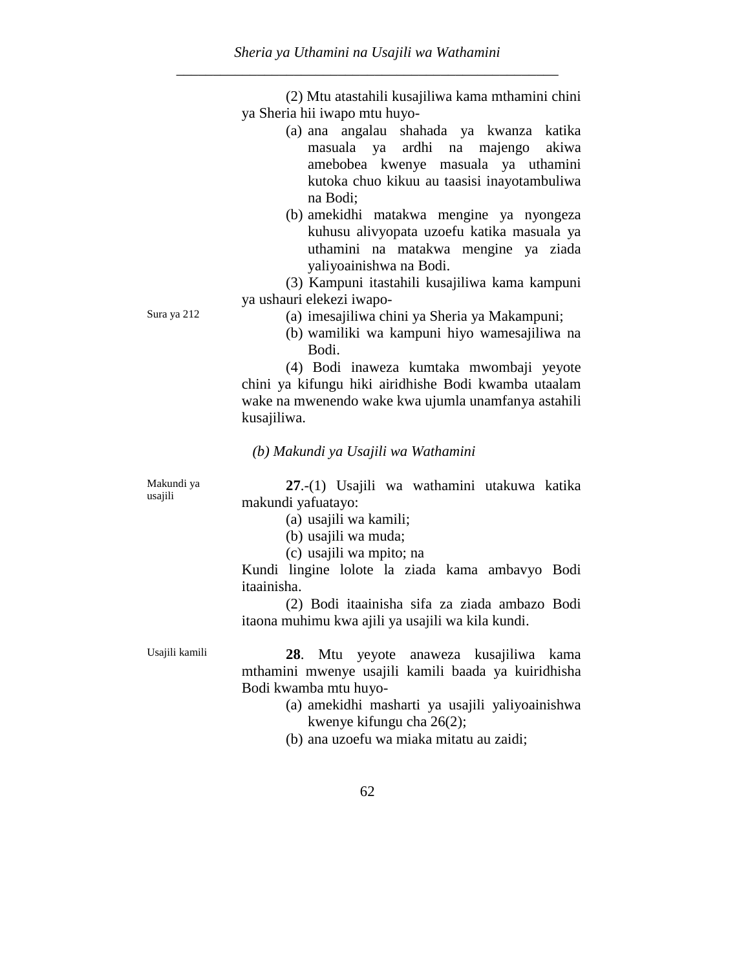(2) Mtu atastahili kusajiliwa kama mthamini chini ya Sheria hii iwapo mtu huyo-

- (a) ana angalau shahada ya kwanza katika masuala ya ardhi na majengo akiwa amebobea kwenye masuala ya uthamini kutoka chuo kikuu au taasisi inayotambuliwa na Bodi;
- (b) amekidhi matakwa mengine ya nyongeza kuhusu alivyopata uzoefu katika masuala ya uthamini na matakwa mengine ya ziada yaliyoainishwa na Bodi.

(3) Kampuni itastahili kusajiliwa kama kampuni ya ushauri elekezi iwapo-

- Sura ya 212 (a) imesajiliwa chini ya Sheria ya Makampuni;
	- (b) wamiliki wa kampuni hiyo wamesajiliwa na Bodi.

(4) Bodi inaweza kumtaka mwombaji yeyote chini ya kifungu hiki airidhishe Bodi kwamba utaalam wake na mwenendo wake kwa ujumla unamfanya astahili kusajiliwa.

*(b) Makundi ya Usajili wa Wathamini*

Makundi ya usajili

**27**.-(1) Usajili wa wathamini utakuwa katika makundi yafuatayo:

(a) usajili wa kamili;

(b) usajili wa muda;

(c) usajili wa mpito; na

Kundi lingine lolote la ziada kama ambavyo Bodi itaainisha.

(2) Bodi itaainisha sifa za ziada ambazo Bodi itaona muhimu kwa ajili ya usajili wa kila kundi.

Usajili kamili **28**. Mtu yeyote anaweza kusajiliwa kama mthamini mwenye usajili kamili baada ya kuiridhisha Bodi kwamba mtu huyo-

- (a) amekidhi masharti ya usajili yaliyoainishwa kwenye kifungu cha 26(2);
- (b) ana uzoefu wa miaka mitatu au zaidi;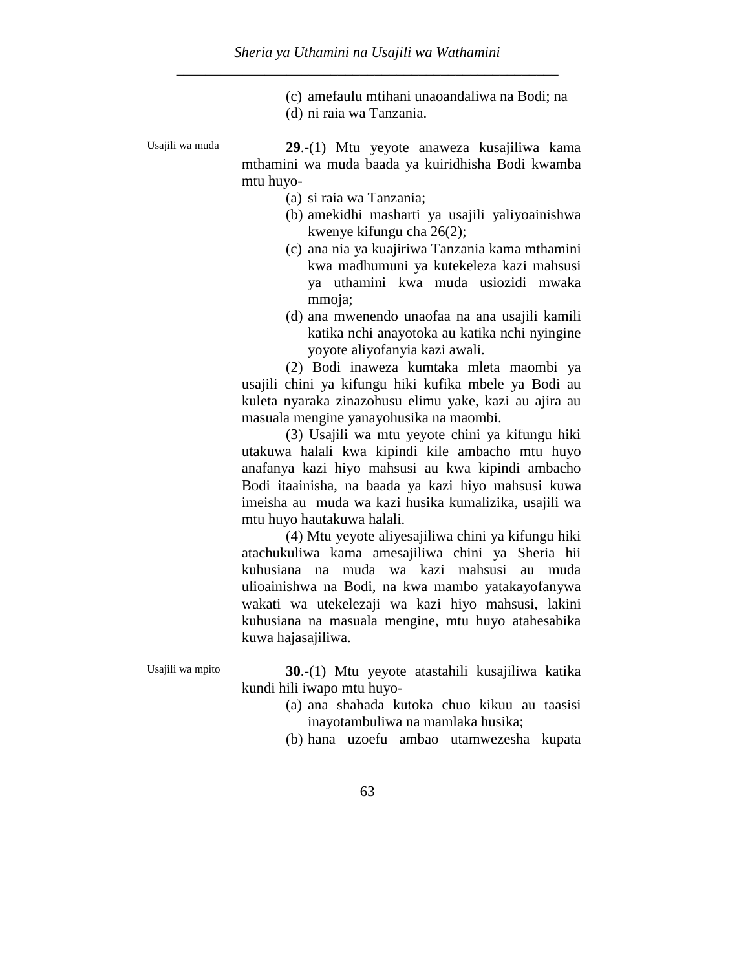(c) amefaulu mtihani unaoandaliwa na Bodi; na (d) ni raia wa Tanzania.

Usajili wa muda **29**.-(1) Mtu yeyote anaweza kusajiliwa kama mthamini wa muda baada ya kuiridhisha Bodi kwamba mtu huyo-

- (a) si raia wa Tanzania;
- (b) amekidhi masharti ya usajili yaliyoainishwa kwenye kifungu cha 26(2);
- (c) ana nia ya kuajiriwa Tanzania kama mthamini kwa madhumuni ya kutekeleza kazi mahsusi ya uthamini kwa muda usiozidi mwaka mmoja:
- (d) ana mwenendo unaofaa na ana usajili kamili katika nchi anayotoka au katika nchi nyingine yoyote aliyofanyia kazi awali.

(2) Bodi inaweza kumtaka mleta maombi ya usajili chini ya kifungu hiki kufika mbele ya Bodi au kuleta nyaraka zinazohusu elimu yake, kazi au ajira au masuala mengine yanayohusika na maombi.

(3) Usajili wa mtu yeyote chini ya kifungu hiki utakuwa halali kwa kipindi kile ambacho mtu huyo anafanya kazi hiyo mahsusi au kwa kipindi ambacho Bodi itaainisha, na baada ya kazi hiyo mahsusi kuwa imeisha au muda wa kazi husika kumalizika, usajili wa mtu huyo hautakuwa halali.

(4) Mtu yeyote aliyesajiliwa chini ya kifungu hiki atachukuliwa kama amesajiliwa chini ya Sheria hii kuhusiana na muda wa kazi mahsusi au muda ulioainishwa na Bodi, na kwa mambo yatakayofanywa wakati wa utekelezaji wa kazi hiyo mahsusi, lakini kuhusiana na masuala mengine, mtu huyo atahesabika kuwa hajasajiliwa.

Usajili wa mpito **30**.-(1) Mtu yeyote atastahili kusajiliwa katika kundi hili iwapo mtu huyo-

- (a) ana shahada kutoka chuo kikuu au taasisi inayotambuliwa na mamlaka husika;
- (b) hana uzoefu ambao utamwezesha kupata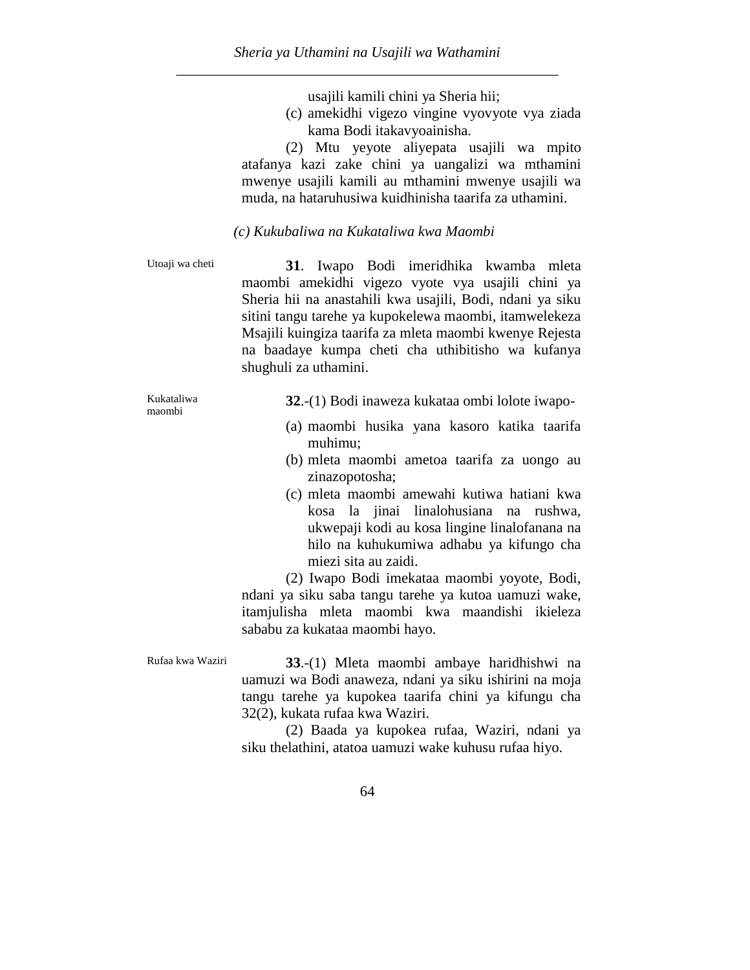usajili kamili chini ya Sheria hii;

(c) amekidhi vigezo vingine vyovyote vya ziada kama Bodi itakavyoainisha.

(2) Mtu yeyote aliyepata usajili wa mpito atafanya kazi zake chini ya uangalizi wa mthamini mwenye usajili kamili au mthamini mwenye usajili wa muda, na hataruhusiwa kuidhinisha taarifa za uthamini.

#### *(c) Kukubaliwa na Kukataliwa kwa Maombi*

Utoaji wa cheti **31**. Iwapo Bodi imeridhika kwamba mleta maombi amekidhi vigezo vyote vya usajili chini ya Sheria hii na anastahili kwa usajili, Bodi, ndani ya siku sitini tangu tarehe ya kupokelewa maombi, itamwelekeza Msajili kuingiza taarifa za mleta maombi kwenye Rejesta na baadaye kumpa cheti cha uthibitisho wa kufanya shughuli za uthamini.

Kukataliwa maombi

**32**.-(1) Bodi inaweza kukataa ombi lolote iwapo-

- (a) maombi husika yana kasoro katika taarifa muhimu;
- (b) mleta maombi ametoa taarifa za uongo au zinazopotosha;
- (c) mleta maombi amewahi kutiwa hatiani kwa kosa la jinai linalohusiana na rushwa, ukwepaji kodi au kosa lingine linalofanana na hilo na kuhukumiwa adhabu ya kifungo cha miezi sita au zaidi.

(2) Iwapo Bodi imekataa maombi yoyote, Bodi, ndani ya siku saba tangu tarehe ya kutoa uamuzi wake, itamjulisha mleta maombi kwa maandishi ikieleza sababu za kukataa maombi hayo.

Rufaa kwa Waziri **33**.-(1) Mleta maombi ambaye haridhishwi na uamuzi wa Bodi anaweza, ndani ya siku ishirini na moja tangu tarehe ya kupokea taarifa chini ya kifungu cha 32(2), kukata rufaa kwa Waziri.

> (2) Baada ya kupokea rufaa, Waziri, ndani ya siku thelathini, atatoa uamuzi wake kuhusu rufaa hiyo.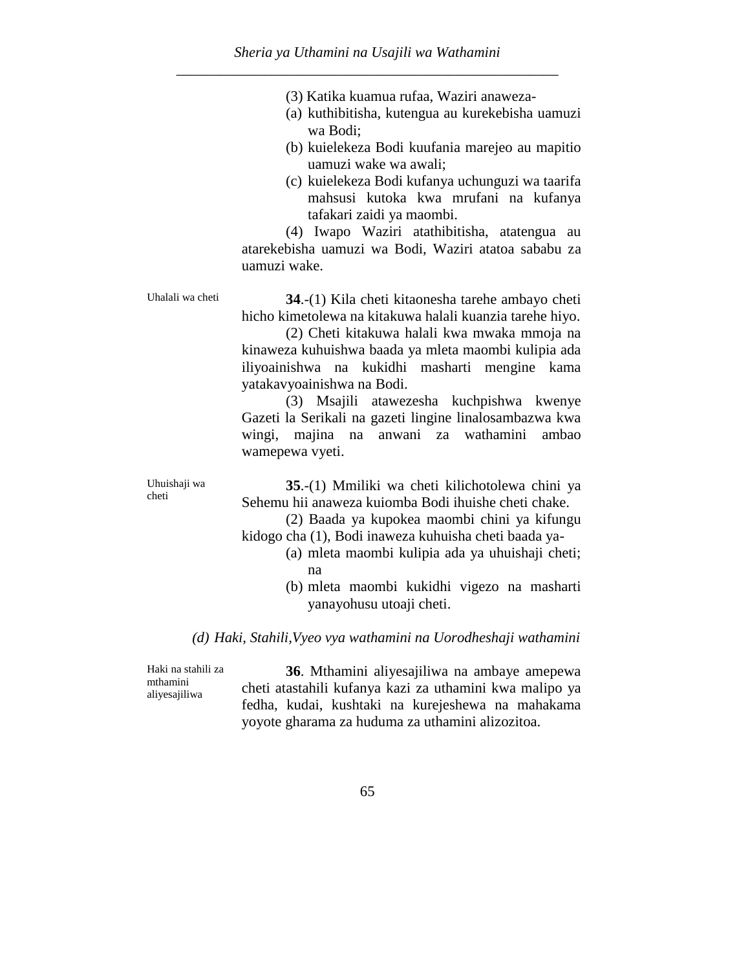|  |  |  |  |  | (3) Katika kuamua rufaa, Waziri anaweza- |
|--|--|--|--|--|------------------------------------------|
|--|--|--|--|--|------------------------------------------|

- (a) kuthibitisha, kutengua au kurekebisha uamuzi wa Bodi;
- (b) kuielekeza Bodi kuufania marejeo au mapitio uamuzi wake wa awali;
- (c) kuielekeza Bodi kufanya uchunguzi wa taarifa mahsusi kutoka kwa mrufani na kufanya tafakari zaidi ya maombi.

(4) Iwapo Waziri atathibitisha, atatengua au atarekebisha uamuzi wa Bodi, Waziri atatoa sababu za uamuzi wake.

Uhalali wa cheti **34**.-(1) Kila cheti kitaonesha tarehe ambayo cheti hicho kimetolewa na kitakuwa halali kuanzia tarehe hiyo.

> (2) Cheti kitakuwa halali kwa mwaka mmoja na kinaweza kuhuishwa baada ya mleta maombi kulipia ada iliyoainishwa na kukidhi masharti mengine kama yatakavyoainishwa na Bodi.

> (3) Msajili atawezesha kuchpishwa kwenye Gazeti la Serikali na gazeti lingine linalosambazwa kwa wingi, majina na anwani za wathamini ambao wamepewa vyeti.

Uhuishaji wa cheti

**35**.-(1) Mmiliki wa cheti kilichotolewa chini ya Sehemu hii anaweza kuiomba Bodi ihuishe cheti chake.

(2) Baada ya kupokea maombi chini ya kifungu kidogo cha (1), Bodi inaweza kuhuisha cheti baada ya-

- (a) mleta maombi kulipia ada ya uhuishaji cheti; na
	- (b) mleta maombi kukidhi vigezo na masharti yanayohusu utoaji cheti.

#### *(d) Haki, Stahili,Vyeo vya wathamini na Uorodheshaji wathamini*

Haki na stahili za mthamini aliyesajiliwa

**36**. Mthamini aliyesajiliwa na ambaye amepewa cheti atastahili kufanya kazi za uthamini kwa malipo ya fedha, kudai, kushtaki na kurejeshewa na mahakama yoyote gharama za huduma za uthamini alizozitoa.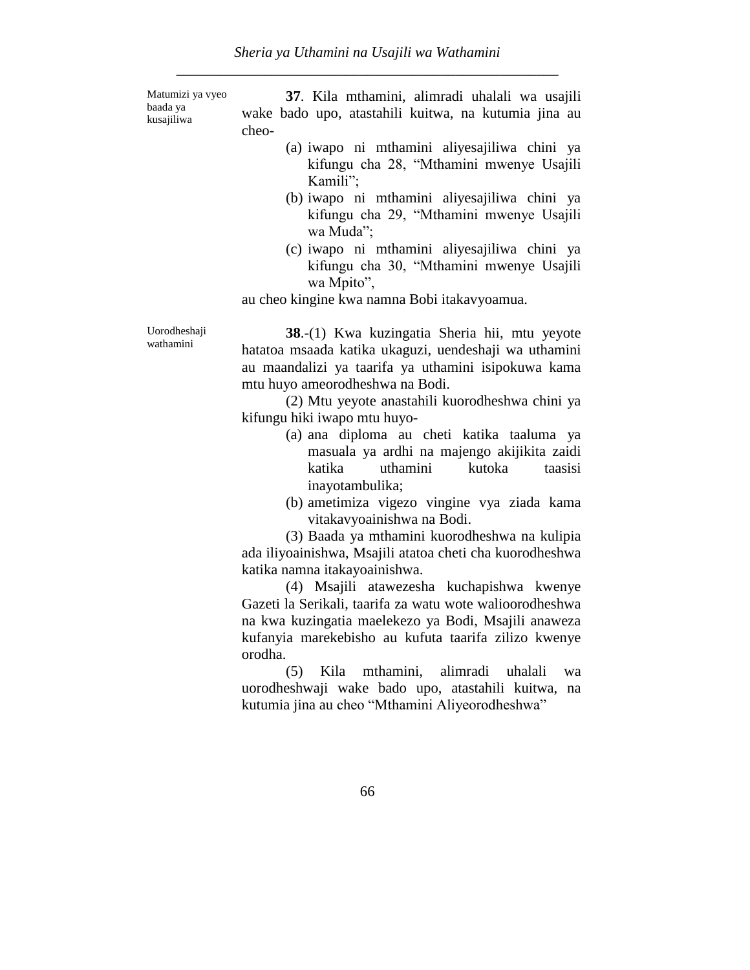Matumizi ya vyeo baada ya kusajiliwa

Uorodheshaji wathamini

**37**. Kila mthamini, alimradi uhalali wa usajili wake bado upo, atastahili kuitwa, na kutumia jina au cheo-

- (a) iwapo ni mthamini aliyesajiliwa chini ya kifungu cha 28, "Mthamini mwenye Usajili Kamili";
- (b) iwapo ni mthamini aliyesajiliwa chini ya kifungu cha 29, "Mthamini mwenye Usajili wa Muda";
- (c) iwapo ni mthamini aliyesajiliwa chini ya kifungu cha 30, "Mthamini mwenye Usajili wa Mpito",

au cheo kingine kwa namna Bobi itakavyoamua.

**38**.-(1) Kwa kuzingatia Sheria hii, mtu yeyote hatatoa msaada katika ukaguzi, uendeshaji wa uthamini au maandalizi ya taarifa ya uthamini isipokuwa kama mtu huyo ameorodheshwa na Bodi.

(2) Mtu yeyote anastahili kuorodheshwa chini ya kifungu hiki iwapo mtu huyo-

- (a) ana diploma au cheti katika taaluma ya masuala ya ardhi na majengo akijikita zaidi katika uthamini kutoka taasisi inayotambulika;
- (b) ametimiza vigezo vingine vya ziada kama vitakavyoainishwa na Bodi.

(3) Baada ya mthamini kuorodheshwa na kulipia ada iliyoainishwa, Msajili atatoa cheti cha kuorodheshwa katika namna itakayoainishwa.

(4) Msajili atawezesha kuchapishwa kwenye Gazeti la Serikali, taarifa za watu wote walioorodheshwa na kwa kuzingatia maelekezo ya Bodi, Msajili anaweza kufanyia marekebisho au kufuta taarifa zilizo kwenye orodha.

(5) Kila mthamini, alimradi uhalali wa uorodheshwaji wake bado upo, atastahili kuitwa, na kutumia jina au cheo "Mthamini Aliyeorodheshwa"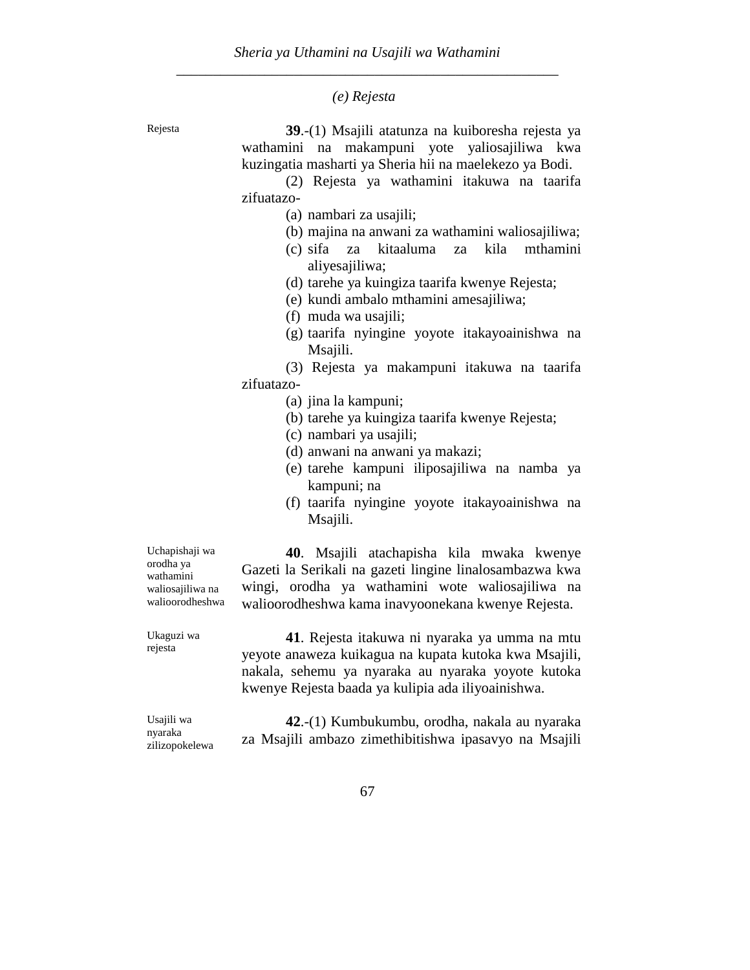*(e) Rejesta*

Rejesta **39**.-(1) Msajili atatunza na kuiboresha rejesta ya wathamini na makampuni yote yaliosajiliwa kwa kuzingatia masharti ya Sheria hii na maelekezo ya Bodi.

> (2) Rejesta ya wathamini itakuwa na taarifa zifuatazo-

- (a) nambari za usajili;
- (b) majina na anwani za wathamini waliosajiliwa;
- (c) sifa za kitaaluma za kila mthamini aliyesajiliwa;
- (d) tarehe ya kuingiza taarifa kwenye Rejesta;
- (e) kundi ambalo mthamini amesajiliwa;
- (f) muda wa usajili;
- (g) taarifa nyingine yoyote itakayoainishwa na Msajili.

(3) Rejesta ya makampuni itakuwa na taarifa zifuatazo-

- (a) jina la kampuni;
- (b) tarehe ya kuingiza taarifa kwenye Rejesta;
- (c) nambari ya usajili;
- (d) anwani na anwani ya makazi;
- (e) tarehe kampuni iliposajiliwa na namba ya kampuni; na
- (f) taarifa nyingine yoyote itakayoainishwa na Msajili.

Uchapishaji wa orodha ya wathamini waliosajiliwa na walioorodheshwa

**40**. Msajili atachapisha kila mwaka kwenye Gazeti la Serikali na gazeti lingine linalosambazwa kwa wingi, orodha ya wathamini wote waliosajiliwa na walioorodheshwa kama inavyoonekana kwenye Rejesta.

Ukaguzi wa rejesta

**41**. Rejesta itakuwa ni nyaraka ya umma na mtu yeyote anaweza kuikagua na kupata kutoka kwa Msajili, nakala, sehemu ya nyaraka au nyaraka yoyote kutoka kwenye Rejesta baada ya kulipia ada iliyoainishwa.

Usajili wa nyaraka zilizopokelewa

**42**.-(1) Kumbukumbu, orodha, nakala au nyaraka za Msajili ambazo zimethibitishwa ipasavyo na Msajili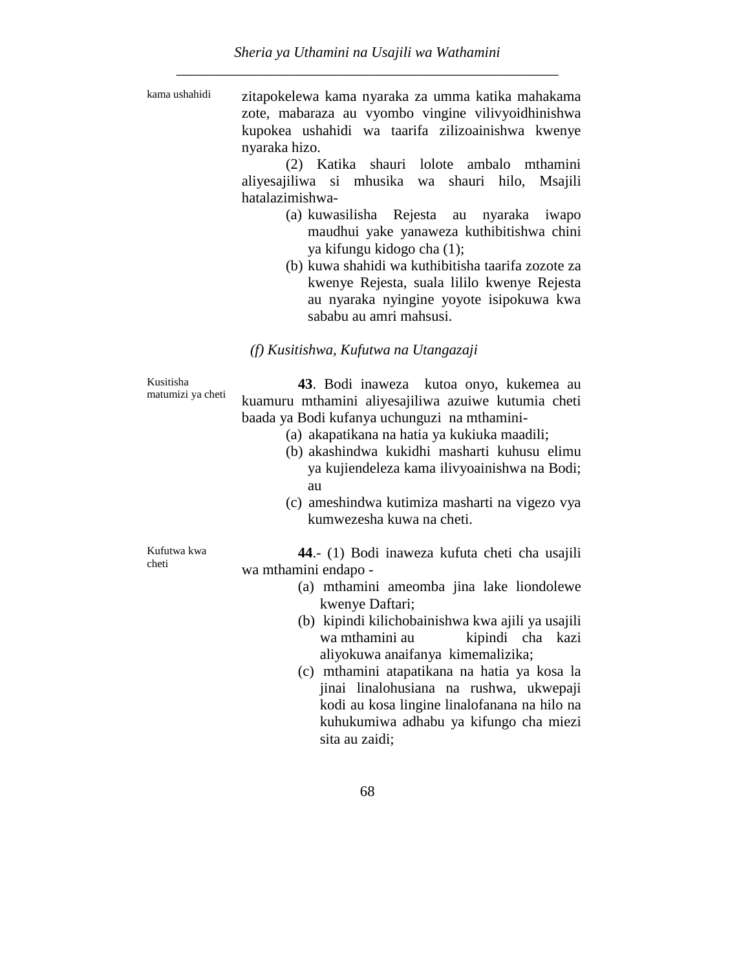| kama ushahidi | zitapokelewa kama nyaraka za umma katika mahakama  |
|---------------|----------------------------------------------------|
|               | zote, mabaraza au vyombo vingine vilivyoidhinishwa |
|               | kupokea ushahidi wa taarifa zilizoainishwa kwenye  |
|               | nyaraka hizo.                                      |

(2) Katika shauri lolote ambalo mthamini aliyesajiliwa si mhusika wa shauri hilo, Msajili hatalazimishwa-

- (a) kuwasilisha Rejesta au nyaraka iwapo maudhui yake yanaweza kuthibitishwa chini ya kifungu kidogo cha (1);
- (b) kuwa shahidi wa kuthibitisha taarifa zozote za kwenye Rejesta, suala lililo kwenye Rejesta au nyaraka nyingine yoyote isipokuwa kwa sababu au amri mahsusi.

### *(f) Kusitishwa, Kufutwa na Utangazaji*

Kusitisha matumizi ya cheti

**43**. Bodi inaweza kutoa onyo, kukemea au kuamuru mthamini aliyesajiliwa azuiwe kutumia cheti baada ya Bodi kufanya uchunguzi na mthamini-

- (a) akapatikana na hatia ya kukiuka maadili;
- (b) akashindwa kukidhi masharti kuhusu elimu ya kujiendeleza kama ilivyoainishwa na Bodi; au
- (c) ameshindwa kutimiza masharti na vigezo vya kumwezesha kuwa na cheti.

Kufutwa kwa cheti

**44**.- (1) Bodi inaweza kufuta cheti cha usajili wa mthamini endapo -

- (a) mthamini ameomba jina lake liondolewe kwenye Daftari;
- (b) kipindi kilichobainishwa kwa ajili ya usajili wa mthamini au kipindi cha kazi aliyokuwa anaifanya kimemalizika;
- (c) mthamini atapatikana na hatia ya kosa la jinai linalohusiana na rushwa, ukwepaji kodi au kosa lingine linalofanana na hilo na kuhukumiwa adhabu ya kifungo cha miezi sita au zaidi;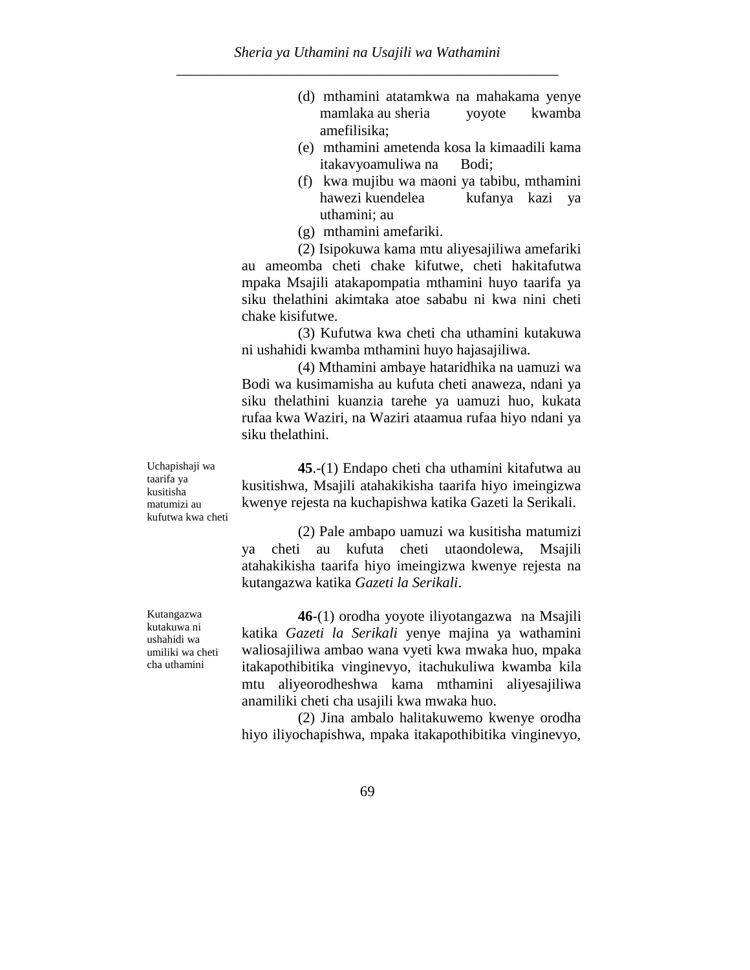- (d) mthamini atatamkwa na mahakama yenye mamlaka au sheria yoyote kwamba amefilisika;
- (e) mthamini ametenda kosa la kimaadili kama itakavyoamuliwa na Bodi;
- (f) kwa mujibu wa maoni ya tabibu, mthamini hawezi kuendelea kufanya kazi ya uthamini; au
- (g) mthamini amefariki.

(2) Isipokuwa kama mtu aliyesajiliwa amefariki au ameomba cheti chake kifutwe, cheti hakitafutwa mpaka Msajili atakapompatia mthamini huyo taarifa ya siku thelathini akimtaka atoe sababu ni kwa nini cheti chake kisifutwe.

(3) Kufutwa kwa cheti cha uthamini kutakuwa ni ushahidi kwamba mthamini huyo hajasajiliwa.

(4) Mthamini ambaye hataridhika na uamuzi wa Bodi wa kusimamisha au kufuta cheti anaweza, ndani ya siku thelathini kuanzia tarehe ya uamuzi huo, kukata rufaa kwa Waziri, na Waziri ataamua rufaa hiyo ndani ya siku thelathini.

**45**.-(1) Endapo cheti cha uthamini kitafutwa au kusitishwa, Msajili atahakikisha taarifa hiyo imeingizwa kwenye rejesta na kuchapishwa katika Gazeti la Serikali.

(2) Pale ambapo uamuzi wa kusitisha matumizi ya cheti au kufuta cheti utaondolewa, Msajili atahakikisha taarifa hiyo imeingizwa kwenye rejesta na kutangazwa katika *Gazeti la Serikali*.

**46**-(1) orodha yoyote iliyotangazwa na Msajili katika *Gazeti la Serikali* yenye majina ya wathamini waliosajiliwa ambao wana vyeti kwa mwaka huo, mpaka itakapothibitika vinginevyo, itachukuliwa kwamba kila mtu aliyeorodheshwa kama mthamini aliyesajiliwa anamiliki cheti cha usajili kwa mwaka huo.

(2) Jina ambalo halitakuwemo kwenye orodha hiyo iliyochapishwa, mpaka itakapothibitika vinginevyo,

Uchapishaji wa taarifa ya kusitisha matumizi au kufutwa kwa cheti

Kutangazwa kutakuwa ni ushahidi wa umiliki wa cheti cha uthamini

69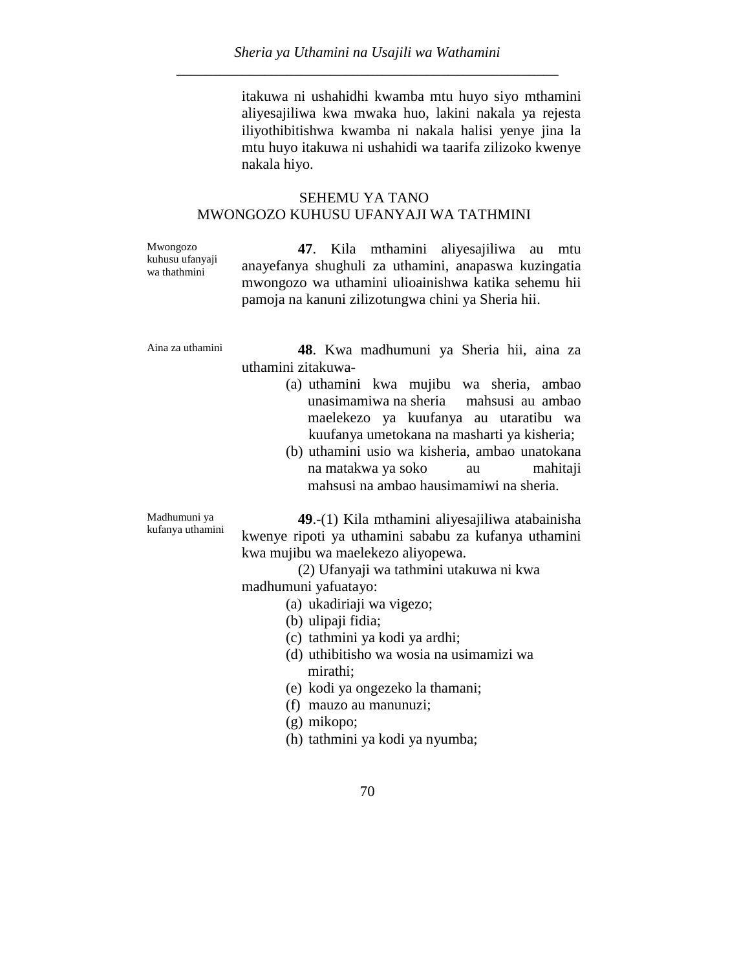itakuwa ni ushahidhi kwamba mtu huyo siyo mthamini aliyesajiliwa kwa mwaka huo, lakini nakala ya rejesta iliyothibitishwa kwamba ni nakala halisi yenye jina la mtu huyo itakuwa ni ushahidi wa taarifa zilizoko kwenye nakala hiyo.

#### SEHEMU YA TANO MWONGOZO KUHUSU UFANYAJI WA TATHMINI

Mwongozo kuhusu ufanyaji wa thathmini

**47**. Kila mthamini aliyesajiliwa au mtu anayefanya shughuli za uthamini, anapaswa kuzingatia mwongozo wa uthamini ulioainishwa katika sehemu hii pamoja na kanuni zilizotungwa chini ya Sheria hii.

Aina za uthamini **48**. Kwa madhumuni ya Sheria hii, aina za uthamini zitakuwa-

- (a) uthamini kwa mujibu wa sheria, ambao unasimamiwa na sheria mahsusi au ambao maelekezo ya kuufanya au utaratibu wa kuufanya umetokana na masharti ya kisheria;
- (b) uthamini usio wa kisheria, ambao unatokana na matakwa ya soko au mahitaji mahsusi na ambao hausimamiwi na sheria.

Madhumuni ya kufanya uthamini **49**.-(1) Kila mthamini aliyesajiliwa atabainisha kwenye ripoti ya uthamini sababu za kufanya uthamini kwa mujibu wa maelekezo aliyopewa.

> (2) Ufanyaji wa tathmini utakuwa ni kwa madhumuni yafuatayo:

- (a) ukadiriaji wa vigezo;
- (b) ulipaji fidia;
- (c) tathmini ya kodi ya ardhi;
- (d) uthibitisho wa wosia na usimamizi wa mirathi;
- (e) kodi ya ongezeko la thamani;
- (f) mauzo au manunuzi;
- (g) mikopo;
- (h) tathmini ya kodi ya nyumba;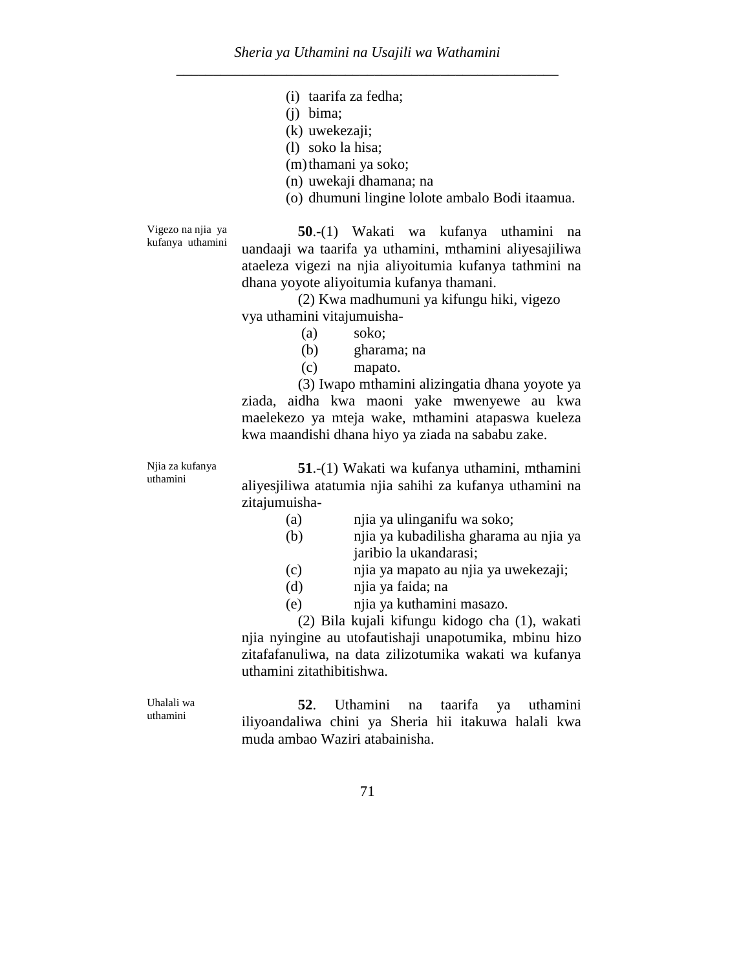- (i) taarifa za fedha;
- (j) bima;
- (k) uwekezaji;
- (l) soko la hisa;
- (m)thamani ya soko;
- (n) uwekaji dhamana; na
- (o) dhumuni lingine lolote ambalo Bodi itaamua.

Vigezo na njia ya kufanya uthamini

**50**.-(1) Wakati wa kufanya uthamini na uandaaji wa taarifa ya uthamini, mthamini aliyesajiliwa ataeleza vigezi na njia aliyoitumia kufanya tathmini na dhana yoyote aliyoitumia kufanya thamani.

(2) Kwa madhumuni ya kifungu hiki, vigezo vya uthamini vitajumuisha-

- (a) soko;
- (b) gharama; na
- (c) mapato.

(3) Iwapo mthamini alizingatia dhana yoyote ya ziada, aidha kwa maoni yake mwenyewe au kwa maelekezo ya mteja wake, mthamini atapaswa kueleza kwa maandishi dhana hiyo ya ziada na sababu zake.

Njia za kufanya uthamini

Uhalali wa uthamini

**51**.-(1) Wakati wa kufanya uthamini, mthamini aliyesjiliwa atatumia njia sahihi za kufanya uthamini na zitajumuisha-

- (a) njia ya ulinganifu wa soko;
- (b) njia ya kubadilisha gharama au njia ya jaribio la ukandarasi;
- (c) njia ya mapato au njia ya uwekezaji;
- (d) njia ya faida; na
- (e) njia ya kuthamini masazo.

(2) Bila kujali kifungu kidogo cha (1), wakati njia nyingine au utofautishaji unapotumika, mbinu hizo zitafafanuliwa, na data zilizotumika wakati wa kufanya uthamini zitathibitishwa.

**52**. Uthamini na taarifa ya uthamini iliyoandaliwa chini ya Sheria hii itakuwa halali kwa muda ambao Waziri atabainisha.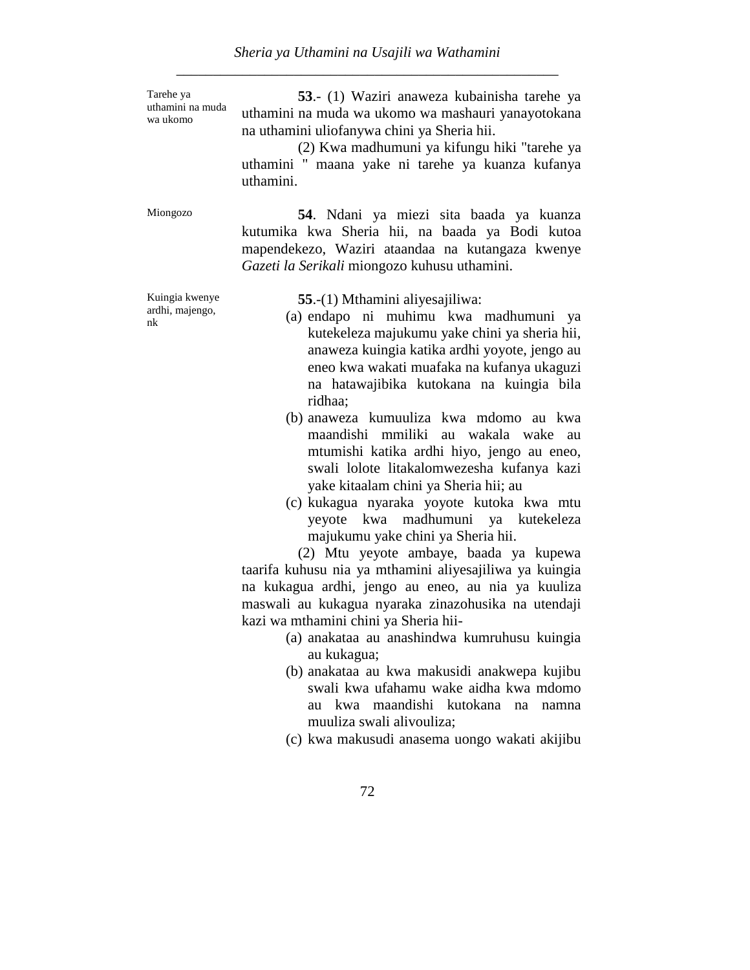Tarehe ya uthamini na muda wa ukomo

**53**.- (1) Waziri anaweza kubainisha tarehe ya uthamini na muda wa ukomo wa mashauri yanayotokana na uthamini uliofanywa chini ya Sheria hii.

(2) Kwa madhumuni ya kifungu hiki "tarehe ya uthamini " maana yake ni tarehe ya kuanza kufanya uthamini.

Kuingia kwenye ardhi, majengo, nk

Miongozo **54**. Ndani ya miezi sita baada ya kuanza kutumika kwa Sheria hii, na baada ya Bodi kutoa mapendekezo, Waziri ataandaa na kutangaza kwenye *Gazeti la Serikali* miongozo kuhusu uthamini.

**55**.-(1) Mthamini aliyesajiliwa:

- (a) endapo ni muhimu kwa madhumuni ya kutekeleza majukumu yake chini ya sheria hii, anaweza kuingia katika ardhi yoyote, jengo au eneo kwa wakati muafaka na kufanya ukaguzi na hatawajibika kutokana na kuingia bila ridhaa;
- (b) anaweza kumuuliza kwa mdomo au kwa maandishi mmiliki au wakala wake au mtumishi katika ardhi hiyo, jengo au eneo, swali lolote litakalomwezesha kufanya kazi yake kitaalam chini ya Sheria hii; au
- (c) kukagua nyaraka yoyote kutoka kwa mtu yeyote kwa madhumuni ya kutekeleza majukumu yake chini ya Sheria hii.

(2) Mtu yeyote ambaye, baada ya kupewa taarifa kuhusu nia ya mthamini aliyesajiliwa ya kuingia na kukagua ardhi, jengo au eneo, au nia ya kuuliza maswali au kukagua nyaraka zinazohusika na utendaji kazi wa mthamini chini ya Sheria hii-

- (a) anakataa au anashindwa kumruhusu kuingia au kukagua;
- (b) anakataa au kwa makusidi anakwepa kujibu swali kwa ufahamu wake aidha kwa mdomo au kwa maandishi kutokana na namna muuliza swali alivouliza;
- (c) kwa makusudi anasema uongo wakati akijibu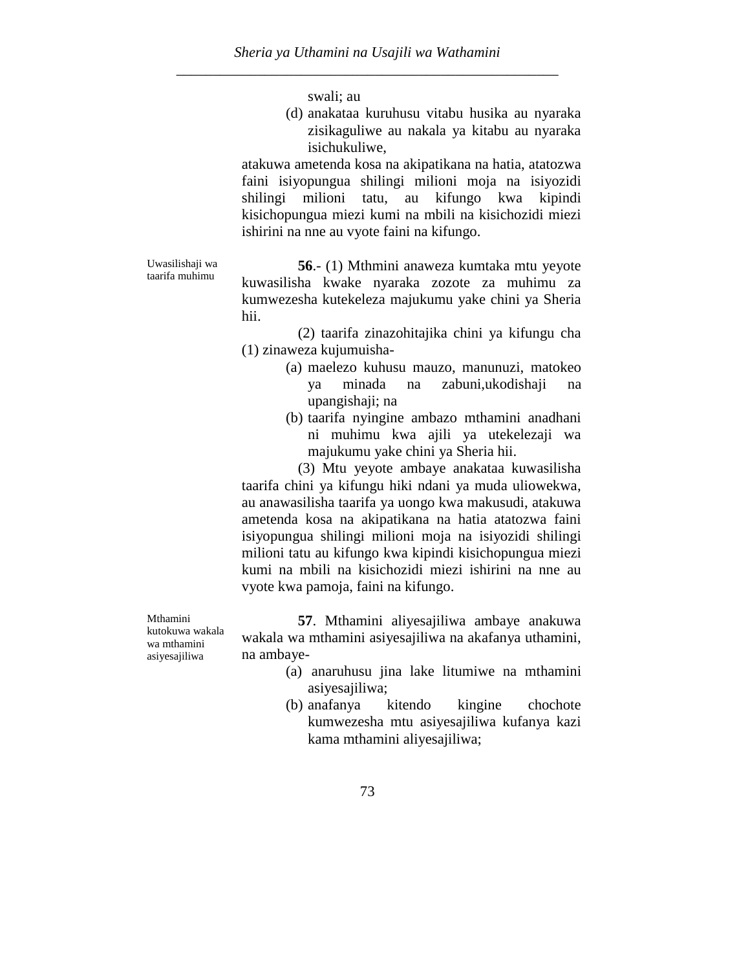swali; au

(d) anakataa kuruhusu vitabu husika au nyaraka zisikaguliwe au nakala ya kitabu au nyaraka isichukuliwe,

atakuwa ametenda kosa na akipatikana na hatia, atatozwa faini isiyopungua shilingi milioni moja na isiyozidi shilingi milioni tatu, au kifungo kwa kipindi kisichopungua miezi kumi na mbili na kisichozidi miezi ishirini na nne au vyote faini na kifungo.

Uwasilishaji wa taarifa muhimu

**56**.- (1) Mthmini anaweza kumtaka mtu yeyote kuwasilisha kwake nyaraka zozote za muhimu za kumwezesha kutekeleza majukumu yake chini ya Sheria hii.

(2) taarifa zinazohitajika chini ya kifungu cha (1) zinaweza kujumuisha-

- (a) maelezo kuhusu mauzo, manunuzi, matokeo ya minada na zabuni,ukodishaji na upangishaji; na
- (b) taarifa nyingine ambazo mthamini anadhani ni muhimu kwa ajili ya utekelezaji wa majukumu yake chini ya Sheria hii.

(3) Mtu yeyote ambaye anakataa kuwasilisha taarifa chini ya kifungu hiki ndani ya muda uliowekwa, au anawasilisha taarifa ya uongo kwa makusudi, atakuwa ametenda kosa na akipatikana na hatia atatozwa faini isiyopungua shilingi milioni moja na isiyozidi shilingi milioni tatu au kifungo kwa kipindi kisichopungua miezi kumi na mbili na kisichozidi miezi ishirini na nne au vyote kwa pamoja, faini na kifungo.

**57**. Mthamini aliyesajiliwa ambaye anakuwa wakala wa mthamini asiyesajiliwa na akafanya uthamini, na ambaye-

- (a) anaruhusu jina lake litumiwe na mthamini asiyesajiliwa;
- (b) anafanya kitendo kingine chochote kumwezesha mtu asiyesajiliwa kufanya kazi kama mthamini aliyesajiliwa;

Mthamini kutokuwa wakala wa mthamini asiyesajiliwa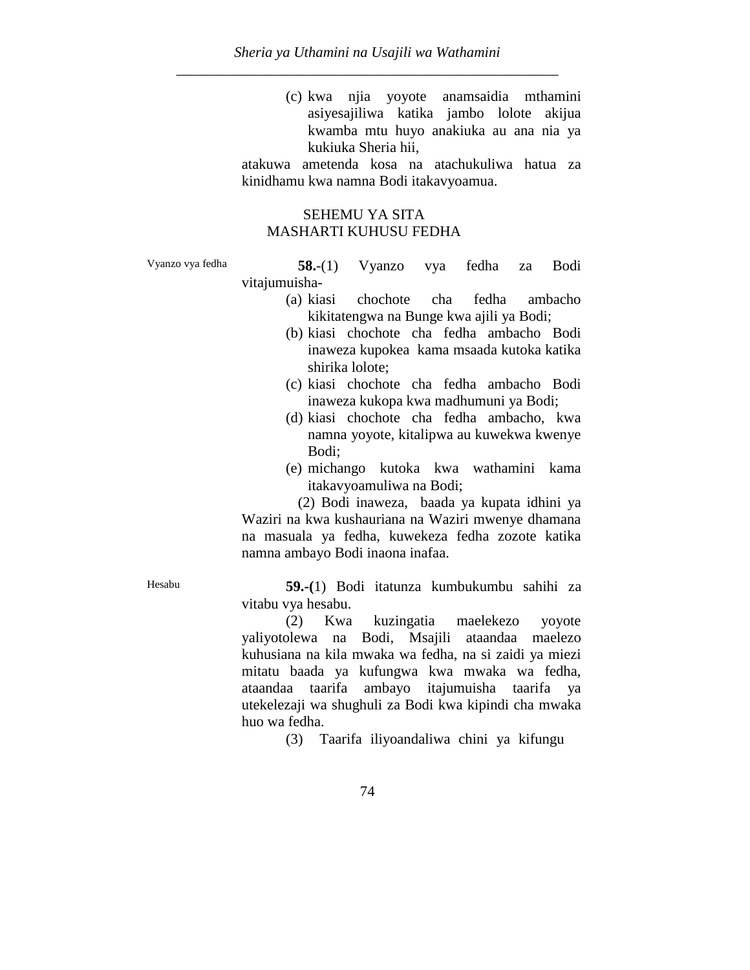(c) kwa njia yoyote anamsaidia mthamini asiyesajiliwa katika jambo lolote akijua kwamba mtu huyo anakiuka au ana nia ya kukiuka Sheria hii,

atakuwa ametenda kosa na atachukuliwa hatua za kinidhamu kwa namna Bodi itakavyoamua.

## SEHEMU YA SITA MASHARTI KUHUSU FEDHA

Vyanzo vya fedha **58.**-(1) Vyanzo vya fedha za Bodi vitajumuisha-

- (a) kiasi chochote cha fedha ambacho kikitatengwa na Bunge kwa ajili ya Bodi;
- (b) kiasi chochote cha fedha ambacho Bodi inaweza kupokea kama msaada kutoka katika shirika lolote;
- (c) kiasi chochote cha fedha ambacho Bodi inaweza kukopa kwa madhumuni ya Bodi;
- (d) kiasi chochote cha fedha ambacho, kwa namna yoyote, kitalipwa au kuwekwa kwenye Bodi;
- (e) michango kutoka kwa wathamini kama itakavyoamuliwa na Bodi;

(2) Bodi inaweza, baada ya kupata idhini ya Waziri na kwa kushauriana na Waziri mwenye dhamana na masuala ya fedha, kuwekeza fedha zozote katika namna ambayo Bodi inaona inafaa.

Hesabu **59.-(**1) Bodi itatunza kumbukumbu sahihi za vitabu vya hesabu.

> (2) Kwa kuzingatia maelekezo yoyote yaliyotolewa na Bodi, Msajili ataandaa maelezo kuhusiana na kila mwaka wa fedha, na si zaidi ya miezi mitatu baada ya kufungwa kwa mwaka wa fedha, ataandaa taarifa ambayo itajumuisha taarifa ya utekelezaji wa shughuli za Bodi kwa kipindi cha mwaka huo wa fedha.

> > (3) Taarifa iliyoandaliwa chini ya kifungu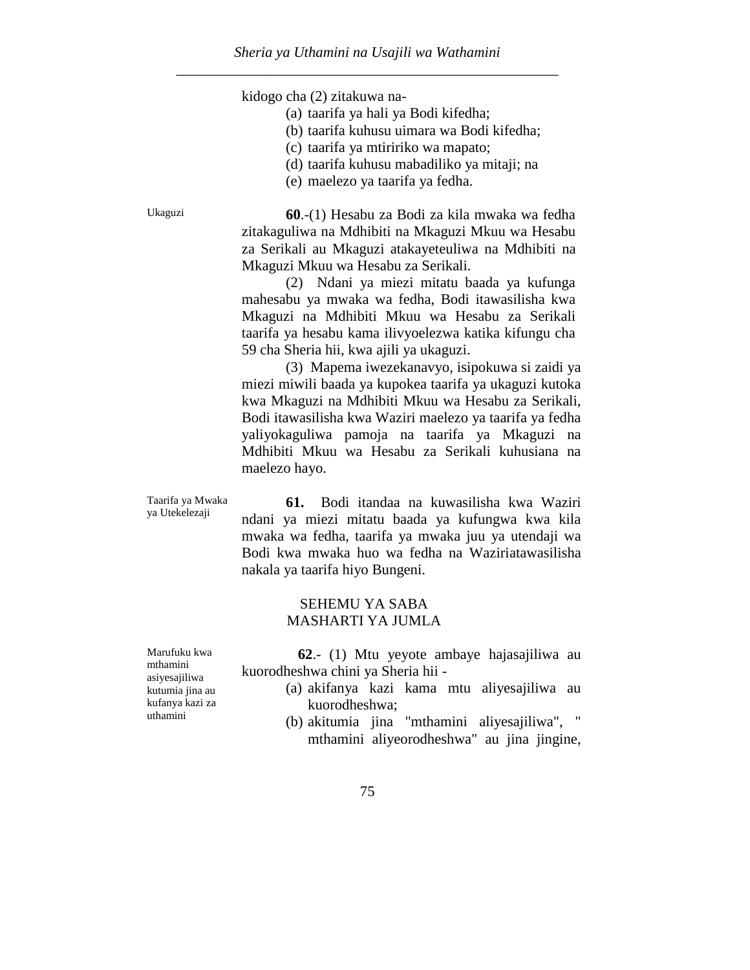kidogo cha (2) zitakuwa na-

- (a) taarifa ya hali ya Bodi kifedha;
- (b) taarifa kuhusu uimara wa Bodi kifedha;
- (c) taarifa ya mtiririko wa mapato;
- (d) taarifa kuhusu mabadiliko ya mitaji; na
- (e) maelezo ya taarifa ya fedha.

Ukaguzi **60**.-(1) Hesabu za Bodi za kila mwaka wa fedha zitakaguliwa na Mdhibiti na Mkaguzi Mkuu wa Hesabu za Serikali au Mkaguzi atakayeteuliwa na Mdhibiti na Mkaguzi Mkuu wa Hesabu za Serikali.

> (2) Ndani ya miezi mitatu baada ya kufunga mahesabu ya mwaka wa fedha, Bodi itawasilisha kwa Mkaguzi na Mdhibiti Mkuu wa Hesabu za Serikali taarifa ya hesabu kama ilivyoelezwa katika kifungu cha 59 cha Sheria hii, kwa ajili ya ukaguzi.

(3) Mapema iwezekanavyo, isipokuwa si zaidi ya miezi miwili baada ya kupokea taarifa ya ukaguzi kutoka kwa Mkaguzi na Mdhibiti Mkuu wa Hesabu za Serikali, Bodi itawasilisha kwa Waziri maelezo ya taarifa ya fedha yaliyokaguliwa pamoja na taarifa ya Mkaguzi na Mdhibiti Mkuu wa Hesabu za Serikali kuhusiana na maelezo hayo.

Taarifa ya Mwaka ya Utekelezaji

**61.** Bodi itandaa na kuwasilisha kwa Waziri ndani ya miezi mitatu baada ya kufungwa kwa kila mwaka wa fedha, taarifa ya mwaka juu ya utendaji wa Bodi kwa mwaka huo wa fedha na Waziriatawasilisha nakala ya taarifa hiyo Bungeni.

#### SEHEMU YA SABA MASHARTI YA JUMLA

Marufuku kwa mthamini asiyesajiliwa kutumia jina au kufanya kazi za uthamini

**62**.- (1) Mtu yeyote ambaye hajasajiliwa au kuorodheshwa chini ya Sheria hii -

- (a) akifanya kazi kama mtu aliyesajiliwa au kuorodheshwa;
- (b) akitumia jina "mthamini aliyesajiliwa", " mthamini aliyeorodheshwa" au jina jingine,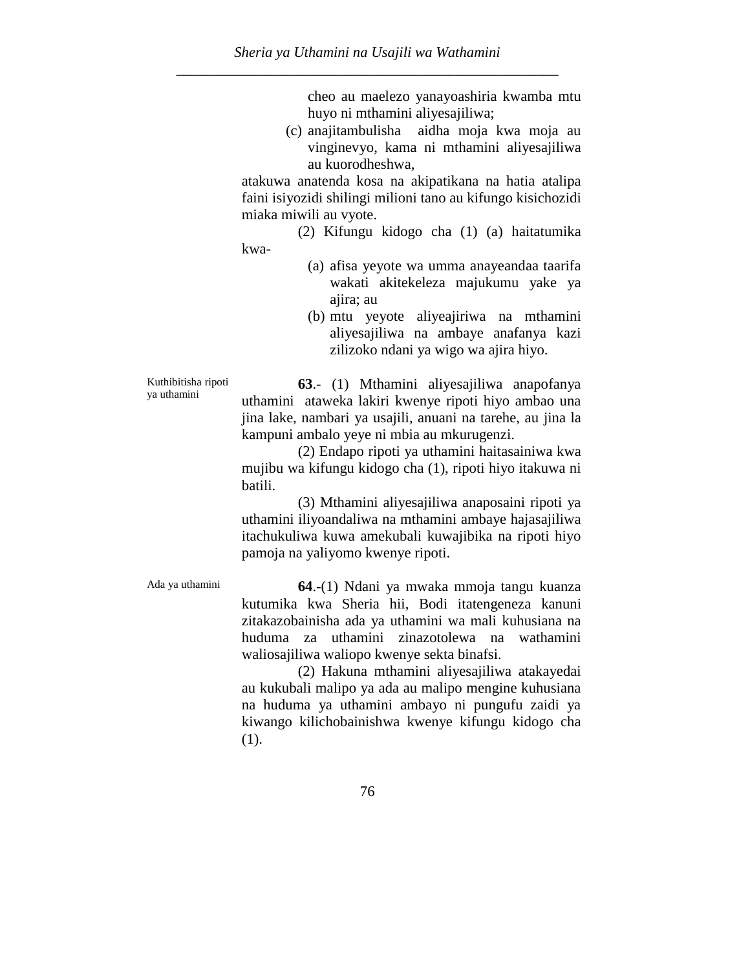cheo au maelezo yanayoashiria kwamba mtu huyo ni mthamini aliyesajiliwa;

(c) anajitambulisha aidha moja kwa moja au vinginevyo, kama ni mthamini aliyesajiliwa au kuorodheshwa,

atakuwa anatenda kosa na akipatikana na hatia atalipa faini isiyozidi shilingi milioni tano au kifungo kisichozidi miaka miwili au vyote.

(2) Kifungu kidogo cha (1) (a) haitatumika kwa-

- (a) afisa yeyote wa umma anayeandaa taarifa wakati akitekeleza majukumu yake ya ajira; au
- (b) mtu yeyote aliyeajiriwa na mthamini aliyesajiliwa na ambaye anafanya kazi zilizoko ndani ya wigo wa ajira hiyo.

Kuthibitisha ripoti ya uthamini

**63**.- (1) Mthamini aliyesajiliwa anapofanya uthamini ataweka lakiri kwenye ripoti hiyo ambao una jina lake, nambari ya usajili, anuani na tarehe, au jina la kampuni ambalo yeye ni mbia au mkurugenzi.

(2) Endapo ripoti ya uthamini haitasainiwa kwa mujibu wa kifungu kidogo cha (1), ripoti hiyo itakuwa ni batili.

(3) Mthamini aliyesajiliwa anaposaini ripoti ya uthamini iliyoandaliwa na mthamini ambaye hajasajiliwa itachukuliwa kuwa amekubali kuwajibika na ripoti hiyo pamoja na yaliyomo kwenye ripoti.

Ada ya uthamini **64**.-(1) Ndani ya mwaka mmoja tangu kuanza kutumika kwa Sheria hii, Bodi itatengeneza kanuni zitakazobainisha ada ya uthamini wa mali kuhusiana na huduma za uthamini zinazotolewa na wathamini waliosajiliwa waliopo kwenye sekta binafsi.

> (2) Hakuna mthamini aliyesajiliwa atakayedai au kukubali malipo ya ada au malipo mengine kuhusiana na huduma ya uthamini ambayo ni pungufu zaidi ya kiwango kilichobainishwa kwenye kifungu kidogo cha (1).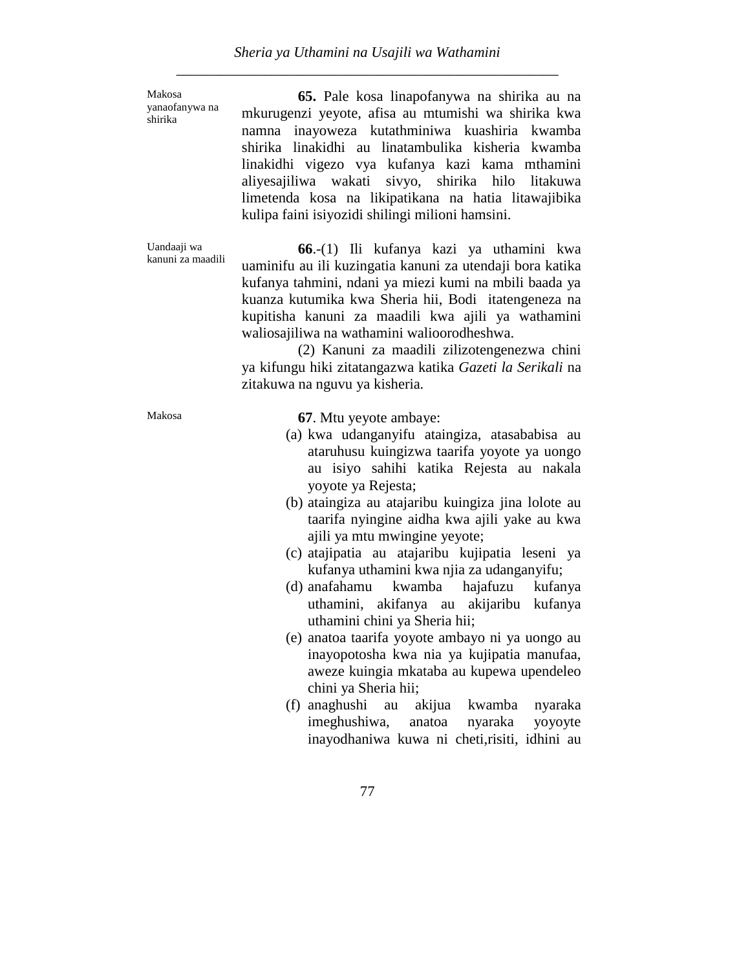Makosa yanaofanywa na shirika

Uandaaji wa kanuni za maadili

**65.** Pale kosa linapofanywa na shirika au na mkurugenzi yeyote, afisa au mtumishi wa shirika kwa namna inayoweza kutathminiwa kuashiria kwamba shirika linakidhi au linatambulika kisheria kwamba linakidhi vigezo vya kufanya kazi kama mthamini aliyesajiliwa wakati sivyo, shirika hilo litakuwa limetenda kosa na likipatikana na hatia litawajibika kulipa faini isiyozidi shilingi milioni hamsini.

**66**.-(1) Ili kufanya kazi ya uthamini kwa uaminifu au ili kuzingatia kanuni za utendaji bora katika kufanya tahmini, ndani ya miezi kumi na mbili baada ya kuanza kutumika kwa Sheria hii, Bodi itatengeneza na kupitisha kanuni za maadili kwa ajili ya wathamini waliosajiliwa na wathamini walioorodheshwa.

(2) Kanuni za maadili zilizotengenezwa chini ya kifungu hiki zitatangazwa katika *Gazeti la Serikali* na zitakuwa na nguvu ya kisheria*.*

Makosa **67**. Mtu yeyote ambaye:

- (a) kwa udanganyifu ataingiza, atasababisa au ataruhusu kuingizwa taarifa yoyote ya uongo au isiyo sahihi katika Rejesta au nakala yoyote ya Rejesta;
- (b) ataingiza au atajaribu kuingiza jina lolote au taarifa nyingine aidha kwa ajili yake au kwa ajili ya mtu mwingine yeyote;
- (c) atajipatia au atajaribu kujipatia leseni ya kufanya uthamini kwa njia za udanganyifu;
- (d) anafahamu kwamba hajafuzu kufanya uthamini, akifanya au akijaribu kufanya uthamini chini ya Sheria hii;
- (e) anatoa taarifa yoyote ambayo ni ya uongo au inayopotosha kwa nia ya kujipatia manufaa, aweze kuingia mkataba au kupewa upendeleo chini ya Sheria hii;
- (f) anaghushi au akijua kwamba nyaraka imeghushiwa, anatoa nyaraka yoyoyte inayodhaniwa kuwa ni cheti,risiti, idhini au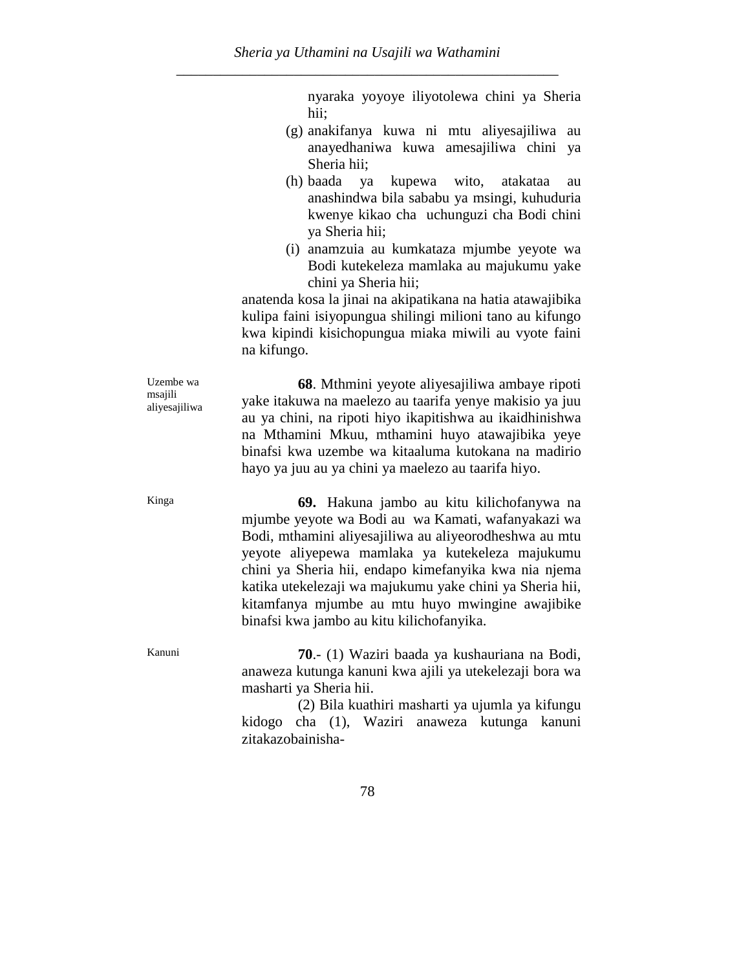nyaraka yoyoye iliyotolewa chini ya Sheria hii;

- (g) anakifanya kuwa ni mtu aliyesajiliwa au anayedhaniwa kuwa amesajiliwa chini ya Sheria hii;
- (h) baada ya kupewa wito, atakataa au anashindwa bila sababu ya msingi, kuhuduria kwenye kikao cha uchunguzi cha Bodi chini ya Sheria hii;
- (i) anamzuia au kumkataza mjumbe yeyote wa Bodi kutekeleza mamlaka au majukumu yake chini ya Sheria hii;

anatenda kosa la jinai na akipatikana na hatia atawajibika kulipa faini isiyopungua shilingi milioni tano au kifungo kwa kipindi kisichopungua miaka miwili au vyote faini na kifungo.

**68**. Mthmini yeyote aliyesajiliwa ambaye ripoti yake itakuwa na maelezo au taarifa yenye makisio ya juu au ya chini, na ripoti hiyo ikapitishwa au ikaidhinishwa na Mthamini Mkuu, mthamini huyo atawajibika yeye binafsi kwa uzembe wa kitaaluma kutokana na madirio hayo ya juu au ya chini ya maelezo au taarifa hiyo.

Kinga **69.** Hakuna jambo au kitu kilichofanywa na mjumbe yeyote wa Bodi au wa Kamati, wafanyakazi wa Bodi, mthamini aliyesajiliwa au aliyeorodheshwa au mtu yeyote aliyepewa mamlaka ya kutekeleza majukumu chini ya Sheria hii, endapo kimefanyika kwa nia njema katika utekelezaji wa majukumu yake chini ya Sheria hii, kitamfanya mjumbe au mtu huyo mwingine awajibike binafsi kwa jambo au kitu kilichofanyika.

Kanuni **70**.- (1) Waziri baada ya kushauriana na Bodi, anaweza kutunga kanuni kwa ajili ya utekelezaji bora wa masharti ya Sheria hii.

> (2) Bila kuathiri masharti ya ujumla ya kifungu kidogo cha (1), Waziri anaweza kutunga kanuni zitakazobainisha-

Uzembe wa msajili aliyesajiliwa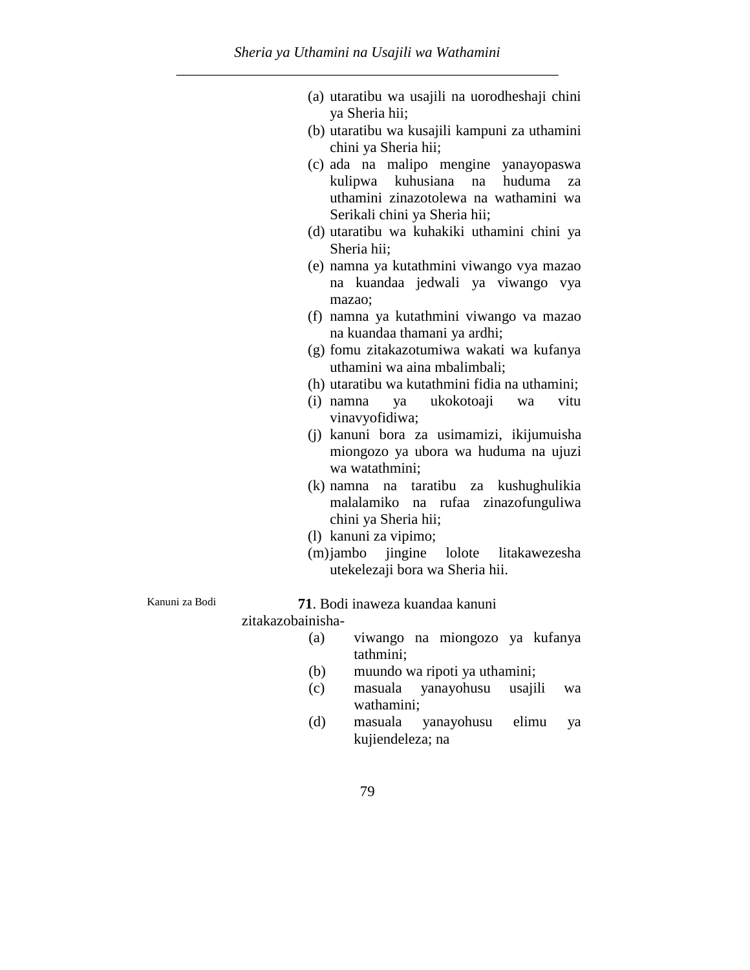- (a) utaratibu wa usajili na uorodheshaji chini ya Sheria hii;
- (b) utaratibu wa kusajili kampuni za uthamini chini ya Sheria hii;
- (c) ada na malipo mengine yanayopaswa kulipwa kuhusiana na huduma za uthamini zinazotolewa na wathamini wa Serikali chini ya Sheria hii;
- (d) utaratibu wa kuhakiki uthamini chini ya Sheria hii;
- (e) namna ya kutathmini viwango vya mazao na kuandaa jedwali ya viwango vya mazao;
- (f) namna ya kutathmini viwango va mazao na kuandaa thamani ya ardhi;
- (g) fomu zitakazotumiwa wakati wa kufanya uthamini wa aina mbalimbali;
- (h) utaratibu wa kutathmini fidia na uthamini;
- (i) namna ya ukokotoaji wa vitu vinavyofidiwa;
- (j) kanuni bora za usimamizi, ikijumuisha miongozo ya ubora wa huduma na ujuzi wa watathmini;
- (k) namna na taratibu za kushughulikia malalamiko na rufaa zinazofunguliwa chini ya Sheria hii;
- (l) kanuni za vipimo;
- (m)jambo jingine lolote litakawezesha utekelezaji bora wa Sheria hii.

Kanuni za Bodi **71**. Bodi inaweza kuandaa kanuni

zitakazobainisha-

- (a) viwango na miongozo ya kufanya tathmini;
- (b) muundo wa ripoti ya uthamini;
- (c) masuala yanayohusu usajili wa wathamini;
- (d) masuala yanayohusu elimu ya kujiendeleza; na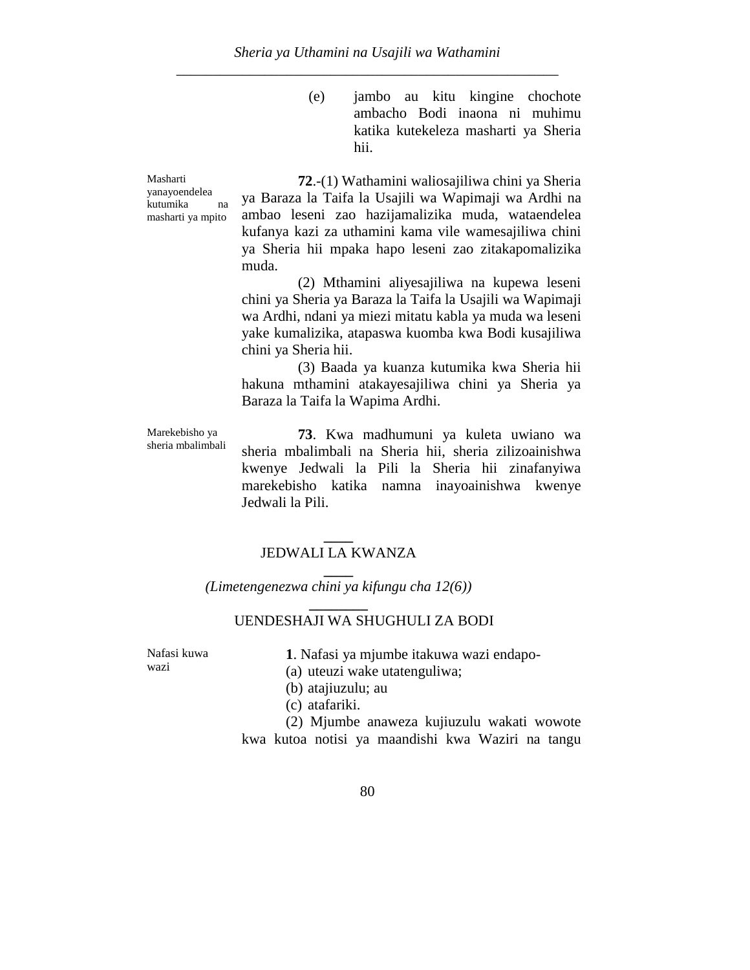(e) jambo au kitu kingine chochote ambacho Bodi inaona ni muhimu katika kutekeleza masharti ya Sheria hii.

Masharti yanayoendelea kutumika na masharti ya mpito

**72**.-(1) Wathamini waliosajiliwa chini ya Sheria ya Baraza la Taifa la Usajili wa Wapimaji wa Ardhi na ambao leseni zao hazijamalizika muda, wataendelea kufanya kazi za uthamini kama vile wamesajiliwa chini ya Sheria hii mpaka hapo leseni zao zitakapomalizika muda.

(2) Mthamini aliyesajiliwa na kupewa leseni chini ya Sheria ya Baraza la Taifa la Usajili wa Wapimaji wa Ardhi, ndani ya miezi mitatu kabla ya muda wa leseni yake kumalizika, atapaswa kuomba kwa Bodi kusajiliwa chini ya Sheria hii.

(3) Baada ya kuanza kutumika kwa Sheria hii hakuna mthamini atakayesajiliwa chini ya Sheria ya Baraza la Taifa la Wapima Ardhi.

Marekebisho ya sheria mbalimbali **73**. Kwa madhumuni ya kuleta uwiano wa sheria mbalimbali na Sheria hii, sheria zilizoainishwa kwenye Jedwali la Pili la Sheria hii zinafanyiwa marekebisho katika namna inayoainishwa kwenye Jedwali la Pili.

#### **\_\_\_\_** JEDWALI LA KWANZA **\_\_\_\_**

*(Limetengenezwa chini ya kifungu cha 12(6))* **\_\_\_\_\_\_\_\_**

# UENDESHAJI WA SHUGHULI ZA BODI

Nafasi kuwa wazi

**1**. Nafasi ya mjumbe itakuwa wazi endapo-

- (a) uteuzi wake utatenguliwa;
- (b) atajiuzulu; au
- (c) atafariki.

(2) Mjumbe anaweza kujiuzulu wakati wowote kwa kutoa notisi ya maandishi kwa Waziri na tangu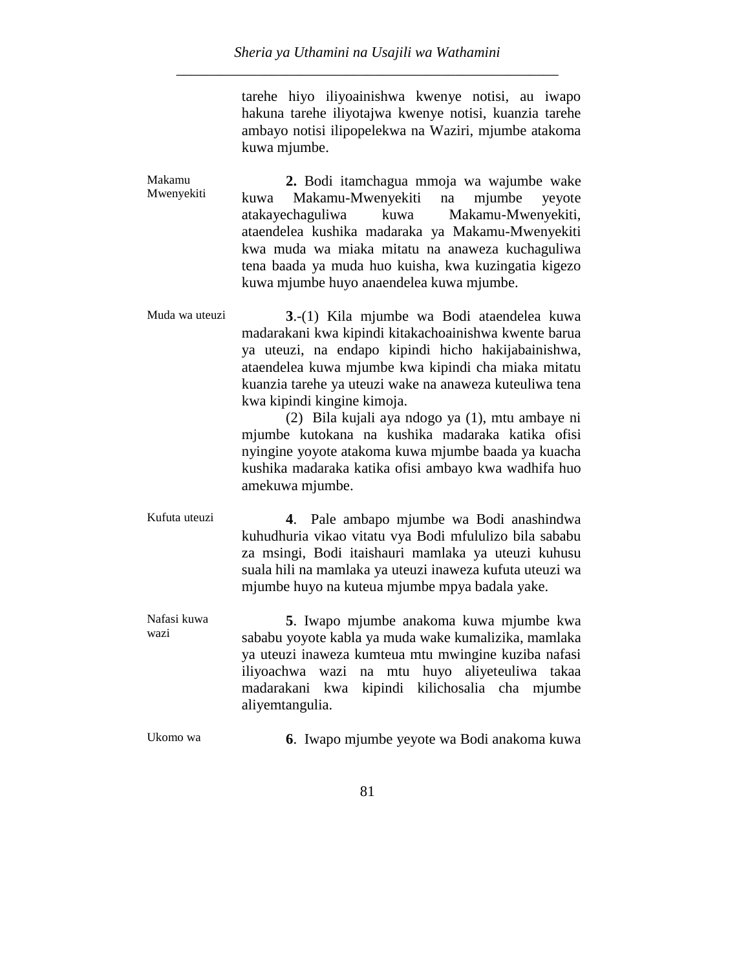tarehe hiyo iliyoainishwa kwenye notisi, au iwapo hakuna tarehe iliyotajwa kwenye notisi, kuanzia tarehe ambayo notisi ilipopelekwa na Waziri, mjumbe atakoma kuwa mjumbe.

| Makamu<br>Mwenyekiti | 2. Bodi itamchagua mmoja wa wajumbe wake             |
|----------------------|------------------------------------------------------|
|                      | kuwa Makamu-Mwenyekiti na mjumbe yeyote              |
|                      | atakayechaguliwa kuwa Makamu-Mwenyekiti,             |
|                      | ataendelea kushika madaraka ya Makamu-Mwenyekiti     |
|                      | kwa muda wa miaka mitatu na anaweza kuchaguliwa      |
|                      | tena baada ya muda huo kuisha, kwa kuzingatia kigezo |
|                      | kuwa mjumbe huyo anaendelea kuwa mjumbe.             |

Muda wa uteuzi **3**.-(1) Kila mjumbe wa Bodi ataendelea kuwa madarakani kwa kipindi kitakachoainishwa kwente barua ya uteuzi, na endapo kipindi hicho hakijabainishwa, ataendelea kuwa mjumbe kwa kipindi cha miaka mitatu kuanzia tarehe ya uteuzi wake na anaweza kuteuliwa tena kwa kipindi kingine kimoja.

(2) Bila kujali aya ndogo ya (1), mtu ambaye ni mjumbe kutokana na kushika madaraka katika ofisi nyingine yoyote atakoma kuwa mjumbe baada ya kuacha kushika madaraka katika ofisi ambayo kwa wadhifa huo amekuwa mjumbe.

Kufuta uteuzi **4**. Pale ambapo mjumbe wa Bodi anashindwa kuhudhuria vikao vitatu vya Bodi mfululizo bila sababu za msingi, Bodi itaishauri mamlaka ya uteuzi kuhusu suala hili na mamlaka ya uteuzi inaweza kufuta uteuzi wa mjumbe huyo na kuteua mjumbe mpya badala yake.

Nafasi kuwa wazi **5**. Iwapo mjumbe anakoma kuwa mjumbe kwa sababu yoyote kabla ya muda wake kumalizika, mamlaka ya uteuzi inaweza kumteua mtu mwingine kuziba nafasi iliyoachwa wazi na mtu huyo aliyeteuliwa takaa madarakani kwa kipindi kilichosalia cha mjumbe aliyemtangulia.

Ukomo wa **6**. Iwapo mjumbe yeyote wa Bodi anakoma kuwa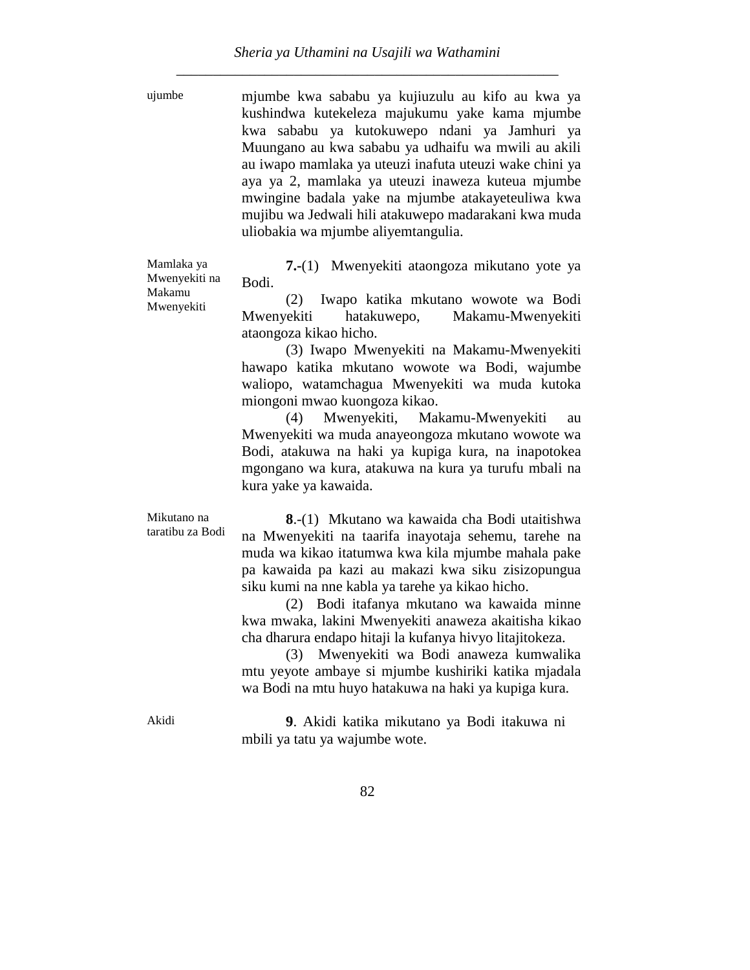ujumbe mjumbe kwa sababu ya kujiuzulu au kifo au kwa ya kushindwa kutekeleza majukumu yake kama mjumbe kwa sababu ya kutokuwepo ndani ya Jamhuri ya Muungano au kwa sababu ya udhaifu wa mwili au akili au iwapo mamlaka ya uteuzi inafuta uteuzi wake chini ya aya ya 2, mamlaka ya uteuzi inaweza kuteua mjumbe mwingine badala yake na mjumbe atakayeteuliwa kwa mujibu wa Jedwali hili atakuwepo madarakani kwa muda uliobakia wa mjumbe aliyemtangulia.

Mamlaka ya Mwenyekiti na Makamu Mwenyekiti

**7.-**(1) Mwenyekiti ataongoza mikutano yote ya Bodi.

(2) Iwapo katika mkutano wowote wa Bodi Mwenyekiti hatakuwepo, Makamu-Mwenyekiti ataongoza kikao hicho.

(3) Iwapo Mwenyekiti na Makamu-Mwenyekiti hawapo katika mkutano wowote wa Bodi, wajumbe waliopo, watamchagua Mwenyekiti wa muda kutoka miongoni mwao kuongoza kikao.

(4) Mwenyekiti, Makamu-Mwenyekiti au Mwenyekiti wa muda anayeongoza mkutano wowote wa Bodi, atakuwa na haki ya kupiga kura, na inapotokea mgongano wa kura, atakuwa na kura ya turufu mbali na kura yake ya kawaida.

Mikutano na taratibu za Bodi

**8**.-(1) Mkutano wa kawaida cha Bodi utaitishwa na Mwenyekiti na taarifa inayotaja sehemu, tarehe na muda wa kikao itatumwa kwa kila mjumbe mahala pake pa kawaida pa kazi au makazi kwa siku zisizopungua siku kumi na nne kabla ya tarehe ya kikao hicho.

(2) Bodi itafanya mkutano wa kawaida minne kwa mwaka, lakini Mwenyekiti anaweza akaitisha kikao cha dharura endapo hitaji la kufanya hivyo litajitokeza.

(3) Mwenyekiti wa Bodi anaweza kumwalika mtu yeyote ambaye si mjumbe kushiriki katika mjadala wa Bodi na mtu huyo hatakuwa na haki ya kupiga kura.

Akidi **9**. Akidi katika mikutano ya Bodi itakuwa ni mbili ya tatu ya wajumbe wote.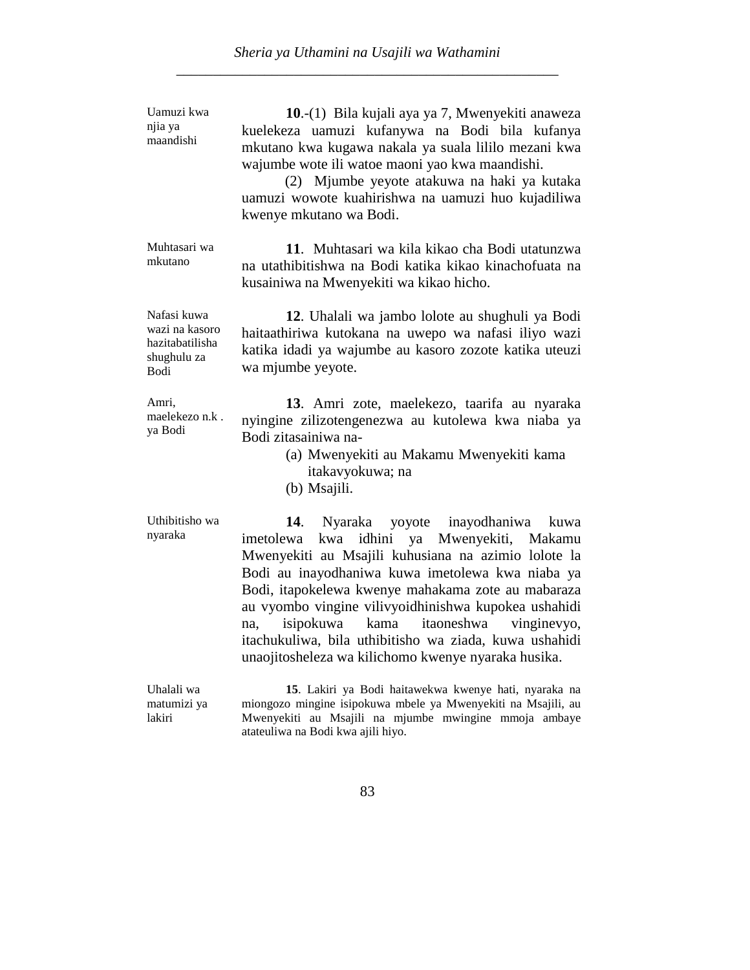| Uamuzi kwa<br>njia ya<br>maandishi                                             | 10.-(1) Bila kujali aya ya 7, Mwenyekiti anaweza<br>kuelekeza uamuzi kufanywa na Bodi bila kufanya<br>mkutano kwa kugawa nakala ya suala lililo mezani kwa<br>wajumbe wote ili watoe maoni yao kwa maandishi.<br>(2) Mjumbe yeyote atakuwa na haki ya kutaka<br>uamuzi wowote kuahirishwa na uamuzi huo kujadiliwa<br>kwenye mkutano wa Bodi.                                                                                                                                                  |
|--------------------------------------------------------------------------------|------------------------------------------------------------------------------------------------------------------------------------------------------------------------------------------------------------------------------------------------------------------------------------------------------------------------------------------------------------------------------------------------------------------------------------------------------------------------------------------------|
| Muhtasari wa<br>mkutano                                                        | 11. Muhtasari wa kila kikao cha Bodi utatunzwa<br>na utathibitishwa na Bodi katika kikao kinachofuata na<br>kusainiwa na Mwenyekiti wa kikao hicho.                                                                                                                                                                                                                                                                                                                                            |
| Nafasi kuwa<br>wazi na kasoro<br>hazitabatilisha<br>shughulu za<br><b>Bodi</b> | 12. Uhalali wa jambo lolote au shughuli ya Bodi<br>haitaathiriwa kutokana na uwepo wa nafasi iliyo wazi<br>katika idadi ya wajumbe au kasoro zozote katika uteuzi<br>wa mjumbe yeyote.                                                                                                                                                                                                                                                                                                         |
| Amri,<br>maelekezo n.k.<br>ya Bodi                                             | 13. Amri zote, maelekezo, taarifa au nyaraka<br>nyingine zilizotengenezwa au kutolewa kwa niaba ya<br>Bodi zitasainiwa na-<br>(a) Mwenyekiti au Makamu Mwenyekiti kama<br>itakavyokuwa; na<br>(b) Msajili.                                                                                                                                                                                                                                                                                     |
| Uthibitisho wa<br>nyaraka                                                      | 14.<br>Nyaraka yoyote inayodhaniwa<br>kuwa<br>idhini ya Mwenyekiti, Makamu<br>kwa<br>imetolewa<br>Mwenyekiti au Msajili kuhusiana na azimio lolote la<br>Bodi au inayodhaniwa kuwa imetolewa kwa niaba ya<br>Bodi, itapokelewa kwenye mahakama zote au mabaraza<br>au vyombo vingine vilivyoidhinishwa kupokea ushahidi<br>kama itaoneshwa<br>isipokuwa<br>vinginevyo,<br>na.<br>itachukuliwa, bila uthibitisho wa ziada, kuwa ushahidi<br>unaojitosheleza wa kilichomo kwenye nyaraka husika. |
| Uhalali wa<br>matumizi ya<br>lakiri                                            | 15. Lakiri ya Bodi haitawekwa kwenye hati, nyaraka na<br>miongozo mingine isipokuwa mbele ya Mwenyekiti na Msajili, au<br>Mwenyekiti au Msajili na mjumbe mwingine mmoja ambaye<br>atateuliwa na Bodi kwa ajili hiyo.                                                                                                                                                                                                                                                                          |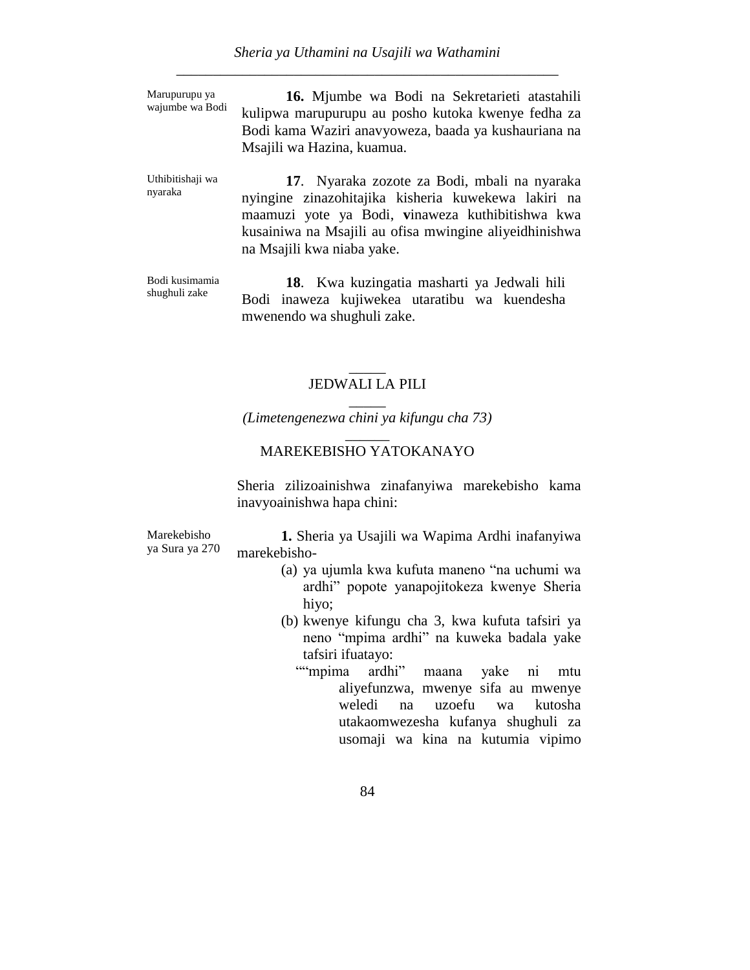Marupurupu ya wajumbe wa Bodi

**16.** Mjumbe wa Bodi na Sekretarieti atastahili kulipwa marupurupu au posho kutoka kwenye fedha za Bodi kama Waziri anavyoweza, baada ya kushauriana na Msajili wa Hazina, kuamua.

Uthibitishaji wa nyaraka **17**. Nyaraka zozote za Bodi, mbali na nyaraka nyingine zinazohitajika kisheria kuwekewa lakiri na maamuzi yote ya Bodi, **v**inaweza kuthibitishwa kwa kusainiwa na Msajili au ofisa mwingine aliyeidhinishwa na Msajili kwa niaba yake.

Bodi kusimamia shughuli zake

**18**. Kwa kuzingatia masharti ya Jedwali hili Bodi inaweza kujiwekea utaratibu wa kuendesha mwenendo wa shughuli zake.

#### $\overline{\phantom{a}}$ JEDWALI LA PILI \_\_\_\_\_

*(Limetengenezwa chini ya kifungu cha 73)* \_\_\_\_\_\_

## MAREKEBISHO YATOKANAYO

Sheria zilizoainishwa zinafanyiwa marekebisho kama inavyoainishwa hapa chini:

Marekebisho ya Sura ya 270

**1.** Sheria ya Usajili wa Wapima Ardhi inafanyiwa marekebisho-

- (a) ya ujumla kwa kufuta maneno "na uchumi wa ardhi" popote yanapojitokeza kwenye Sheria hiyo;
- (b) kwenye kifungu cha 3, kwa kufuta tafsiri ya neno "mpima ardhi" na kuweka badala yake tafsiri ifuatayo:
	- ""mpima ardhi" maana yake ni mtu aliyefunzwa, mwenye sifa au mwenye weledi na uzoefu wa kutosha utakaomwezesha kufanya shughuli za usomaji wa kina na kutumia vipimo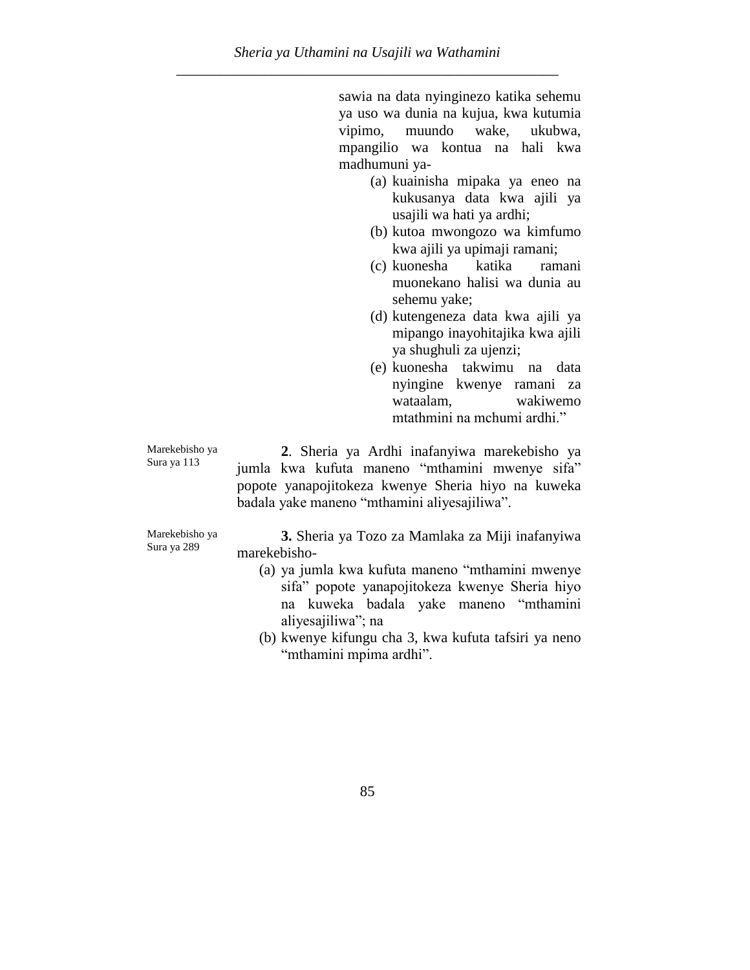sawia na data nyinginezo katika sehemu ya uso wa dunia na kujua, kwa kutumia vipimo, muundo wake, ukubwa, mpangilio wa kontua na hali kwa madhumuni ya-

- (a) kuainisha mipaka ya eneo na kukusanya data kwa ajili ya usajili wa hati ya ardhi;
- (b) kutoa mwongozo wa kimfumo kwa ajili ya upimaji ramani;
- (c) kuonesha katika ramani muonekano halisi wa dunia au sehemu yake;
- (d) kutengeneza data kwa ajili ya mipango inayohitajika kwa ajili ya shughuli za ujenzi;
- (e) kuonesha takwimu na data nyingine kwenye ramani za wataalam, wakiwemo mtathmini na mchumi ardhi."

Marekebisho ya Sura ya 113

**2**. Sheria ya Ardhi inafanyiwa marekebisho ya jumla kwa kufuta maneno "mthamini mwenye sifa" popote yanapojitokeza kwenye Sheria hiyo na kuweka badala yake maneno "mthamini aliyesajiliwa".

Marekebisho ya Sura ya 289

**3.** Sheria ya Tozo za Mamlaka za Miji inafanyiwa marekebisho-

- (a) ya jumla kwa kufuta maneno "mthamini mwenye sifa" popote yanapojitokeza kwenye Sheria hiyo na kuweka badala yake maneno "mthamini aliyesajiliwa"; na
- (b) kwenye kifungu cha 3, kwa kufuta tafsiri ya neno "mthamini mpima ardhi".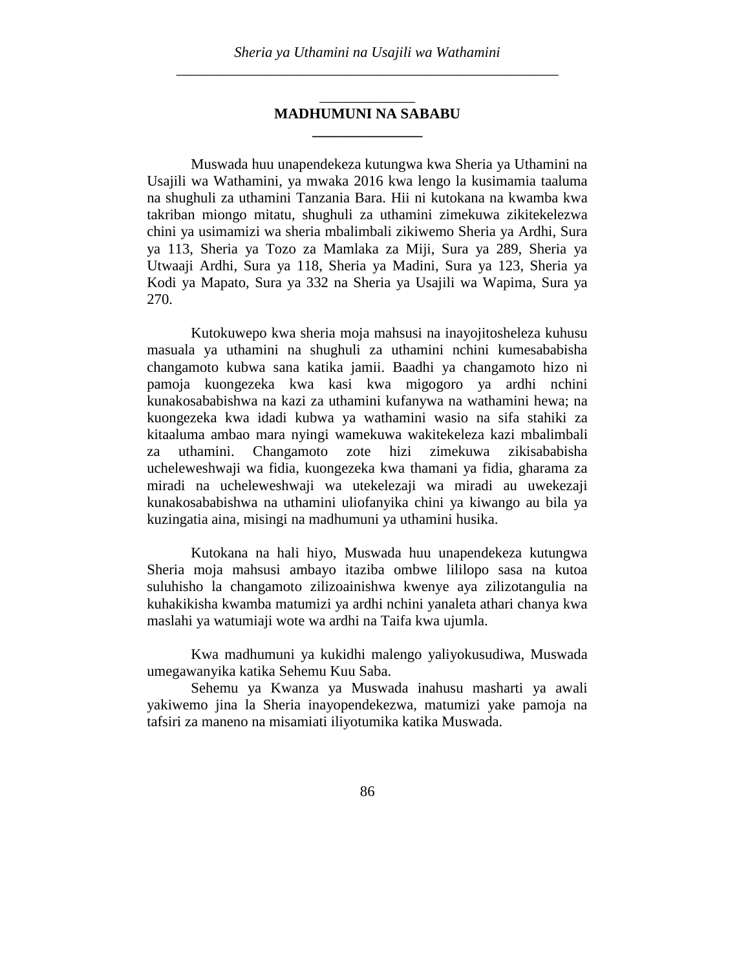#### \_\_\_\_\_\_\_\_\_\_\_\_\_ **MADHUMUNI NA SABABU \_\_\_\_\_\_\_\_\_\_\_\_\_\_\_**

Muswada huu unapendekeza kutungwa kwa Sheria ya Uthamini na Usajili wa Wathamini, ya mwaka 2016 kwa lengo la kusimamia taaluma na shughuli za uthamini Tanzania Bara. Hii ni kutokana na kwamba kwa takriban miongo mitatu, shughuli za uthamini zimekuwa zikitekelezwa chini ya usimamizi wa sheria mbalimbali zikiwemo Sheria ya Ardhi, Sura ya 113, Sheria ya Tozo za Mamlaka za Miji, Sura ya 289, Sheria ya Utwaaji Ardhi, Sura ya 118, Sheria ya Madini, Sura ya 123, Sheria ya Kodi ya Mapato, Sura ya 332 na Sheria ya Usajili wa Wapima, Sura ya 270.

Kutokuwepo kwa sheria moja mahsusi na inayojitosheleza kuhusu masuala ya uthamini na shughuli za uthamini nchini kumesababisha changamoto kubwa sana katika jamii. Baadhi ya changamoto hizo ni pamoja kuongezeka kwa kasi kwa migogoro ya ardhi nchini kunakosababishwa na kazi za uthamini kufanywa na wathamini hewa; na kuongezeka kwa idadi kubwa ya wathamini wasio na sifa stahiki za kitaaluma ambao mara nyingi wamekuwa wakitekeleza kazi mbalimbali za uthamini. Changamoto zote hizi zimekuwa zikisababisha ucheleweshwaji wa fidia, kuongezeka kwa thamani ya fidia, gharama za miradi na ucheleweshwaji wa utekelezaji wa miradi au uwekezaji kunakosababishwa na uthamini uliofanyika chini ya kiwango au bila ya kuzingatia aina, misingi na madhumuni ya uthamini husika.

Kutokana na hali hiyo, Muswada huu unapendekeza kutungwa Sheria moja mahsusi ambayo itaziba ombwe lililopo sasa na kutoa suluhisho la changamoto zilizoainishwa kwenye aya zilizotangulia na kuhakikisha kwamba matumizi ya ardhi nchini yanaleta athari chanya kwa maslahi ya watumiaji wote wa ardhi na Taifa kwa ujumla.

Kwa madhumuni ya kukidhi malengo yaliyokusudiwa, Muswada umegawanyika katika Sehemu Kuu Saba.

Sehemu ya Kwanza ya Muswada inahusu masharti ya awali yakiwemo jina la Sheria inayopendekezwa, matumizi yake pamoja na tafsiri za maneno na misamiati iliyotumika katika Muswada.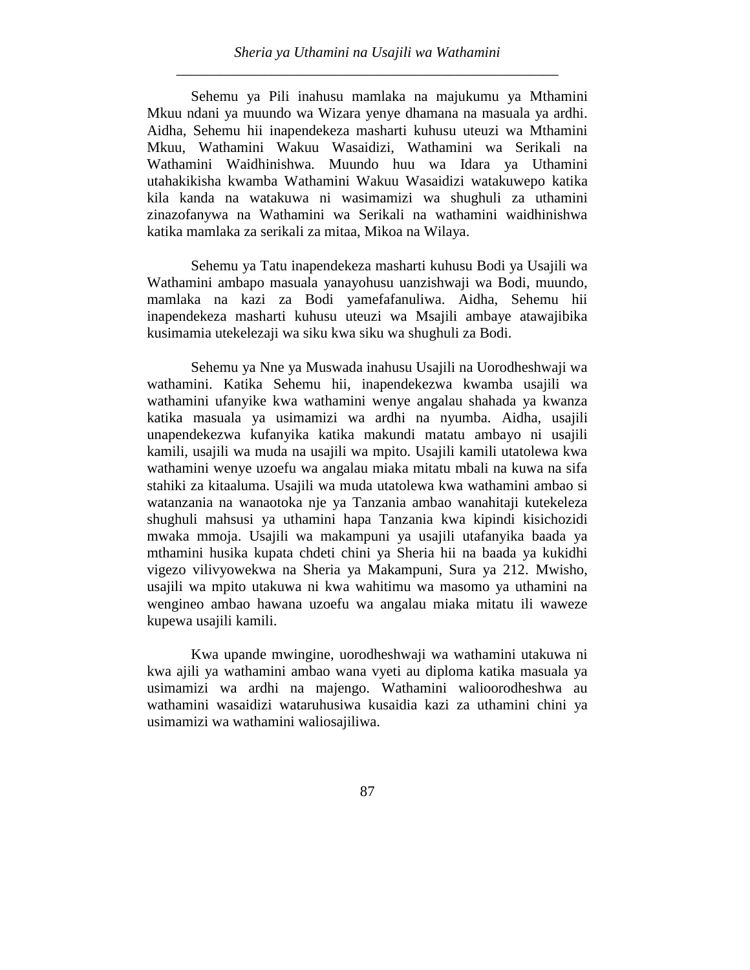Sehemu ya Pili inahusu mamlaka na majukumu ya Mthamini Mkuu ndani ya muundo wa Wizara yenye dhamana na masuala ya ardhi. Aidha, Sehemu hii inapendekeza masharti kuhusu uteuzi wa Mthamini Mkuu, Wathamini Wakuu Wasaidizi, Wathamini wa Serikali na Wathamini Waidhinishwa. Muundo huu wa Idara ya Uthamini utahakikisha kwamba Wathamini Wakuu Wasaidizi watakuwepo katika kila kanda na watakuwa ni wasimamizi wa shughuli za uthamini zinazofanywa na Wathamini wa Serikali na wathamini waidhinishwa katika mamlaka za serikali za mitaa, Mikoa na Wilaya.

Sehemu ya Tatu inapendekeza masharti kuhusu Bodi ya Usajili wa Wathamini ambapo masuala yanayohusu uanzishwaji wa Bodi, muundo, mamlaka na kazi za Bodi yamefafanuliwa. Aidha, Sehemu hii inapendekeza masharti kuhusu uteuzi wa Msajili ambaye atawajibika kusimamia utekelezaji wa siku kwa siku wa shughuli za Bodi.

Sehemu ya Nne ya Muswada inahusu Usajili na Uorodheshwaji wa wathamini. Katika Sehemu hii, inapendekezwa kwamba usajili wa wathamini ufanyike kwa wathamini wenye angalau shahada ya kwanza katika masuala ya usimamizi wa ardhi na nyumba. Aidha, usajili unapendekezwa kufanyika katika makundi matatu ambayo ni usajili kamili, usajili wa muda na usajili wa mpito. Usajili kamili utatolewa kwa wathamini wenye uzoefu wa angalau miaka mitatu mbali na kuwa na sifa stahiki za kitaaluma. Usajili wa muda utatolewa kwa wathamini ambao si watanzania na wanaotoka nje ya Tanzania ambao wanahitaji kutekeleza shughuli mahsusi ya uthamini hapa Tanzania kwa kipindi kisichozidi mwaka mmoja. Usajili wa makampuni ya usajili utafanyika baada ya mthamini husika kupata chdeti chini ya Sheria hii na baada ya kukidhi vigezo vilivyowekwa na Sheria ya Makampuni, Sura ya 212. Mwisho, usajili wa mpito utakuwa ni kwa wahitimu wa masomo ya uthamini na wengineo ambao hawana uzoefu wa angalau miaka mitatu ili waweze kupewa usajili kamili.

Kwa upande mwingine, uorodheshwaji wa wathamini utakuwa ni kwa ajili ya wathamini ambao wana vyeti au diploma katika masuala ya usimamizi wa ardhi na majengo. Wathamini walioorodheshwa au wathamini wasaidizi wataruhusiwa kusaidia kazi za uthamini chini ya usimamizi wa wathamini waliosajiliwa.